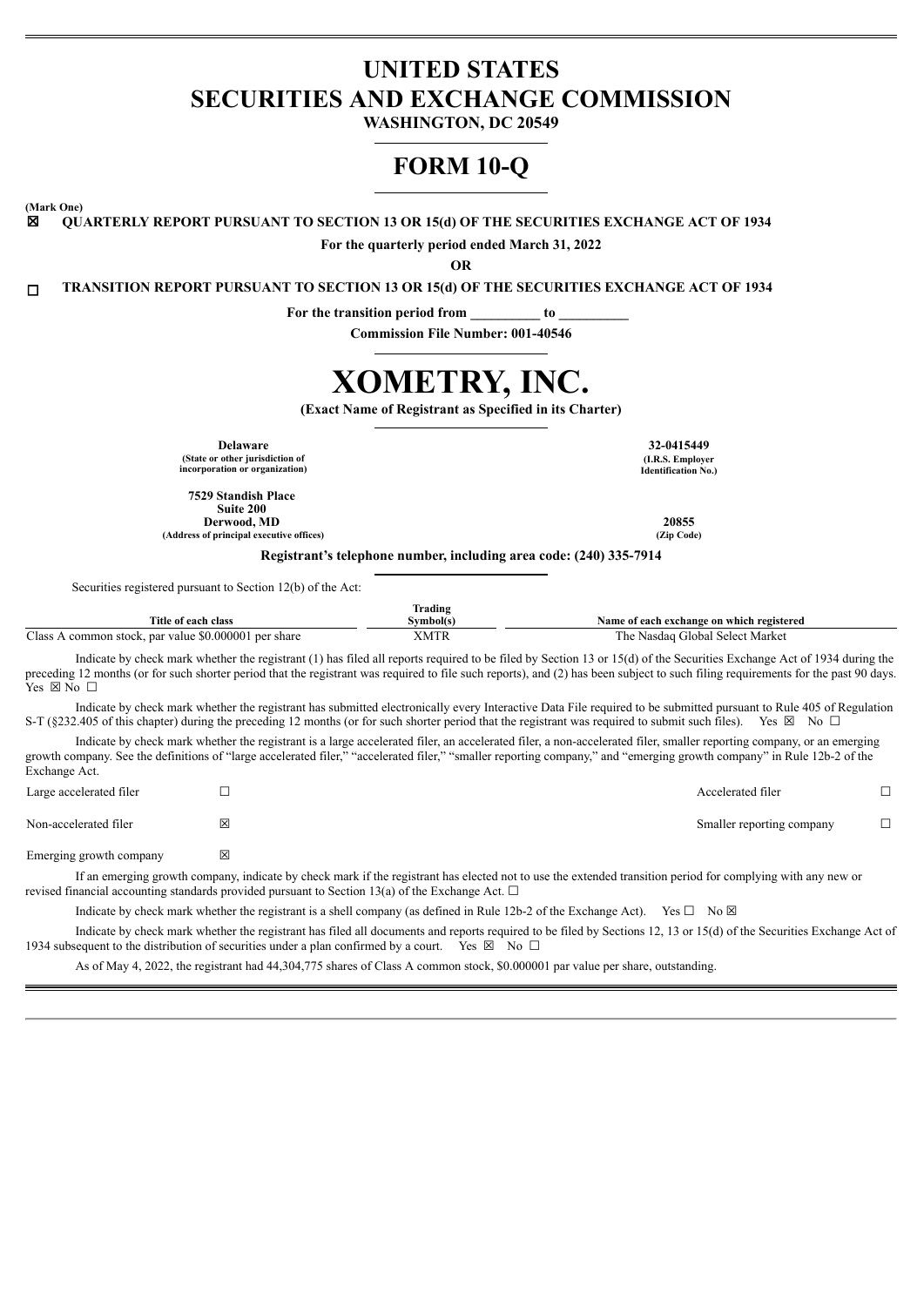# **UNITED STATES SECURITIES AND EXCHANGE COMMISSION**

**WASHINGTON, DC 20549**

# **FORM 10-Q**

**(Mark One)**

☒ **QUARTERLY REPORT PURSUANT TO SECTION 13 OR 15(d) OF THE SECURITIES EXCHANGE ACT OF 1934**

**For the quarterly period ended March 31, 2022**

**OR**

☐ **TRANSITION REPORT PURSUANT TO SECTION 13 OR 15(d) OF THE SECURITIES EXCHANGE ACT OF 1934**

**For the transition period from \_\_\_\_\_\_\_\_\_\_ to \_\_\_\_\_\_\_\_\_\_**

**Commission File Number: 001-40546**



**(Exact Name of Registrant as Specified in its Charter)**

**Delaware 32-0415449 (State or other jurisdiction of incorporation or organization)**

**7529 Standish Place Suite 200**

**Derwood, MD 20855 (Address of principal executive offices) (Zip Code)**

**(I.R.S. Employer Identification No.)**

**Registrant's telephone number, including area code: (240) 335-7914**

Securities registered pursuant to Section 12(b) of the Act:

|                                                            | l`rading  |                                           |
|------------------------------------------------------------|-----------|-------------------------------------------|
| Title of each class                                        | Svmbol(s` | Name of each exchange on which registered |
| Class<br>as A common stock, par value \$0,000001 per share | XMTR      | The Nasdag Global Select Market           |

Indicate by check mark whether the registrant (1) has filed all reports required to be filed by Section 13 or 15(d) of the Securities Exchange Act of 1934 during the preceding 12 months (or for such shorter period that the registrant was required to file such reports), and (2) has been subject to such filing requirements for the past 90 days.  $Yes \boxtimes No \square$ 

Indicate by check mark whether the registrant has submitted electronically every Interactive Data File required to be submitted pursuant to Rule 405 of Regulation S-T (§232.405 of this chapter) during the preceding 12 months (or for such shorter period that the registrant was required to submit such files). Yes ⊠ No  $\Box$ 

Indicate by check mark whether the registrant is a large accelerated filer, an accelerated filer, a non-accelerated filer, smaller reporting company, or an emerging growth company. See the definitions of "large accelerated filer," "sacelerated filer," "smaller reporting company," and "emerging growth company" in Rule 12b-2 of the Exchange Act.

| Large accelerated filer | ᅳ | Accelerated filer         |  |
|-------------------------|---|---------------------------|--|
| Non-accelerated filer   | 冈 | Smaller reporting company |  |
| Emerging growth company | 区 |                           |  |

If an emerging growth company, indicate by check mark if the registrant has elected not to use the extended transition period for complying with any new or revised financial accounting standards provided pursuant to Section 13(a) of the Exchange Act.  $\Box$ 

Indicate by check mark whether the registrant is a shell company (as defined in Rule 12b-2 of the Exchange Act). Yes  $\Box$  No  $\boxtimes$ 

Indicate by check mark whether the registrant has filed all documents and reports required to be filed by Sections 12, 13 or 15(d) of the Securities Exchange Act of 1934 subsequent to the distribution of securities under a plan confirmed by a court. Yes  $\boxtimes$  No  $\Box$ 

As of May 4, 2022, the registrant had 44,304,775 shares of Class A common stock, \$0.000001 par value per share, outstanding.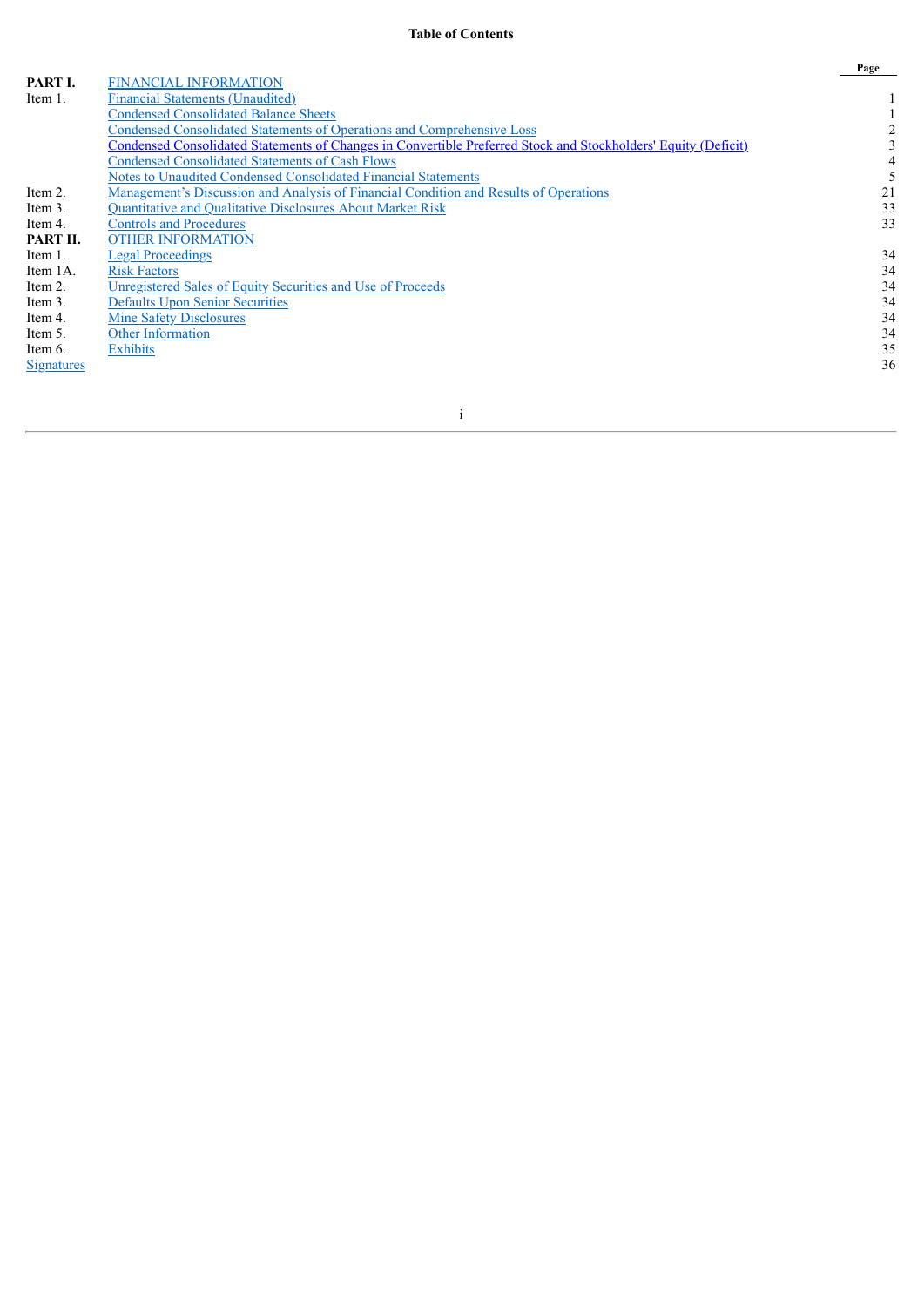## **Table of Contents**

|            |                                                                                                                | Page |
|------------|----------------------------------------------------------------------------------------------------------------|------|
| PART I.    | <b>FINANCIAL INFORMATION</b>                                                                                   |      |
| Item 1.    | <b>Financial Statements (Unaudited)</b>                                                                        |      |
|            | <b>Condensed Consolidated Balance Sheets</b>                                                                   |      |
|            | Condensed Consolidated Statements of Operations and Comprehensive Loss                                         |      |
|            | Condensed Consolidated Statements of Changes in Convertible Preferred Stock and Stockholders' Equity (Deficit) |      |
|            | <b>Condensed Consolidated Statements of Cash Flows</b>                                                         |      |
|            | Notes to Unaudited Condensed Consolidated Financial Statements                                                 |      |
| Item 2.    | Management's Discussion and Analysis of Financial Condition and Results of Operations                          | 21   |
| Item 3.    | Quantitative and Qualitative Disclosures About Market Risk                                                     | 33   |
| Item 4.    | <b>Controls and Procedures</b>                                                                                 | 33   |
| PART II.   | <b>OTHER INFORMATION</b>                                                                                       |      |
| Item 1.    | <b>Legal Proceedings</b>                                                                                       | 34   |
| Item 1A.   | <b>Risk Factors</b>                                                                                            | 34   |
| Item 2.    | Unregistered Sales of Equity Securities and Use of Proceeds                                                    | 34   |
| Item 3.    | <b>Defaults Upon Senior Securities</b>                                                                         | 34   |
| Item 4.    | <b>Mine Safety Disclosures</b>                                                                                 | 34   |
| Item 5.    | <b>Other Information</b>                                                                                       | 34   |
| Item 6.    | Exhibits                                                                                                       | 35   |
| Signatures |                                                                                                                | 36   |
|            |                                                                                                                |      |

i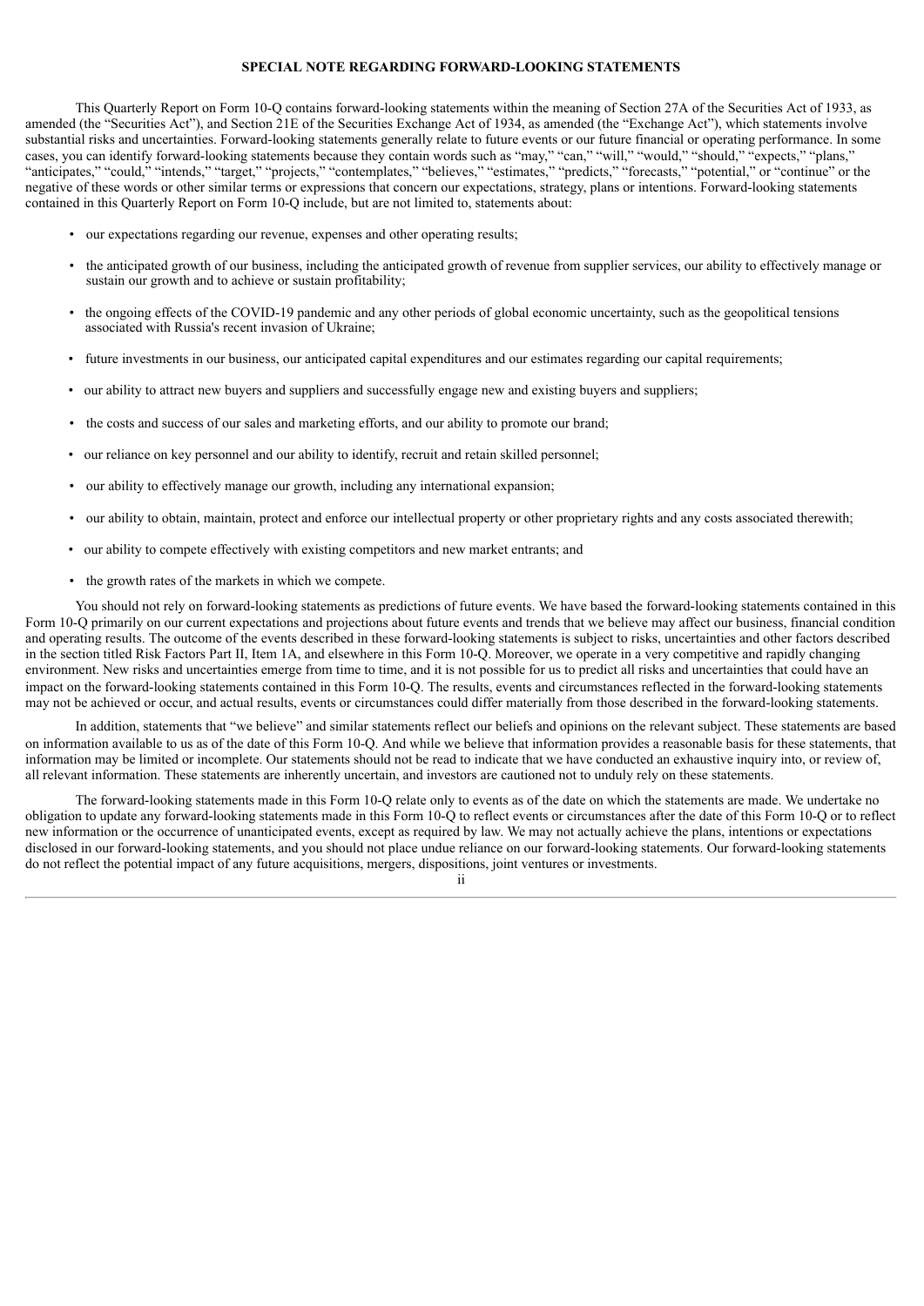## **SPECIAL NOTE REGARDING FORWARD-LOOKING STATEMENTS**

This Quarterly Report on Form 10-Q contains forward-looking statements within the meaning of Section 27A of the Securities Act of 1933, as amended (the "Securities Act"), and Section 21E of the Securities Exchange Act of 1934, as amended (the "Exchange Act"), which statements involve substantial risks and uncertainties. Forward-looking statements generally relate to future events or our future financial or operating performance. In some cases, you can identify forward-looking statements because they contain words such as "may," "can," "will," "would," "should," "expects," "plans," "anticipates," "could," "intends," "target," "projects," "contemplates," "believes," "estimates," "predicts," "forecasts," "potential," or "continue" or the negative of these words or other similar terms or expressions that concern our expectations, strategy, plans or intentions. Forward-looking statements contained in this Quarterly Report on Form 10-Q include, but are not limited to, statements about:

- our expectations regarding our revenue, expenses and other operating results;
- the anticipated growth of our business, including the anticipated growth of revenue from supplier services, our ability to effectively manage or sustain our growth and to achieve or sustain profitability;
- the ongoing effects of the COVID-19 pandemic and any other periods of global economic uncertainty, such as the geopolitical tensions associated with Russia's recent invasion of Ukraine;
- future investments in our business, our anticipated capital expenditures and our estimates regarding our capital requirements;
- our ability to attract new buyers and suppliers and successfully engage new and existing buyers and suppliers;
- the costs and success of our sales and marketing efforts, and our ability to promote our brand;
- our reliance on key personnel and our ability to identify, recruit and retain skilled personnel;
- our ability to effectively manage our growth, including any international expansion;
- our ability to obtain, maintain, protect and enforce our intellectual property or other proprietary rights and any costs associated therewith;
- our ability to compete effectively with existing competitors and new market entrants; and
- the growth rates of the markets in which we compete.

You should not rely on forward-looking statements as predictions of future events. We have based the forward-looking statements contained in this Form 10-Q primarily on our current expectations and projections about future events and trends that we believe may affect our business, financial condition and operating results. The outcome of the events described in these forward-looking statements is subject to risks, uncertainties and other factors described in the section titled Risk Factors Part II, Item 1A, and elsewhere in this Form 10-Q. Moreover, we operate in a very competitive and rapidly changing environment. New risks and uncertainties emerge from time to time, and it is not possible for us to predict all risks and uncertainties that could have an impact on the forward-looking statements contained in this Form 10-Q. The results, events and circumstances reflected in the forward-looking statements may not be achieved or occur, and actual results, events or circumstances could differ materially from those described in the forward-looking statements.

In addition, statements that "we believe" and similar statements reflect our beliefs and opinions on the relevant subject. These statements are based on information available to us as of the date of this Form 10-Q. And while we believe that information provides a reasonable basis for these statements, that information may be limited or incomplete. Our statements should not be read to indicate that we have conducted an exhaustive inquiry into, or review of, all relevant information. These statements are inherently uncertain, and investors are cautioned not to unduly rely on these statements.

The forward-looking statements made in this Form 10-Q relate only to events as of the date on which the statements are made. We undertake no obligation to update any forward-looking statements made in this Form 10-Q to reflect events or circumstances after the date of this Form 10-Q or to reflect new information or the occurrence of unanticipated events, except as required by law. We may not actually achieve the plans, intentions or expectations disclosed in our forward-looking statements, and you should not place undue reliance on our forward-looking statements. Our forward-looking statements do not reflect the potential impact of any future acquisitions, mergers, dispositions, joint ventures or investments.

ii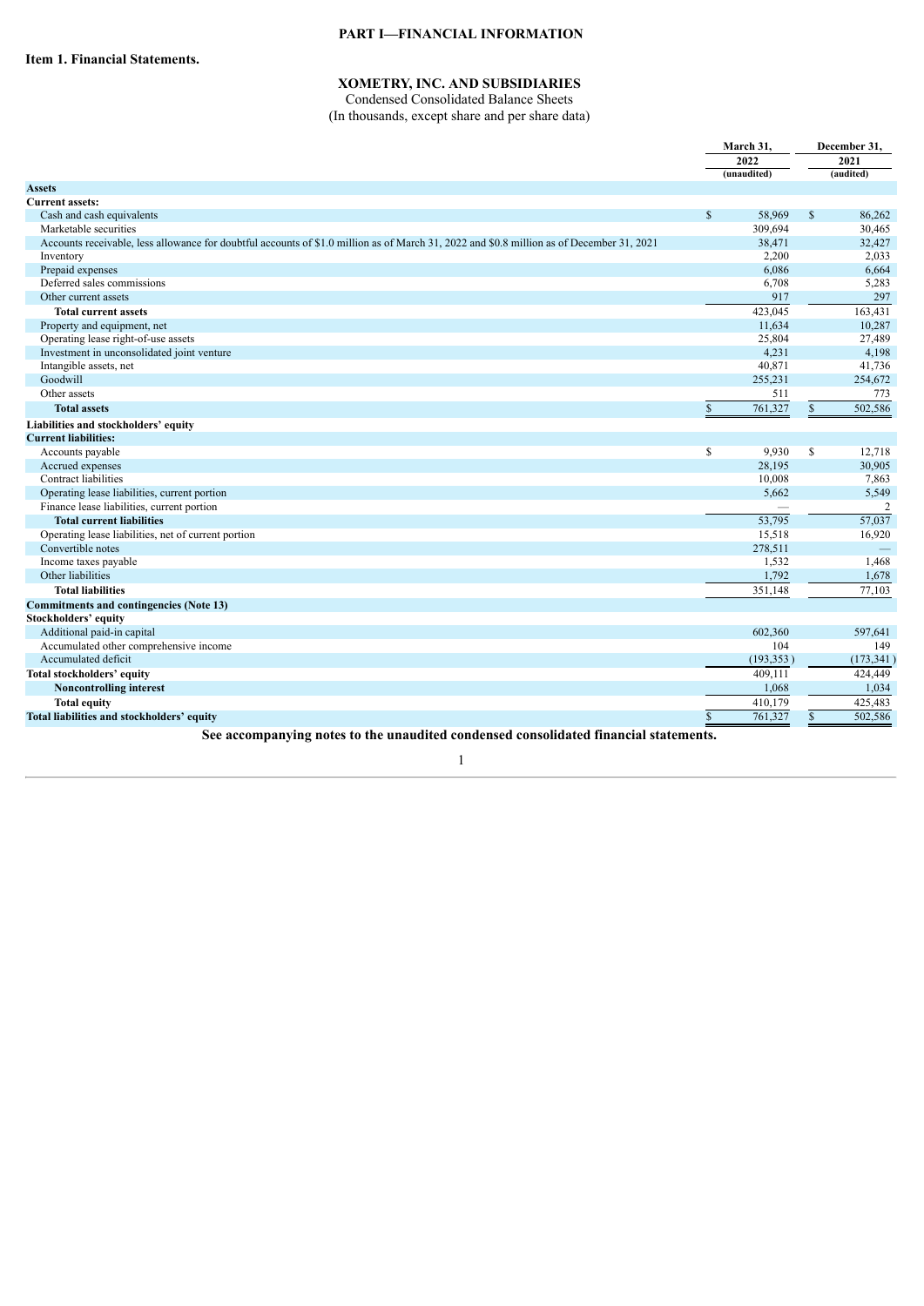# <span id="page-3-2"></span>**XOMETRY, INC. AND SUBSIDIARIES**

Condensed Consolidated Balance Sheets (In thousands, except share and per share data)

<span id="page-3-1"></span><span id="page-3-0"></span>

|                                                                                                                                           |      | March 31.   |               | December 31,   |
|-------------------------------------------------------------------------------------------------------------------------------------------|------|-------------|---------------|----------------|
|                                                                                                                                           |      | 2022        | 2021          |                |
|                                                                                                                                           |      | (unaudited) |               | (audited)      |
| <b>Assets</b>                                                                                                                             |      |             |               |                |
| <b>Current assets:</b>                                                                                                                    |      |             |               |                |
| Cash and cash equivalents                                                                                                                 | \$   | 58,969      | $\mathbb{S}$  | 86,262         |
| Marketable securities                                                                                                                     |      | 309,694     |               | 30,465         |
| Accounts receivable, less allowance for doubtful accounts of \$1.0 million as of March 31, 2022 and \$0.8 million as of December 31, 2021 |      | 38,471      |               | 32,427         |
| Inventory                                                                                                                                 |      | 2,200       |               | 2,033          |
| Prepaid expenses                                                                                                                          |      | 6,086       |               | 6,664          |
| Deferred sales commissions                                                                                                                |      | 6,708       |               | 5,283          |
| Other current assets                                                                                                                      |      | 917         |               | 297            |
| <b>Total current assets</b>                                                                                                               |      | 423,045     |               | 163,431        |
| Property and equipment, net                                                                                                               |      | 11,634      |               | 10,287         |
| Operating lease right-of-use assets                                                                                                       |      | 25,804      |               | 27,489         |
| Investment in unconsolidated joint venture                                                                                                |      | 4,231       |               | 4,198          |
| Intangible assets, net                                                                                                                    |      | 40,871      |               | 41,736         |
| Goodwill                                                                                                                                  |      | 255,231     |               | 254,672        |
| Other assets                                                                                                                              |      | 511         |               | 773            |
| <b>Total assets</b>                                                                                                                       | $\$$ | 761,327     | $\mathsf{\$}$ | 502.586        |
| Liabilities and stockholders' equity                                                                                                      |      |             |               |                |
| <b>Current liabilities:</b>                                                                                                               |      |             |               |                |
| Accounts payable                                                                                                                          | \$   | 9,930       | \$            | 12,718         |
| Accrued expenses                                                                                                                          |      | 28,195      |               | 30,905         |
| Contract liabilities                                                                                                                      |      | 10,008      |               | 7,863          |
| Operating lease liabilities, current portion                                                                                              |      | 5,662       |               | 5,549          |
| Finance lease liabilities, current portion                                                                                                |      |             |               | $\overline{2}$ |
| <b>Total current liabilities</b>                                                                                                          |      | 53,795      |               | 57,037         |
| Operating lease liabilities, net of current portion                                                                                       |      | 15,518      |               | 16,920         |
| Convertible notes                                                                                                                         |      | 278,511     |               |                |
| Income taxes payable                                                                                                                      |      | 1,532       |               | 1,468          |
| Other liabilities                                                                                                                         |      | 1,792       |               | 1,678          |
| <b>Total liabilities</b>                                                                                                                  |      | 351,148     |               | 77,103         |
| <b>Commitments and contingencies (Note 13)</b>                                                                                            |      |             |               |                |
| <b>Stockholders' equity</b>                                                                                                               |      |             |               |                |
| Additional paid-in capital                                                                                                                |      | 602,360     |               | 597,641        |
| Accumulated other comprehensive income                                                                                                    |      | 104         |               | 149            |
| Accumulated deficit                                                                                                                       |      | (193, 353)  |               | (173, 341)     |
| <b>Total stockholders' equity</b>                                                                                                         |      | 409,111     |               | 424,449        |
| <b>Noncontrolling interest</b>                                                                                                            |      | 1,068       |               | 1,034          |
| <b>Total equity</b>                                                                                                                       |      | 410,179     |               | 425,483        |
| Total liabilities and stockholders' equity                                                                                                | \$   | 761,327     | $\mathbf S$   | 502,586        |
|                                                                                                                                           |      |             |               |                |

**See accompanying notes to the unaudited condensed consolidated financial statements.**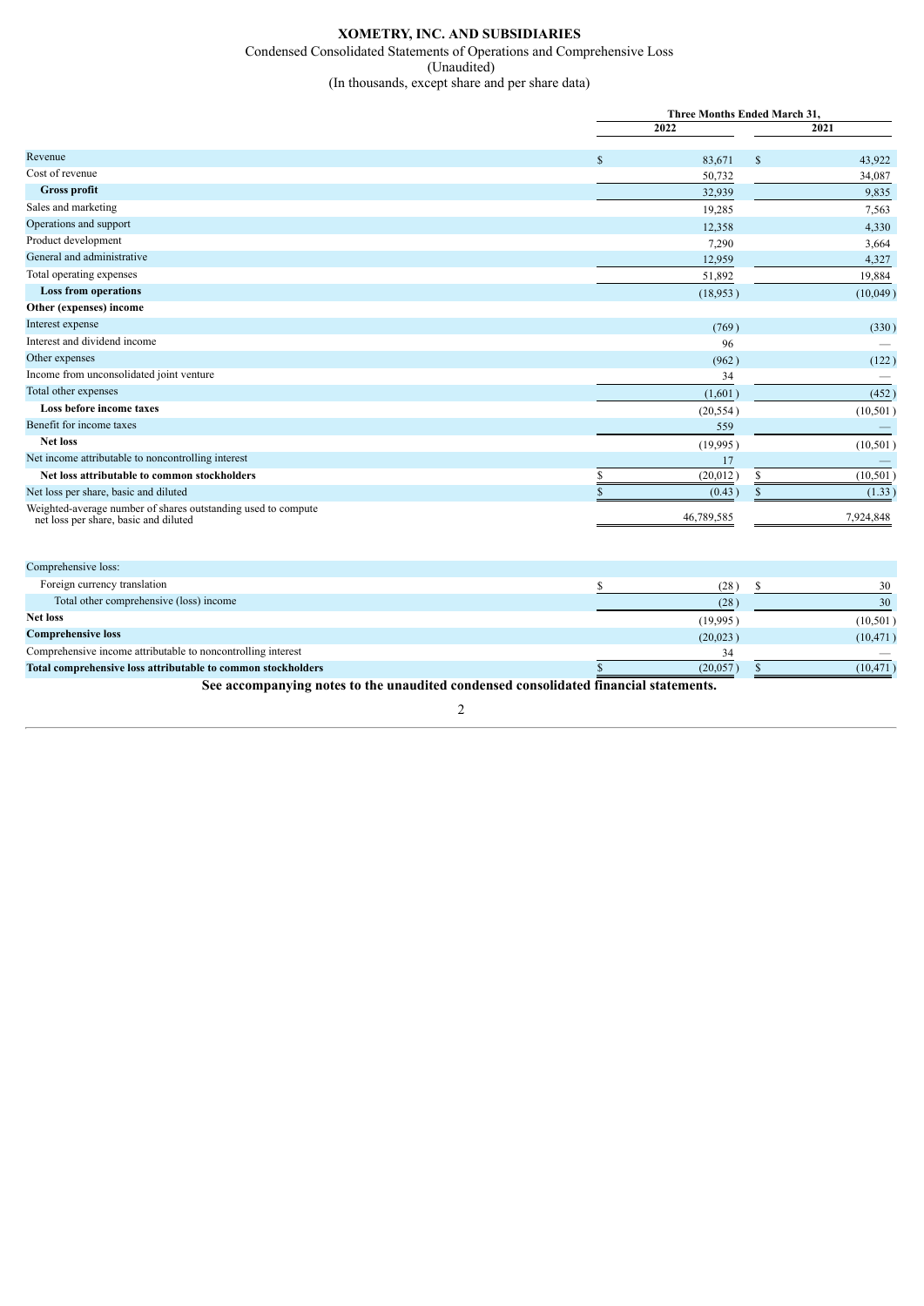## <span id="page-4-0"></span>**XOMETRY, INC. AND SUBSIDIARIES**

Condensed Consolidated Statements of Operations and Comprehensive Loss (Unaudited)

(In thousands, except share and per share data)

|                                                                                                        | Three Months Ended March 31, |               |           |  |
|--------------------------------------------------------------------------------------------------------|------------------------------|---------------|-----------|--|
|                                                                                                        | 2022                         |               |           |  |
| Revenue                                                                                                | \$<br>83,671                 | \$            | 43,922    |  |
| Cost of revenue                                                                                        | 50,732                       |               | 34,087    |  |
| <b>Gross profit</b>                                                                                    | 32,939                       |               | 9,835     |  |
| Sales and marketing                                                                                    | 19,285                       |               | 7,563     |  |
| Operations and support                                                                                 | 12,358                       |               | 4,330     |  |
| Product development                                                                                    | 7,290                        |               | 3,664     |  |
| General and administrative                                                                             | 12,959                       |               | 4,327     |  |
| Total operating expenses                                                                               | 51,892                       |               | 19,884    |  |
| <b>Loss from operations</b>                                                                            | (18,953)                     |               | (10,049)  |  |
| Other (expenses) income                                                                                |                              |               |           |  |
| Interest expense                                                                                       | (769)                        |               | (330)     |  |
| Interest and dividend income                                                                           | 96                           |               |           |  |
| Other expenses                                                                                         | (962)                        |               | (122)     |  |
| Income from unconsolidated joint venture                                                               | 34                           |               |           |  |
| Total other expenses                                                                                   | (1,601)                      |               | (452)     |  |
| Loss before income taxes                                                                               | (20, 554)                    |               | (10, 501) |  |
| Benefit for income taxes                                                                               | 559                          |               |           |  |
| <b>Net loss</b>                                                                                        | (19,995)                     |               | (10, 501) |  |
| Net income attributable to noncontrolling interest                                                     | 17                           |               |           |  |
| Net loss attributable to common stockholders                                                           | \$<br>(20, 012)              | \$            | (10, 501) |  |
| Net loss per share, basic and diluted                                                                  | (0.43)                       | \$.           | (1.33)    |  |
| Weighted-average number of shares outstanding used to compute<br>net loss per share, basic and diluted | 46,789,585                   |               | 7,924,848 |  |
| Comprehensive loss:                                                                                    |                              |               |           |  |
| Foreign currency translation                                                                           | \$<br>(28)                   | \$            | 30        |  |
| Total other comprehensive (loss) income                                                                | (28)                         |               | 30        |  |
| <b>Net loss</b>                                                                                        | (19,995)                     |               | (10, 501) |  |
| <b>Comprehensive loss</b>                                                                              | (20, 023)                    |               | (10, 471) |  |
| Comprehensive income attributable to noncontrolling interest                                           | 34                           |               |           |  |
| Total comprehensive loss attributable to common stockholders                                           | (20,057)                     | <sup>\$</sup> | (10, 471) |  |

2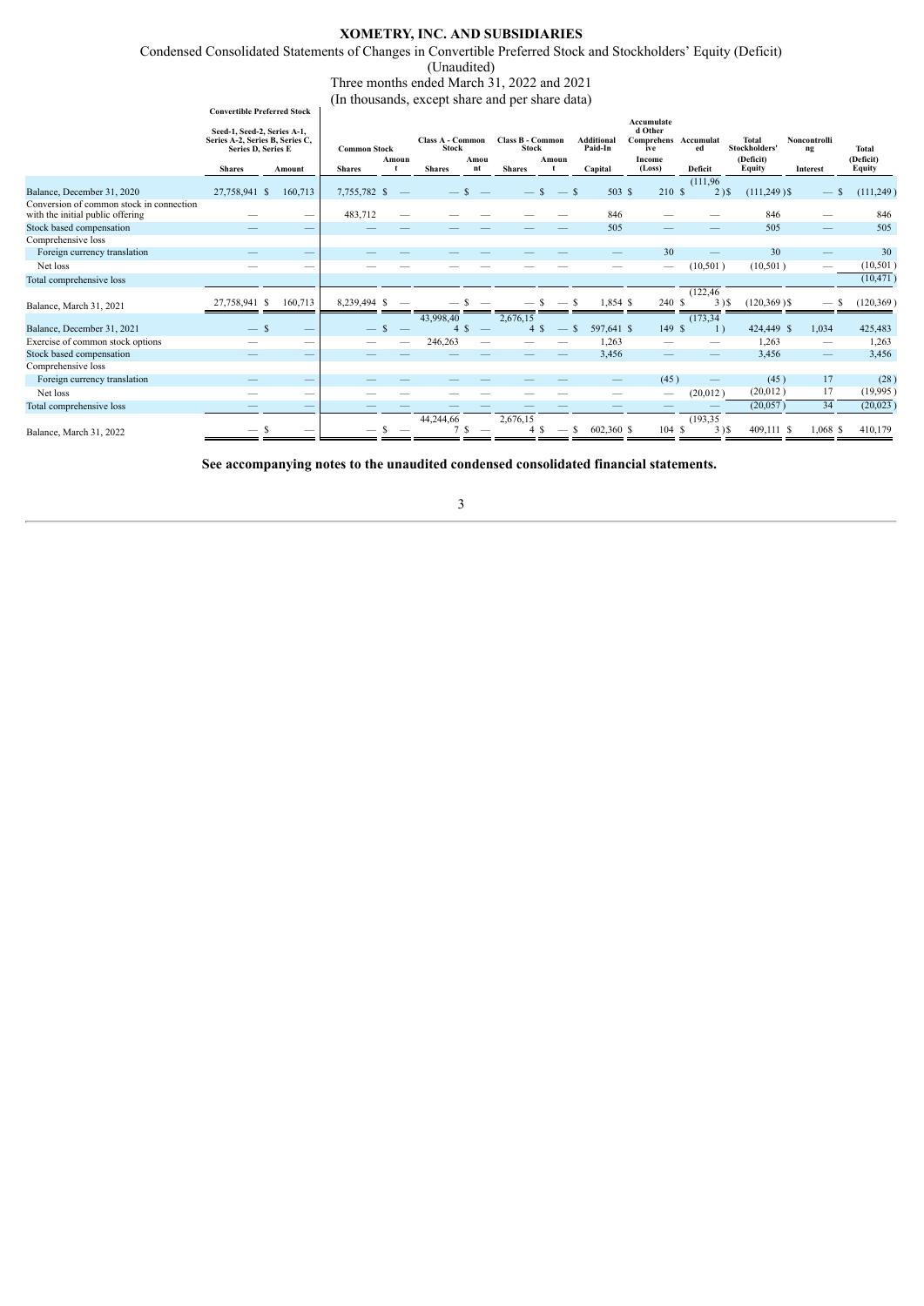## **XOMETRY, INC. AND SUBSIDIARIES**

# Condensed Consolidated Statements of Changes in Convertible Preferred Stock and Stockholders' Equity (Deficit)

(Unaudited)

Three months ended March 31, 2022 and 2021 (In thousands, except share and per share data)

<span id="page-5-0"></span>

|                                                                              |                                                                                                                            |         | (In thousands, except share and per share data) |       |                                  |            |                                         |                          |                              |                                                      |                                  |                               |                    |                     |
|------------------------------------------------------------------------------|----------------------------------------------------------------------------------------------------------------------------|---------|-------------------------------------------------|-------|----------------------------------|------------|-----------------------------------------|--------------------------|------------------------------|------------------------------------------------------|----------------------------------|-------------------------------|--------------------|---------------------|
|                                                                              | <b>Convertible Preferred Stock</b><br>Seed-1, Seed-2, Series A-1,<br>Series A-2, Series B, Series C,<br>Series D, Series E |         | <b>Common Stock</b>                             |       | <b>Class A - Common</b><br>Stock |            | <b>Class B - Common</b><br><b>Stock</b> |                          | <b>Additional</b><br>Paid-In | Accumulate<br>d Other<br>Comprehens Accumulat<br>ive | ed                               | <b>Total</b><br>Stockholders' | Noncontrolli<br>ng | <b>Total</b>        |
|                                                                              | <b>Shares</b>                                                                                                              | Amount  | <b>Shares</b>                                   | Amoun | <b>Shares</b>                    | Amou<br>nt | <b>Shares</b>                           | Amoun                    | Capital                      | Income<br>(Loss)                                     | Deficit                          | (Deficit)<br>Equity           | <b>Interest</b>    | (Deficit)<br>Equity |
| Balance, December 31, 2020                                                   | 27,758,941 \$                                                                                                              | 160,713 | 7,755,782 \$                                    |       |                                  |            | $-$ s                                   | $\overline{\phantom{m}}$ | 503 \$<br>-S                 | 210S                                                 | (111,96)<br>$2)$ $\sqrt{S}$      | $(111,249)$ \$                |                    | (111, 249)          |
| Conversion of common stock in connection<br>with the initial public offering |                                                                                                                            | -       | 483,712                                         |       |                                  |            |                                         |                          | 846                          |                                                      |                                  | 846                           |                    | 846                 |
| Stock based compensation                                                     |                                                                                                                            |         |                                                 |       |                                  |            |                                         |                          | 505                          |                                                      |                                  | 505                           |                    | 505                 |
| Comprehensive loss                                                           |                                                                                                                            |         |                                                 |       |                                  |            |                                         |                          |                              |                                                      |                                  |                               |                    |                     |
| Foreign currency translation                                                 |                                                                                                                            |         |                                                 |       |                                  |            |                                         |                          |                              | 30                                                   |                                  | 30                            |                    | 30                  |
| Net loss                                                                     |                                                                                                                            | -       |                                                 |       |                                  |            |                                         |                          |                              |                                                      | (10, 501)                        | (10, 501)                     |                    | (10, 501)           |
| Total comprehensive loss                                                     |                                                                                                                            |         |                                                 |       |                                  |            |                                         |                          |                              |                                                      |                                  |                               |                    | (10, 471)           |
| Balance, March 31, 2021                                                      | 27.758.941 \$                                                                                                              | 160,713 | 8,239,494 \$                                    |       | 43,998,40                        |            | 2,676,15                                |                          | 1,854 \$                     | 240 \$                                               | (122, 46)<br>$3)$ S<br>(173, 34) | $(120, 369)$ \$               |                    | (120, 369)          |
| Balance, December 31, 2021                                                   | $-$ \$                                                                                                                     | –       |                                                 |       |                                  |            | 4 <sup>8</sup>                          |                          | 597,641 \$<br>$\mathcal{S}$  | 149 \$                                               | 1)                               | 424,449 \$                    | 1,034              | 425,483             |
| Exercise of common stock options                                             |                                                                                                                            |         |                                                 |       | 246,263                          |            |                                         |                          | 1,263                        |                                                      |                                  | 1,263                         | -                  | 1,263               |
| Stock based compensation                                                     |                                                                                                                            | –       |                                                 |       |                                  |            |                                         |                          | 3,456                        |                                                      |                                  | 3,456                         |                    | 3,456               |
| Comprehensive loss                                                           |                                                                                                                            |         |                                                 |       |                                  |            |                                         |                          |                              |                                                      |                                  |                               |                    |                     |
| Foreign currency translation                                                 |                                                                                                                            |         |                                                 |       |                                  |            |                                         |                          |                              | (45)                                                 |                                  | (45)                          | 17                 | (28)                |
| Net loss                                                                     |                                                                                                                            |         |                                                 |       |                                  |            |                                         |                          |                              | -                                                    | (20,012)                         | (20, 012)                     | 17                 | (19,995)            |
| Total comprehensive loss                                                     |                                                                                                                            |         |                                                 |       |                                  |            |                                         |                          |                              |                                                      |                                  | (20,057)                      | 34                 | (20,023)            |
| Balance, March 31, 2022                                                      |                                                                                                                            | -S<br>- |                                                 |       | 44,244,66                        |            | 2,676,15                                |                          | 602,360 \$<br>S              | 104S                                                 | (193, 35)<br>$3)$ \$             | 409,111 \$                    | $1,068$ \$         | 410,179             |

**See accompanying notes to the unaudited condensed consolidated financial statements.**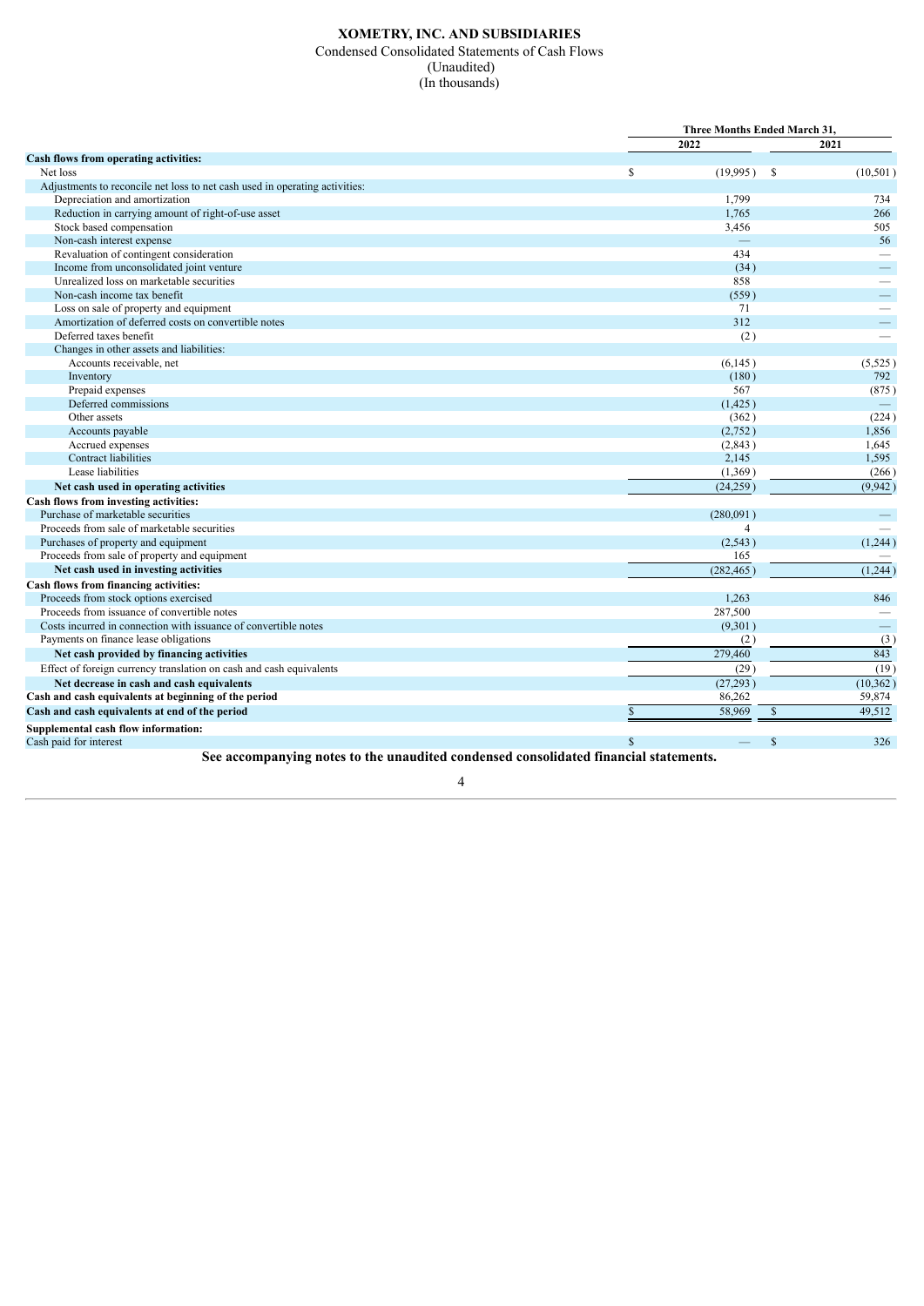## <span id="page-6-0"></span>**XOMETRY, INC. AND SUBSIDIARIES** Condensed Consolidated Statements of Cash Flows (Unaudited) (In thousands)

|                                                                             |                | Three Months Ended March 31, |                          |  |  |
|-----------------------------------------------------------------------------|----------------|------------------------------|--------------------------|--|--|
|                                                                             | 2022           |                              | 2021                     |  |  |
| Cash flows from operating activities:                                       |                |                              |                          |  |  |
| Net loss                                                                    | \$<br>(19,995) | \$                           | (10, 501)                |  |  |
| Adjustments to reconcile net loss to net cash used in operating activities: |                |                              |                          |  |  |
| Depreciation and amortization                                               | 1.799          |                              | 734                      |  |  |
| Reduction in carrying amount of right-of-use asset                          | 1,765          |                              | 266                      |  |  |
| Stock based compensation                                                    | 3,456          |                              | 505                      |  |  |
| Non-cash interest expense                                                   |                | $\equiv$                     | 56                       |  |  |
| Revaluation of contingent consideration                                     | 434            |                              |                          |  |  |
| Income from unconsolidated joint venture                                    |                | (34)                         |                          |  |  |
| Unrealized loss on marketable securities                                    | 858            |                              |                          |  |  |
| Non-cash income tax benefit                                                 | (559)          |                              |                          |  |  |
| Loss on sale of property and equipment                                      |                | 71                           |                          |  |  |
| Amortization of deferred costs on convertible notes                         | 312            |                              |                          |  |  |
| Deferred taxes benefit                                                      |                | (2)                          |                          |  |  |
| Changes in other assets and liabilities:                                    |                |                              |                          |  |  |
| Accounts receivable, net                                                    | (6,145)        |                              | (5,525)                  |  |  |
| Inventory                                                                   | (180)          |                              | 792                      |  |  |
| Prepaid expenses                                                            | 567            |                              | (875)                    |  |  |
| Deferred commissions                                                        | (1, 425)       |                              | $\overline{\phantom{m}}$ |  |  |
| Other assets                                                                | (362)          |                              | (224)                    |  |  |
| Accounts payable                                                            | (2,752)        |                              | 1,856                    |  |  |
| Accrued expenses                                                            | (2,843)        |                              | 1,645                    |  |  |
| Contract liabilities                                                        | 2,145          |                              | 1,595                    |  |  |
| Lease liabilities                                                           | (1,369)        |                              | (266)                    |  |  |
| Net cash used in operating activities                                       | (24, 259)      |                              | (9,942)                  |  |  |
| Cash flows from investing activities:                                       |                |                              |                          |  |  |
| Purchase of marketable securities                                           | (280,091)      |                              |                          |  |  |
| Proceeds from sale of marketable securities                                 |                | $\overline{4}$               |                          |  |  |
| Purchases of property and equipment                                         | (2, 543)       |                              | (1,244)                  |  |  |
| Proceeds from sale of property and equipment                                | 165            |                              |                          |  |  |
| Net cash used in investing activities                                       | (282, 465)     |                              | (1,244)                  |  |  |
| Cash flows from financing activities:                                       |                |                              |                          |  |  |
| Proceeds from stock options exercised                                       | 1,263          |                              | 846                      |  |  |
| Proceeds from issuance of convertible notes                                 | 287,500        |                              |                          |  |  |
| Costs incurred in connection with issuance of convertible notes             | (9,301)        |                              |                          |  |  |
| Payments on finance lease obligations                                       |                | (2)                          | (3)                      |  |  |
| Net cash provided by financing activities                                   | 279,460        |                              | 843                      |  |  |
|                                                                             |                |                              | (19)                     |  |  |
| Effect of foreign currency translation on cash and cash equivalents         | (29)           |                              |                          |  |  |
| Net decrease in cash and cash equivalents                                   | (27, 293)      |                              | (10, 362)                |  |  |
| Cash and cash equivalents at beginning of the period                        | 86,262         |                              | 59,874                   |  |  |
| Cash and cash equivalents at end of the period                              | \$<br>58,969   | $\mathbb{S}$                 | 49,512                   |  |  |
| Supplemental cash flow information:                                         |                |                              |                          |  |  |
| Cash paid for interest                                                      | \$             | \$                           | 326                      |  |  |

**See accompanying notes to the unaudited condensed consolidated financial statements.**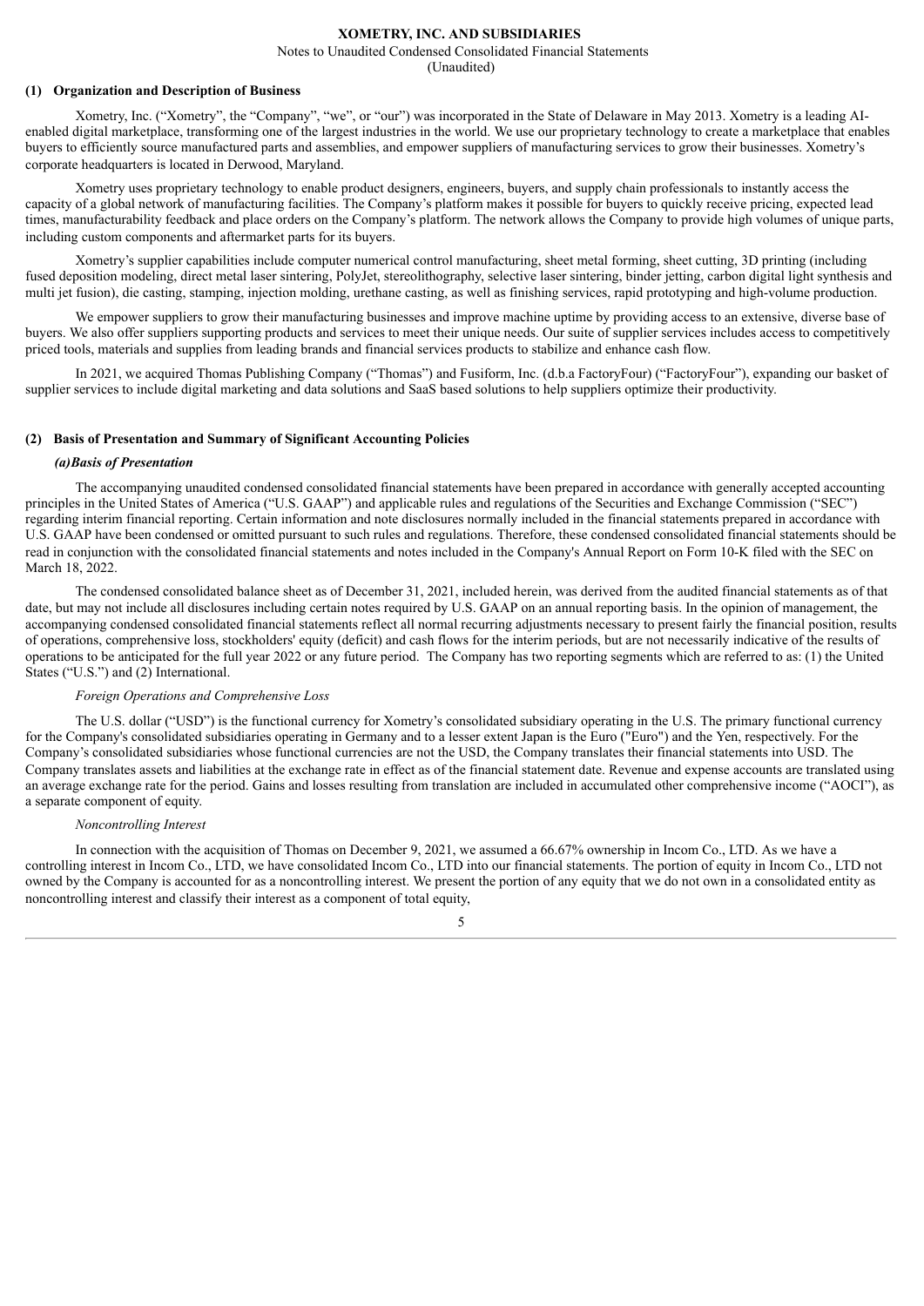#### **XOMETRY, INC. AND SUBSIDIARIES** Notes to Unaudited Condensed Consolidated Financial Statements (Unaudited)

## <span id="page-7-0"></span>**(1) Organization and Description of Business**

Xometry, Inc. ("Xometry", the "Company", "we", or "our") was incorporated in the State of Delaware in May 2013. Xometry is a leading AIenabled digital marketplace, transforming one of the largest industries in the world. We use our proprietary technology to create a marketplace that enables buyers to efficiently source manufactured parts and assemblies, and empower suppliers of manufacturing services to grow their businesses. Xometry's corporate headquarters is located in Derwood, Maryland.

Xometry uses proprietary technology to enable product designers, engineers, buyers, and supply chain professionals to instantly access the capacity of a global network of manufacturing facilities. The Company's platform makes it possible for buyers to quickly receive pricing, expected lead times, manufacturability feedback and place orders on the Company's platform. The network allows the Company to provide high volumes of unique parts, including custom components and aftermarket parts for its buyers.

Xometry's supplier capabilities include computer numerical control manufacturing, sheet metal forming, sheet cutting, 3D printing (including fused deposition modeling, direct metal laser sintering, PolyJet, stereolithography, selective laser sintering, binder jetting, carbon digital light synthesis and multi jet fusion), die casting, stamping, injection molding, urethane casting, as well as finishing services, rapid prototyping and high-volume production.

We empower suppliers to grow their manufacturing businesses and improve machine uptime by providing access to an extensive, diverse base of buyers. We also offer suppliers supporting products and services to meet their unique needs. Our suite of supplier services includes access to competitively priced tools, materials and supplies from leading brands and financial services products to stabilize and enhance cash flow.

In 2021, we acquired Thomas Publishing Company ("Thomas") and Fusiform, Inc. (d.b.a FactoryFour) ("FactoryFour"), expanding our basket of supplier services to include digital marketing and data solutions and SaaS based solutions to help suppliers optimize their productivity.

## **(2) Basis of Presentation and Summary of Significant Accounting Policies**

#### *(a)Basis of Presentation*

The accompanying unaudited condensed consolidated financial statements have been prepared in accordance with generally accepted accounting principles in the United States of America ("U.S. GAAP") and applicable rules and regulations of the Securities and Exchange Commission ("SEC") regarding interim financial reporting. Certain information and note disclosures normally included in the financial statements prepared in accordance with U.S. GAAP have been condensed or omitted pursuant to such rules and regulations. Therefore, these condensed consolidated financial statements should be read in conjunction with the consolidated financial statements and notes included in the Company's Annual Report on Form 10-K filed with the SEC on March 18, 2022.

The condensed consolidated balance sheet as of December 31, 2021, included herein, was derived from the audited financial statements as of that date, but may not include all disclosures including certain notes required by U.S. GAAP on an annual reporting basis. In the opinion of management, the accompanying condensed consolidated financial statements reflect all normal recurring adjustments necessary to present fairly the financial position, results of operations, comprehensive loss, stockholders' equity (deficit) and cash flows for the interim periods, but are not necessarily indicative of the results of operations to be anticipated for the full year 2022 or any future period. The Company has two reporting segments which are referred to as: (1) the United States ("U.S.") and (2) International.

## *Foreign Operations and Comprehensive Loss*

The U.S. dollar ("USD") is the functional currency for Xometry's consolidated subsidiary operating in the U.S. The primary functional currency for the Company's consolidated subsidiaries operating in Germany and to a lesser extent Japan is the Euro ("Euro") and the Yen, respectively. For the Company's consolidated subsidiaries whose functional currencies are not the USD, the Company translates their financial statements into USD. The Company translates assets and liabilities at the exchange rate in effect as of the financial statement date. Revenue and expense accounts are translated using an average exchange rate for the period. Gains and losses resulting from translation are included in accumulated other comprehensive income ("AOCI"), as a separate component of equity.

## *Noncontrolling Interest*

In connection with the acquisition of Thomas on December 9, 2021, we assumed a 66.67% ownership in Incom Co., LTD. As we have a controlling interest in Incom Co., LTD, we have consolidated Incom Co., LTD into our financial statements. The portion of equity in Incom Co., LTD not owned by the Company is accounted for as a noncontrolling interest. We present the portion of any equity that we do not own in a consolidated entity as noncontrolling interest and classify their interest as a component of total equity,

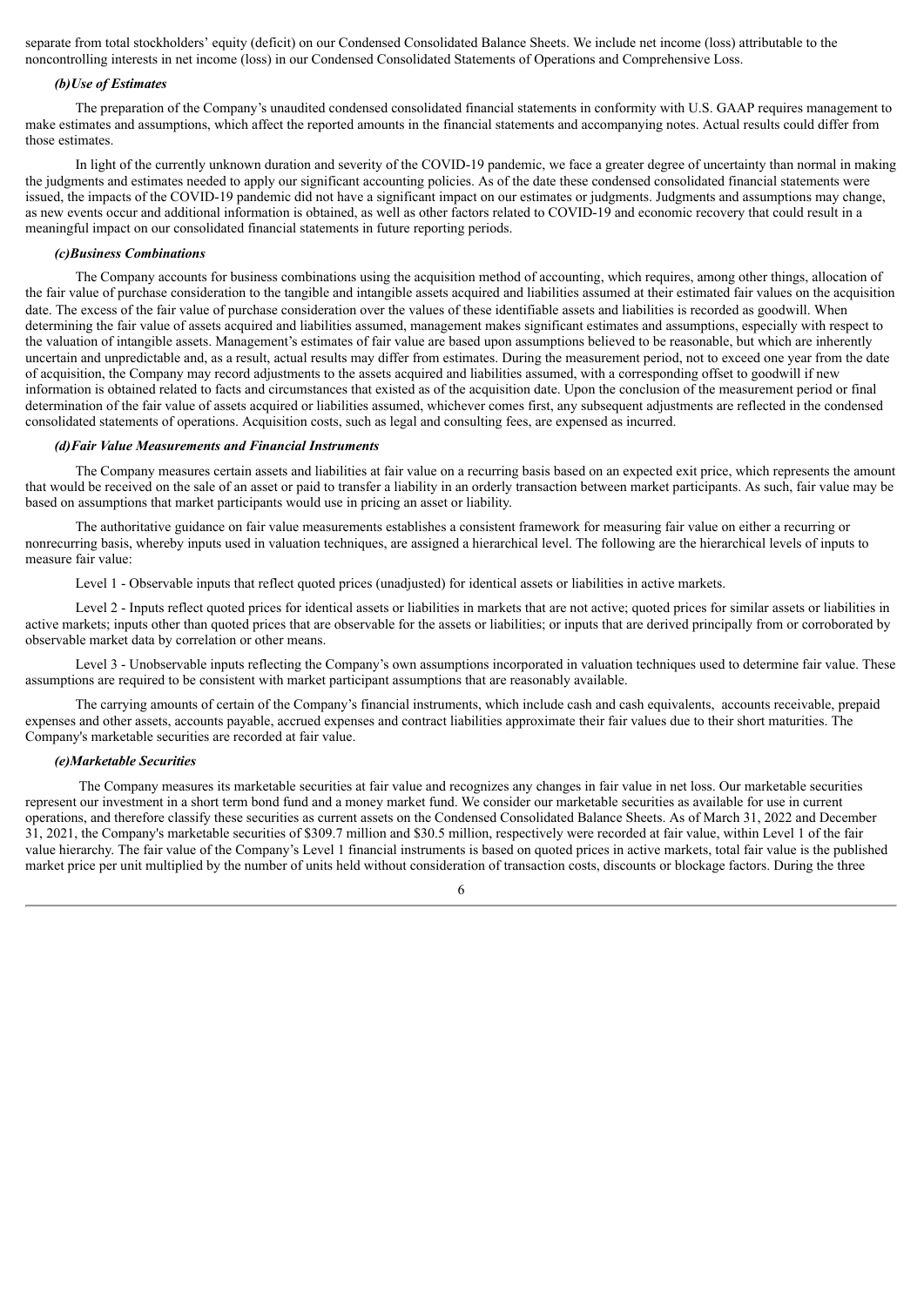separate from total stockholders' equity (deficit) on our Condensed Consolidated Balance Sheets. We include net income (loss) attributable to the noncontrolling interests in net income (loss) in our Condensed Consolidated Statements of Operations and Comprehensive Loss.

## *(b)Use of Estimates*

The preparation of the Company's unaudited condensed consolidated financial statements in conformity with U.S. GAAP requires management to make estimates and assumptions, which affect the reported amounts in the financial statements and accompanying notes. Actual results could differ from those estimates.

In light of the currently unknown duration and severity of the COVID-19 pandemic, we face a greater degree of uncertainty than normal in making the judgments and estimates needed to apply our significant accounting policies. As of the date these condensed consolidated financial statements were issued, the impacts of the COVID-19 pandemic did not have a significant impact on our estimates or judgments. Judgments and assumptions may change, as new events occur and additional information is obtained, as well as other factors related to COVID-19 and economic recovery that could result in a meaningful impact on our consolidated financial statements in future reporting periods.

## *(c)Business Combinations*

The Company accounts for business combinations using the acquisition method of accounting, which requires, among other things, allocation of the fair value of purchase consideration to the tangible and intangible assets acquired and liabilities assumed at their estimated fair values on the acquisition date. The excess of the fair value of purchase consideration over the values of these identifiable assets and liabilities is recorded as goodwill. When determining the fair value of assets acquired and liabilities assumed, management makes significant estimates and assumptions, especially with respect to the valuation of intangible assets. Management's estimates of fair value are based upon assumptions believed to be reasonable, but which are inherently uncertain and unpredictable and, as a result, actual results may differ from estimates. During the measurement period, not to exceed one year from the date of acquisition, the Company may record adjustments to the assets acquired and liabilities assumed, with a corresponding offset to goodwill if new information is obtained related to facts and circumstances that existed as of the acquisition date. Upon the conclusion of the measurement period or final determination of the fair value of assets acquired or liabilities assumed, whichever comes first, any subsequent adjustments are reflected in the condensed consolidated statements of operations. Acquisition costs, such as legal and consulting fees, are expensed as incurred.

#### *(d)Fair Value Measurements and Financial Instruments*

The Company measures certain assets and liabilities at fair value on a recurring basis based on an expected exit price, which represents the amount that would be received on the sale of an asset or paid to transfer a liability in an orderly transaction between market participants. As such, fair value may be based on assumptions that market participants would use in pricing an asset or liability.

The authoritative guidance on fair value measurements establishes a consistent framework for measuring fair value on either a recurring or nonrecurring basis, whereby inputs used in valuation techniques, are assigned a hierarchical level. The following are the hierarchical levels of inputs to measure fair value:

Level 1 - Observable inputs that reflect quoted prices (unadjusted) for identical assets or liabilities in active markets.

Level 2 - Inputs reflect quoted prices for identical assets or liabilities in markets that are not active; quoted prices for similar assets or liabilities in active markets; inputs other than quoted prices that are observable for the assets or liabilities; or inputs that are derived principally from or corroborated by observable market data by correlation or other means.

Level 3 - Unobservable inputs reflecting the Company's own assumptions incorporated in valuation techniques used to determine fair value. These assumptions are required to be consistent with market participant assumptions that are reasonably available.

The carrying amounts of certain of the Company's financial instruments, which include cash and cash equivalents, accounts receivable, prepaid expenses and other assets, accounts payable, accrued expenses and contract liabilities approximate their fair values due to their short maturities. The Company's marketable securities are recorded at fair value.

## *(e)Marketable Securities*

The Company measures its marketable securities at fair value and recognizes any changes in fair value in net loss. Our marketable securities represent our investment in a short term bond fund and a money market fund. We consider our marketable securities as available for use in current operations, and therefore classify these securities as current assets on the Condensed Consolidated Balance Sheets. As of March 31, 2022 and December 31, 2021, the Company's marketable securities of \$309.7 million and \$30.5 million, respectively were recorded at fair value, within Level 1 of the fair value hierarchy. The fair value of the Company's Level 1 financial instruments is based on quoted prices in active markets, total fair value is the published market price per unit multiplied by the number of units held without consideration of transaction costs, discounts or blockage factors. During the three

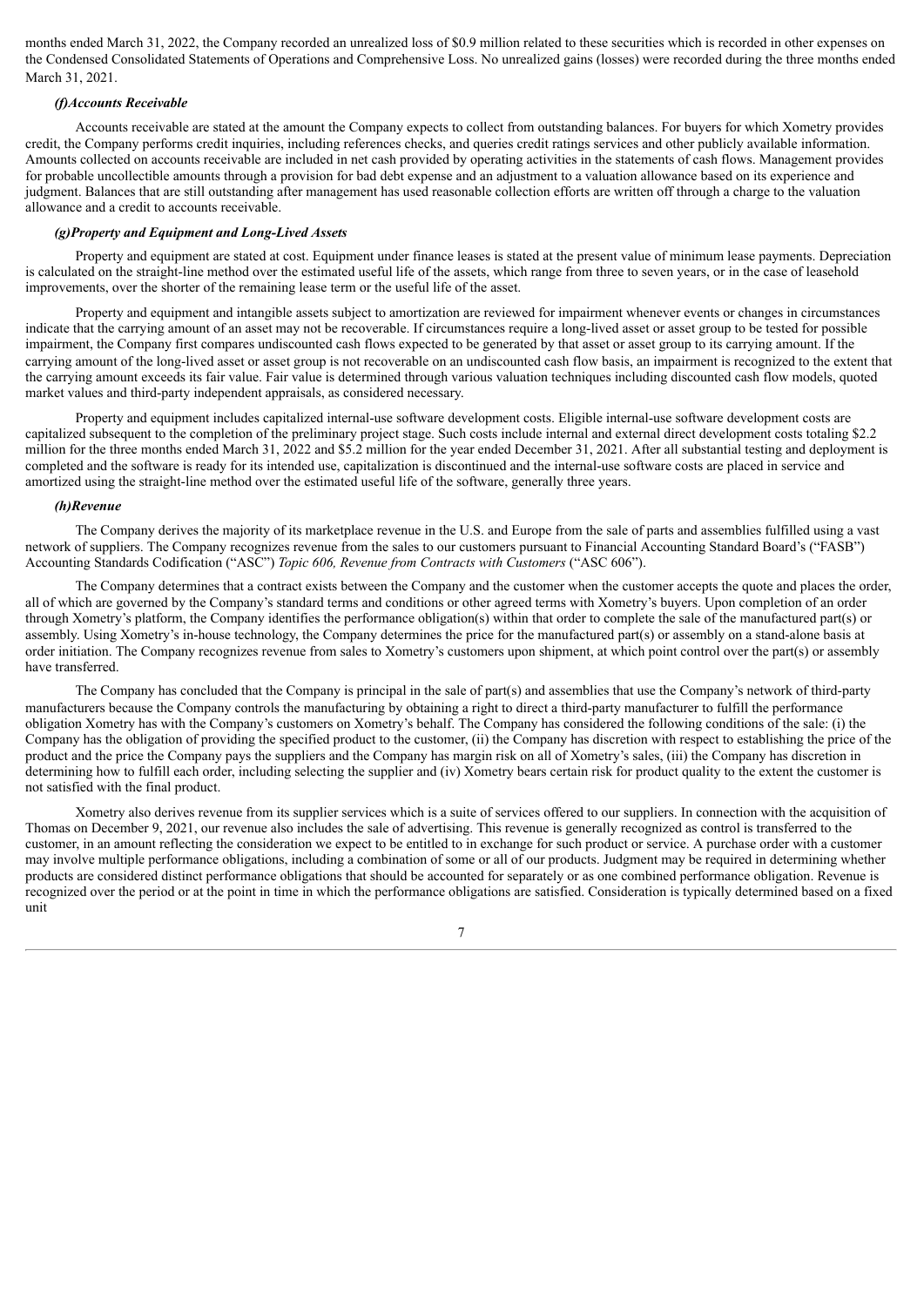months ended March 31, 2022, the Company recorded an unrealized loss of \$0.9 million related to these securities which is recorded in other expenses on the Condensed Consolidated Statements of Operations and Comprehensive Loss. No unrealized gains (losses) were recorded during the three months ended March 31, 2021.

#### *(f)Accounts Receivable*

Accounts receivable are stated at the amount the Company expects to collect from outstanding balances. For buyers for which Xometry provides credit, the Company performs credit inquiries, including references checks, and queries credit ratings services and other publicly available information. Amounts collected on accounts receivable are included in net cash provided by operating activities in the statements of cash flows. Management provides for probable uncollectible amounts through a provision for bad debt expense and an adjustment to a valuation allowance based on its experience and judgment. Balances that are still outstanding after management has used reasonable collection efforts are written off through a charge to the valuation allowance and a credit to accounts receivable.

## *(g)Property and Equipment and Long-Lived Assets*

Property and equipment are stated at cost. Equipment under finance leases is stated at the present value of minimum lease payments. Depreciation is calculated on the straight-line method over the estimated useful life of the assets, which range from three to seven years, or in the case of leasehold improvements, over the shorter of the remaining lease term or the useful life of the asset.

Property and equipment and intangible assets subject to amortization are reviewed for impairment whenever events or changes in circumstances indicate that the carrying amount of an asset may not be recoverable. If circumstances require a long-lived asset or asset group to be tested for possible impairment, the Company first compares undiscounted cash flows expected to be generated by that asset or asset group to its carrying amount. If the carrying amount of the long-lived asset or asset group is not recoverable on an undiscounted cash flow basis, an impairment is recognized to the extent that the carrying amount exceeds its fair value. Fair value is determined through various valuation techniques including discounted cash flow models, quoted market values and third-party independent appraisals, as considered necessary.

Property and equipment includes capitalized internal-use software development costs. Eligible internal-use software development costs are capitalized subsequent to the completion of the preliminary project stage. Such costs include internal and external direct development costs totaling \$2.2 million for the three months ended March 31, 2022 and \$5.2 million for the year ended December 31, 2021. After all substantial testing and deployment is completed and the software is ready for its intended use, capitalization is discontinued and the internal-use software costs are placed in service and amortized using the straight-line method over the estimated useful life of the software, generally three years.

#### *(h)Revenue*

The Company derives the majority of its marketplace revenue in the U.S. and Europe from the sale of parts and assemblies fulfilled using a vast network of suppliers. The Company recognizes revenue from the sales to our customers pursuant to Financial Accounting Standard Board's ("FASB") Accounting Standards Codification ("ASC") *Topic 606, Revenue from Contracts with Customers* ("ASC 606").

The Company determines that a contract exists between the Company and the customer when the customer accepts the quote and places the order, all of which are governed by the Company's standard terms and conditions or other agreed terms with Xometry's buyers. Upon completion of an order through Xometry's platform, the Company identifies the performance obligation(s) within that order to complete the sale of the manufactured part(s) or assembly. Using Xometry's in-house technology, the Company determines the price for the manufactured part(s) or assembly on a stand-alone basis at order initiation. The Company recognizes revenue from sales to Xometry's customers upon shipment, at which point control over the part(s) or assembly have transferred.

The Company has concluded that the Company is principal in the sale of part(s) and assemblies that use the Company's network of third-party manufacturers because the Company controls the manufacturing by obtaining a right to direct a third-party manufacturer to fulfill the performance obligation Xometry has with the Company's customers on Xometry's behalf. The Company has considered the following conditions of the sale: (i) the Company has the obligation of providing the specified product to the customer, (ii) the Company has discretion with respect to establishing the price of the product and the price the Company pays the suppliers and the Company has margin risk on all of Xometry's sales, (iii) the Company has discretion in determining how to fulfill each order, including selecting the supplier and (iv) Xometry bears certain risk for product quality to the extent the customer is not satisfied with the final product.

Xometry also derives revenue from its supplier services which is a suite of services offered to our suppliers. In connection with the acquisition of Thomas on December 9, 2021, our revenue also includes the sale of advertising. This revenue is generally recognized as control is transferred to the customer, in an amount reflecting the consideration we expect to be entitled to in exchange for such product or service. A purchase order with a customer may involve multiple performance obligations, including a combination of some or all of our products. Judgment may be required in determining whether products are considered distinct performance obligations that should be accounted for separately or as one combined performance obligation. Revenue is recognized over the period or at the point in time in which the performance obligations are satisfied. Consideration is typically determined based on a fixed unit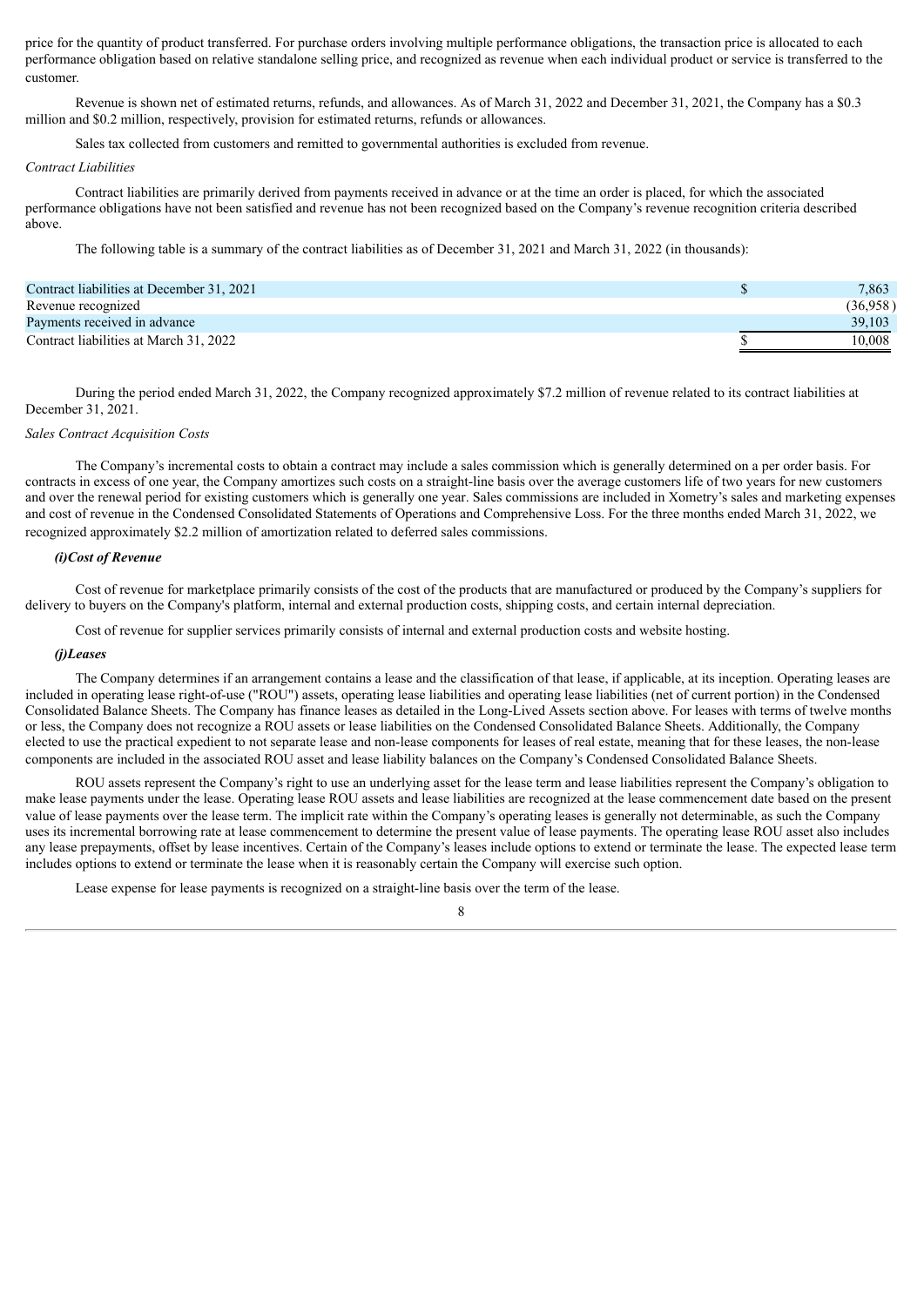price for the quantity of product transferred. For purchase orders involving multiple performance obligations, the transaction price is allocated to each performance obligation based on relative standalone selling price, and recognized as revenue when each individual product or service is transferred to the customer.

Revenue is shown net of estimated returns, refunds, and allowances. As of March 31, 2022 and December 31, 2021, the Company has a \$0.3 million and \$0.2 million, respectively, provision for estimated returns, refunds or allowances.

Sales tax collected from customers and remitted to governmental authorities is excluded from revenue.

#### *Contract Liabilities*

Contract liabilities are primarily derived from payments received in advance or at the time an order is placed, for which the associated performance obligations have not been satisfied and revenue has not been recognized based on the Company's revenue recognition criteria described above.

The following table is a summary of the contract liabilities as of December 31, 2021 and March 31, 2022 (in thousands):

| Contract liabilities at December 31, 2021 | 7.863    |
|-------------------------------------------|----------|
| Revenue recognized                        | (36.958) |
| Payments received in advance              | 39.103   |
| Contract liabilities at March 31, 2022    | 10.008   |

During the period ended March 31, 2022, the Company recognized approximately \$7.2 million of revenue related to its contract liabilities at December 31, 2021.

#### *Sales Contract Acquisition Costs*

The Company's incremental costs to obtain a contract may include a sales commission which is generally determined on a per order basis. For contracts in excess of one year, the Company amortizes such costs on a straight-line basis over the average customers life of two years for new customers and over the renewal period for existing customers which is generally one year. Sales commissions are included in Xometry's sales and marketing expenses and cost of revenue in the Condensed Consolidated Statements of Operations and Comprehensive Loss. For the three months ended March 31, 2022, we recognized approximately \$2.2 million of amortization related to deferred sales commissions.

#### *(i)Cost of Revenue*

Cost of revenue for marketplace primarily consists of the cost of the products that are manufactured or produced by the Company's suppliers for delivery to buyers on the Company's platform, internal and external production costs, shipping costs, and certain internal depreciation.

Cost of revenue for supplier services primarily consists of internal and external production costs and website hosting.

#### *(j)Leases*

The Company determines if an arrangement contains a lease and the classification of that lease, if applicable, at its inception. Operating leases are included in operating lease right-of-use ("ROU") assets, operating lease liabilities and operating lease liabilities (net of current portion) in the Condensed Consolidated Balance Sheets. The Company has finance leases as detailed in the Long-Lived Assets section above. For leases with terms of twelve months or less, the Company does not recognize a ROU assets or lease liabilities on the Condensed Consolidated Balance Sheets. Additionally, the Company elected to use the practical expedient to not separate lease and non-lease components for leases of real estate, meaning that for these leases, the non-lease components are included in the associated ROU asset and lease liability balances on the Company's Condensed Consolidated Balance Sheets.

ROU assets represent the Company's right to use an underlying asset for the lease term and lease liabilities represent the Company's obligation to make lease payments under the lease. Operating lease ROU assets and lease liabilities are recognized at the lease commencement date based on the present value of lease payments over the lease term. The implicit rate within the Company's operating leases is generally not determinable, as such the Company uses its incremental borrowing rate at lease commencement to determine the present value of lease payments. The operating lease ROU asset also includes any lease prepayments, offset by lease incentives. Certain of the Company's leases include options to extend or terminate the lease. The expected lease term includes options to extend or terminate the lease when it is reasonably certain the Company will exercise such option.

Lease expense for lease payments is recognized on a straight-line basis over the term of the lease.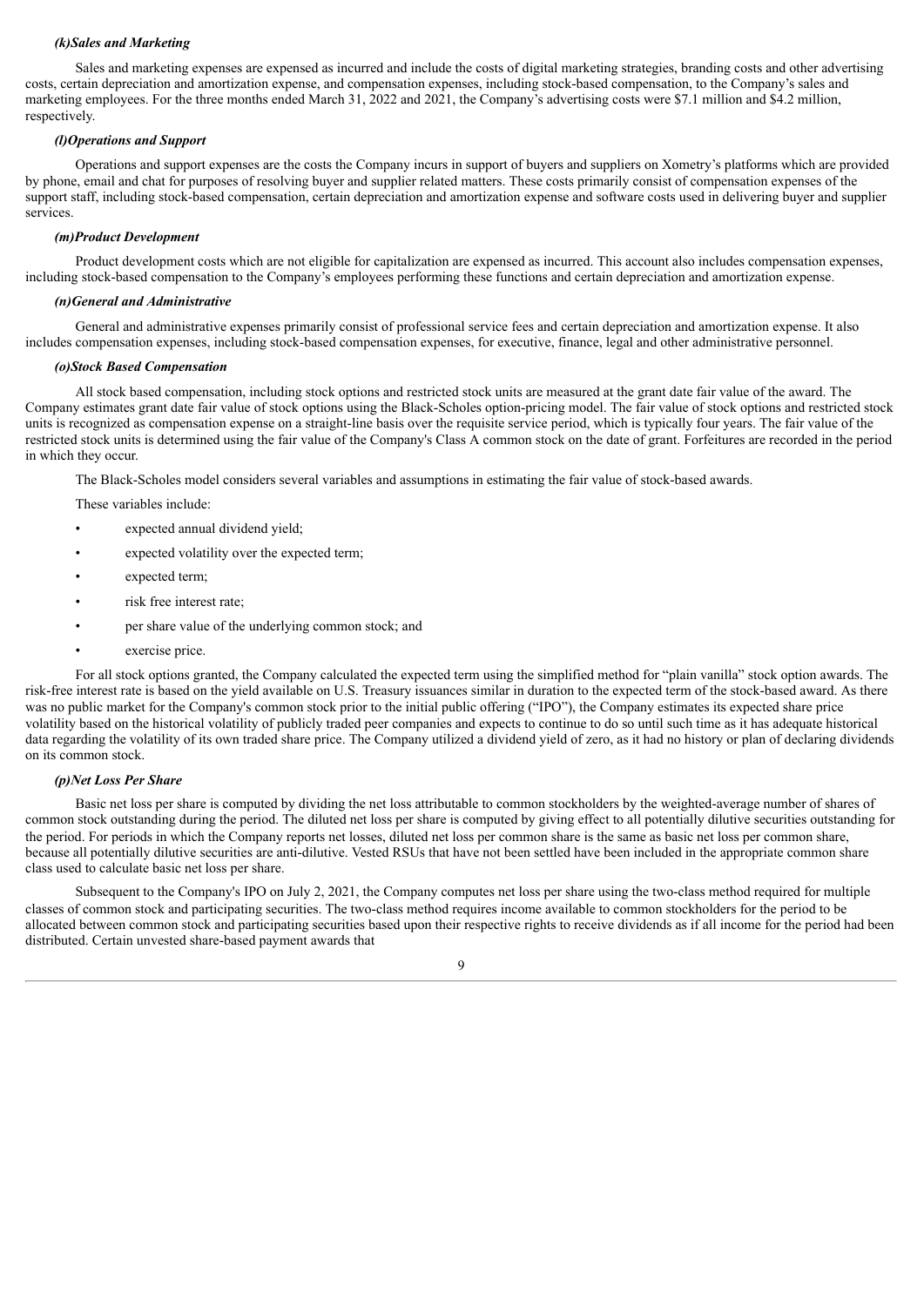## *(k)Sales and Marketing*

Sales and marketing expenses are expensed as incurred and include the costs of digital marketing strategies, branding costs and other advertising costs, certain depreciation and amortization expense, and compensation expenses, including stock-based compensation, to the Company's sales and marketing employees. For the three months ended March 31, 2022 and 2021, the Company's advertising costs were \$7.1 million and \$4.2 million, respectively.

#### *(l)Operations and Support*

Operations and support expenses are the costs the Company incurs in support of buyers and suppliers on Xometry's platforms which are provided by phone, email and chat for purposes of resolving buyer and supplier related matters. These costs primarily consist of compensation expenses of the support staff, including stock-based compensation, certain depreciation and amortization expense and software costs used in delivering buyer and supplier services.

#### *(m)Product Development*

Product development costs which are not eligible for capitalization are expensed as incurred. This account also includes compensation expenses, including stock-based compensation to the Company's employees performing these functions and certain depreciation and amortization expense.

## *(n)General and Administrative*

General and administrative expenses primarily consist of professional service fees and certain depreciation and amortization expense. It also includes compensation expenses, including stock-based compensation expenses, for executive, finance, legal and other administrative personnel.

## *(o)Stock Based Compensation*

All stock based compensation, including stock options and restricted stock units are measured at the grant date fair value of the award. The Company estimates grant date fair value of stock options using the Black-Scholes option-pricing model. The fair value of stock options and restricted stock units is recognized as compensation expense on a straight-line basis over the requisite service period, which is typically four years. The fair value of the restricted stock units is determined using the fair value of the Company's Class A common stock on the date of grant. Forfeitures are recorded in the period in which they occur.

The Black-Scholes model considers several variables and assumptions in estimating the fair value of stock-based awards.

These variables include:

- expected annual dividend yield;
- expected volatility over the expected term;
- expected term;
- risk free interest rate;
- per share value of the underlying common stock; and
- exercise price.

For all stock options granted, the Company calculated the expected term using the simplified method for "plain vanilla" stock option awards. The risk-free interest rate is based on the yield available on U.S. Treasury issuances similar in duration to the expected term of the stock-based award. As there was no public market for the Company's common stock prior to the initial public offering ("IPO"), the Company estimates its expected share price volatility based on the historical volatility of publicly traded peer companies and expects to continue to do so until such time as it has adequate historical data regarding the volatility of its own traded share price. The Company utilized a dividend yield of zero, as it had no history or plan of declaring dividends on its common stock.

# *(p)Net Loss Per Share*

Basic net loss per share is computed by dividing the net loss attributable to common stockholders by the weighted-average number of shares of common stock outstanding during the period. The diluted net loss per share is computed by giving effect to all potentially dilutive securities outstanding for the period. For periods in which the Company reports net losses, diluted net loss per common share is the same as basic net loss per common share, because all potentially dilutive securities are anti-dilutive. Vested RSUs that have not been settled have been included in the appropriate common share class used to calculate basic net loss per share.

Subsequent to the Company's IPO on July 2, 2021, the Company computes net loss per share using the two-class method required for multiple classes of common stock and participating securities. The two-class method requires income available to common stockholders for the period to be allocated between common stock and participating securities based upon their respective rights to receive dividends as if all income for the period had been distributed. Certain unvested share-based payment awards that

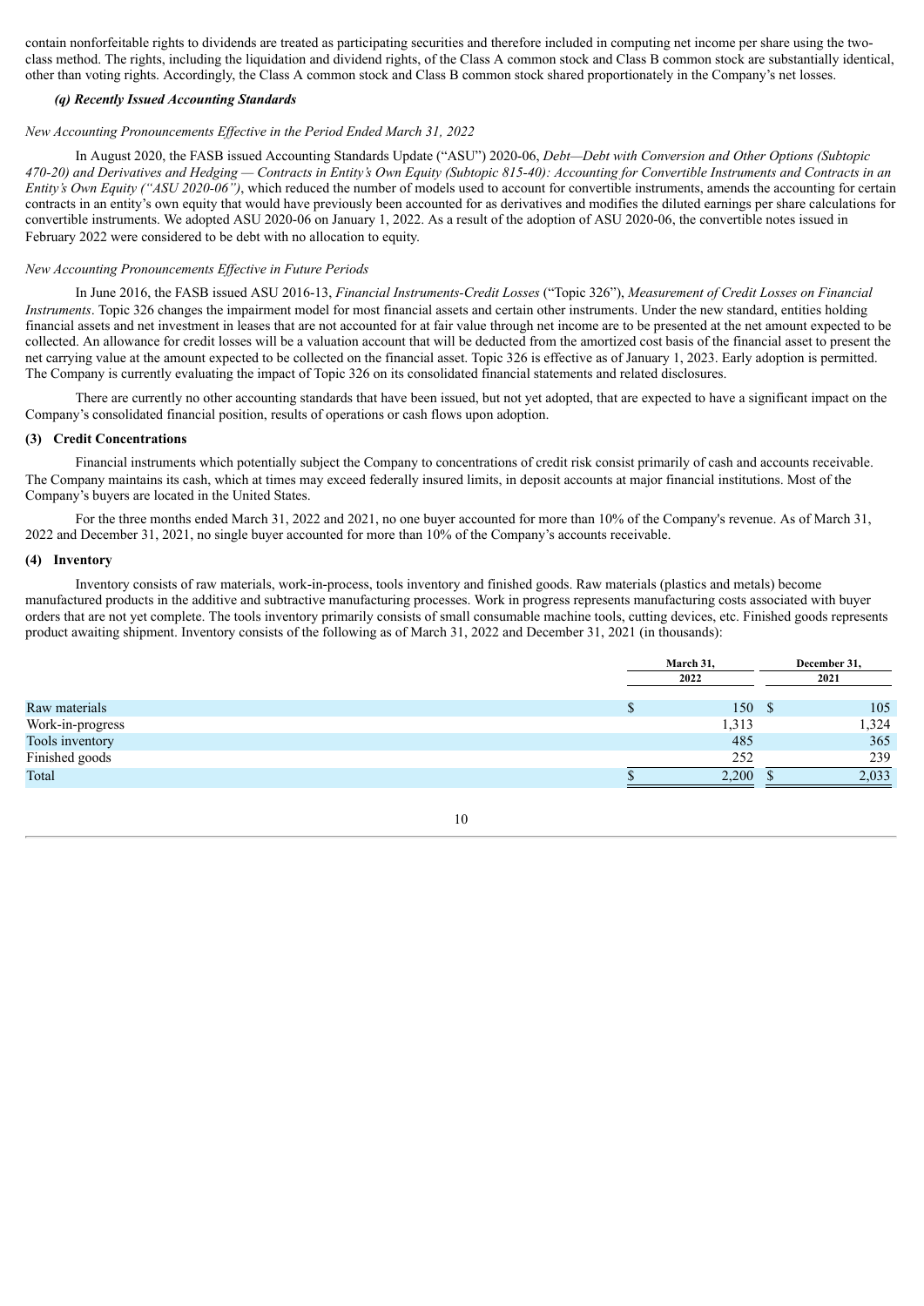contain nonforfeitable rights to dividends are treated as participating securities and therefore included in computing net income per share using the twoclass method. The rights, including the liquidation and dividend rights, of the Class A common stock and Class B common stock are substantially identical, other than voting rights. Accordingly, the Class A common stock and Class B common stock shared proportionately in the Company's net losses.

#### *(q) Recently Issued Accounting Standards*

#### *New Accounting Pronouncements Ef ective in the Period Ended March 31, 2022*

In August 2020, the FASB issued Accounting Standards Update ("ASU") 2020-06, *Debt—Debt with Conversion and Other Options (Subtopic* 470-20) and Derivatives and Hedging — Contracts in Entity's Own Equity (Subtopic 815-40): Accounting for Convertible Instruments and Contracts in an *Entity's Own Equity ("ASU 2020-06")*, which reduced the number of models used to account for convertible instruments, amends the accounting for certain contracts in an entity's own equity that would have previously been accounted for as derivatives and modifies the diluted earnings per share calculations for convertible instruments. We adopted ASU 2020-06 on January 1, 2022. As a result of the adoption of ASU 2020-06, the convertible notes issued in February 2022 were considered to be debt with no allocation to equity.

#### *New Accounting Pronouncements Ef ective in Future Periods*

In June 2016, the FASB issued ASU 2016-13, *Financial Instruments-Credit Losses* ("Topic 326"), *Measurement of Credit Losses on Financial Instruments*. Topic 326 changes the impairment model for most financial assets and certain other instruments. Under the new standard, entities holding financial assets and net investment in leases that are not accounted for at fair value through net income are to be presented at the net amount expected to be collected. An allowance for credit losses will be a valuation account that will be deducted from the amortized cost basis of the financial asset to present the net carrying value at the amount expected to be collected on the financial asset. Topic 326 is effective as of January 1, 2023. Early adoption is permitted. The Company is currently evaluating the impact of Topic 326 on its consolidated financial statements and related disclosures.

There are currently no other accounting standards that have been issued, but not yet adopted, that are expected to have a significant impact on the Company's consolidated financial position, results of operations or cash flows upon adoption.

#### **(3) Credit Concentrations**

Financial instruments which potentially subject the Company to concentrations of credit risk consist primarily of cash and accounts receivable. The Company maintains its cash, which at times may exceed federally insured limits, in deposit accounts at major financial institutions. Most of the Company's buyers are located in the United States.

For the three months ended March 31, 2022 and 2021, no one buyer accounted for more than 10% of the Company's revenue. As of March 31, 2022 and December 31, 2021, no single buyer accounted for more than 10% of the Company's accounts receivable.

#### **(4) Inventory**

Inventory consists of raw materials, work-in-process, tools inventory and finished goods. Raw materials (plastics and metals) become manufactured products in the additive and subtractive manufacturing processes. Work in progress represents manufacturing costs associated with buyer orders that are not yet complete. The tools inventory primarily consists of small consumable machine tools, cutting devices, etc. Finished goods represents product awaiting shipment. Inventory consists of the following as of March 31, 2022 and December 31, 2021 (in thousands):

|                  | March 31, | December 31, |       |  |
|------------------|-----------|--------------|-------|--|
|                  | 2022      |              | 2021  |  |
| Raw materials    | 150       |              | 105   |  |
| Work-in-progress | 1,313     |              | 1,324 |  |
| Tools inventory  | 485       |              | 365   |  |
| Finished goods   | 252       |              | 239   |  |
| Total            | 2,200     |              | 2,033 |  |

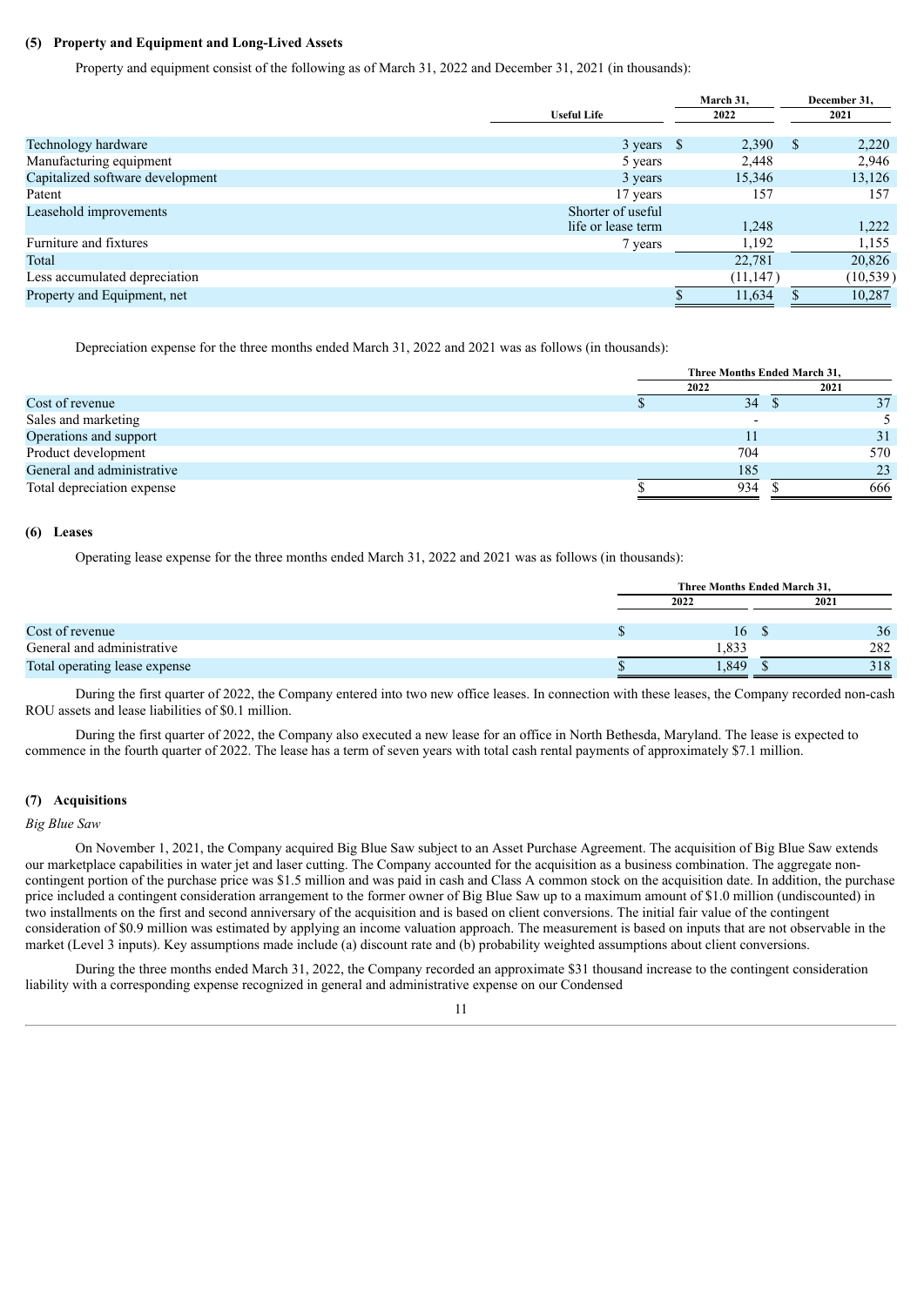## **(5) Property and Equipment and Long-Lived Assets**

Property and equipment consist of the following as of March 31, 2022 and December 31, 2021 (in thousands):

|                                  |                                         |  | March 31, |    | December 31, |
|----------------------------------|-----------------------------------------|--|-----------|----|--------------|
|                                  | <b>Useful Life</b>                      |  | 2022      |    | 2021         |
| Technology hardware              | $3 \text{ years}$ \$                    |  | 2,390     | -S | 2,220        |
| Manufacturing equipment          | 5 years                                 |  | 2,448     |    | 2,946        |
| Capitalized software development | 3 years                                 |  | 15,346    |    | 13,126       |
| Patent                           | 17 years                                |  | 157       |    | 157          |
| Leasehold improvements           | Shorter of useful<br>life or lease term |  | 1,248     |    | 1,222        |
| Furniture and fixtures           | 7 years                                 |  | 1,192     |    | 1,155        |
| Total                            |                                         |  | 22,781    |    | 20,826       |
| Less accumulated depreciation    |                                         |  | (11, 147) |    | (10, 539)    |
| Property and Equipment, net      |                                         |  | 11,634    |    | 10,287       |

Depreciation expense for the three months ended March 31, 2022 and 2021 was as follows (in thousands):

|                            |      | Three Months Ended March 31, |  |      |  |  |
|----------------------------|------|------------------------------|--|------|--|--|
|                            | 2022 |                              |  | 2021 |  |  |
| Cost of revenue            |      | 34                           |  | 37   |  |  |
| Sales and marketing        |      |                              |  |      |  |  |
| Operations and support     |      |                              |  | 31   |  |  |
| Product development        |      | 704                          |  | 570  |  |  |
| General and administrative |      | 185                          |  | 23   |  |  |
| Total depreciation expense |      | 934                          |  | 666  |  |  |
|                            |      |                              |  |      |  |  |

#### **(6) Leases**

Operating lease expense for the three months ended March 31, 2022 and 2021 was as follows (in thousands):

|                               | Three Months Ended March 31, |       |  |      |  |  |
|-------------------------------|------------------------------|-------|--|------|--|--|
|                               | 2022                         |       |  | 2021 |  |  |
| Cost of revenue               |                              | 16    |  | 36   |  |  |
| General and administrative    |                              | .833  |  | 282  |  |  |
| Total operating lease expense |                              | 1.849 |  | 318  |  |  |

During the first quarter of 2022, the Company entered into two new office leases. In connection with these leases, the Company recorded non-cash ROU assets and lease liabilities of \$0.1 million.

During the first quarter of 2022, the Company also executed a new lease for an office in North Bethesda, Maryland. The lease is expected to commence in the fourth quarter of 2022. The lease has a term of seven years with total cash rental payments of approximately \$7.1 million.

#### **(7) Acquisitions**

#### *Big Blue Saw*

On November 1, 2021, the Company acquired Big Blue Saw subject to an Asset Purchase Agreement. The acquisition of Big Blue Saw extends our marketplace capabilities in water jet and laser cutting. The Company accounted for the acquisition as a business combination. The aggregate noncontingent portion of the purchase price was \$1.5 million and was paid in cash and Class A common stock on the acquisition date. In addition, the purchase price included a contingent consideration arrangement to the former owner of Big Blue Saw up to a maximum amount of \$1.0 million (undiscounted) in two installments on the first and second anniversary of the acquisition and is based on client conversions. The initial fair value of the contingent consideration of \$0.9 million was estimated by applying an income valuation approach. The measurement is based on inputs that are not observable in the market (Level 3 inputs). Key assumptions made include (a) discount rate and (b) probability weighted assumptions about client conversions.

During the three months ended March 31, 2022, the Company recorded an approximate \$31 thousand increase to the contingent consideration liability with a corresponding expense recognized in general and administrative expense on our Condensed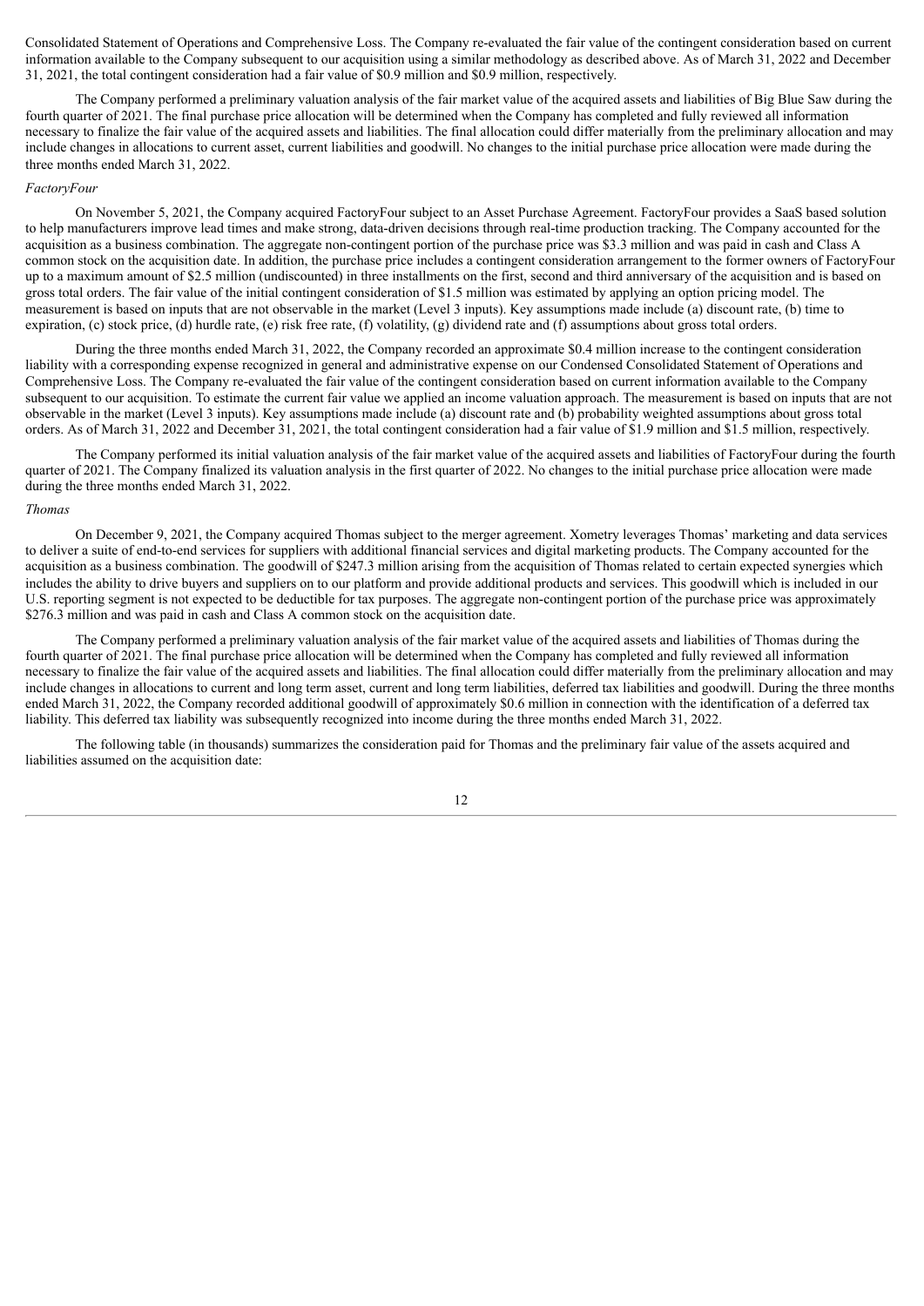Consolidated Statement of Operations and Comprehensive Loss. The Company re-evaluated the fair value of the contingent consideration based on current information available to the Company subsequent to our acquisition using a similar methodology as described above. As of March 31, 2022 and December 31, 2021, the total contingent consideration had a fair value of \$0.9 million and \$0.9 million, respectively.

The Company performed a preliminary valuation analysis of the fair market value of the acquired assets and liabilities of Big Blue Saw during the fourth quarter of 2021. The final purchase price allocation will be determined when the Company has completed and fully reviewed all information necessary to finalize the fair value of the acquired assets and liabilities. The final allocation could differ materially from the preliminary allocation and may include changes in allocations to current asset, current liabilities and goodwill. No changes to the initial purchase price allocation were made during the three months ended March 31, 2022.

#### *FactoryFour*

On November 5, 2021, the Company acquired FactoryFour subject to an Asset Purchase Agreement. FactoryFour provides a SaaS based solution to help manufacturers improve lead times and make strong, data-driven decisions through real-time production tracking. The Company accounted for the acquisition as a business combination. The aggregate non-contingent portion of the purchase price was \$3.3 million and was paid in cash and Class A common stock on the acquisition date. In addition, the purchase price includes a contingent consideration arrangement to the former owners of FactoryFour up to a maximum amount of \$2.5 million (undiscounted) in three installments on the first, second and third anniversary of the acquisition and is based on gross total orders. The fair value of the initial contingent consideration of \$1.5 million was estimated by applying an option pricing model. The measurement is based on inputs that are not observable in the market (Level 3 inputs). Key assumptions made include (a) discount rate, (b) time to expiration, (c) stock price, (d) hurdle rate, (e) risk free rate, (f) volatility, (g) dividend rate and (f) assumptions about gross total orders.

During the three months ended March 31, 2022, the Company recorded an approximate \$0.4 million increase to the contingent consideration liability with a corresponding expense recognized in general and administrative expense on our Condensed Consolidated Statement of Operations and Comprehensive Loss. The Company re-evaluated the fair value of the contingent consideration based on current information available to the Company subsequent to our acquisition. To estimate the current fair value we applied an income valuation approach. The measurement is based on inputs that are not observable in the market (Level 3 inputs). Key assumptions made include (a) discount rate and (b) probability weighted assumptions about gross total orders. As of March 31, 2022 and December 31, 2021, the total contingent consideration had a fair value of \$1.9 million and \$1.5 million, respectively.

The Company performed its initial valuation analysis of the fair market value of the acquired assets and liabilities of FactoryFour during the fourth quarter of 2021. The Company finalized its valuation analysis in the first quarter of 2022. No changes to the initial purchase price allocation were made during the three months ended March 31, 2022.

#### *Thomas*

On December 9, 2021, the Company acquired Thomas subject to the merger agreement. Xometry leverages Thomas' marketing and data services to deliver a suite of end-to-end services for suppliers with additional financial services and digital marketing products. The Company accounted for the acquisition as a business combination. The goodwill of \$247.3 million arising from the acquisition of Thomas related to certain expected synergies which includes the ability to drive buyers and suppliers on to our platform and provide additional products and services. This goodwill which is included in our U.S. reporting segment is not expected to be deductible for tax purposes. The aggregate non-contingent portion of the purchase price was approximately \$276.3 million and was paid in cash and Class A common stock on the acquisition date.

The Company performed a preliminary valuation analysis of the fair market value of the acquired assets and liabilities of Thomas during the fourth quarter of 2021. The final purchase price allocation will be determined when the Company has completed and fully reviewed all information necessary to finalize the fair value of the acquired assets and liabilities. The final allocation could differ materially from the preliminary allocation and may include changes in allocations to current and long term asset, current and long term liabilities, deferred tax liabilities and goodwill. During the three months ended March 31, 2022, the Company recorded additional goodwill of approximately \$0.6 million in connection with the identification of a deferred tax liability. This deferred tax liability was subsequently recognized into income during the three months ended March 31, 2022.

The following table (in thousands) summarizes the consideration paid for Thomas and the preliminary fair value of the assets acquired and liabilities assumed on the acquisition date: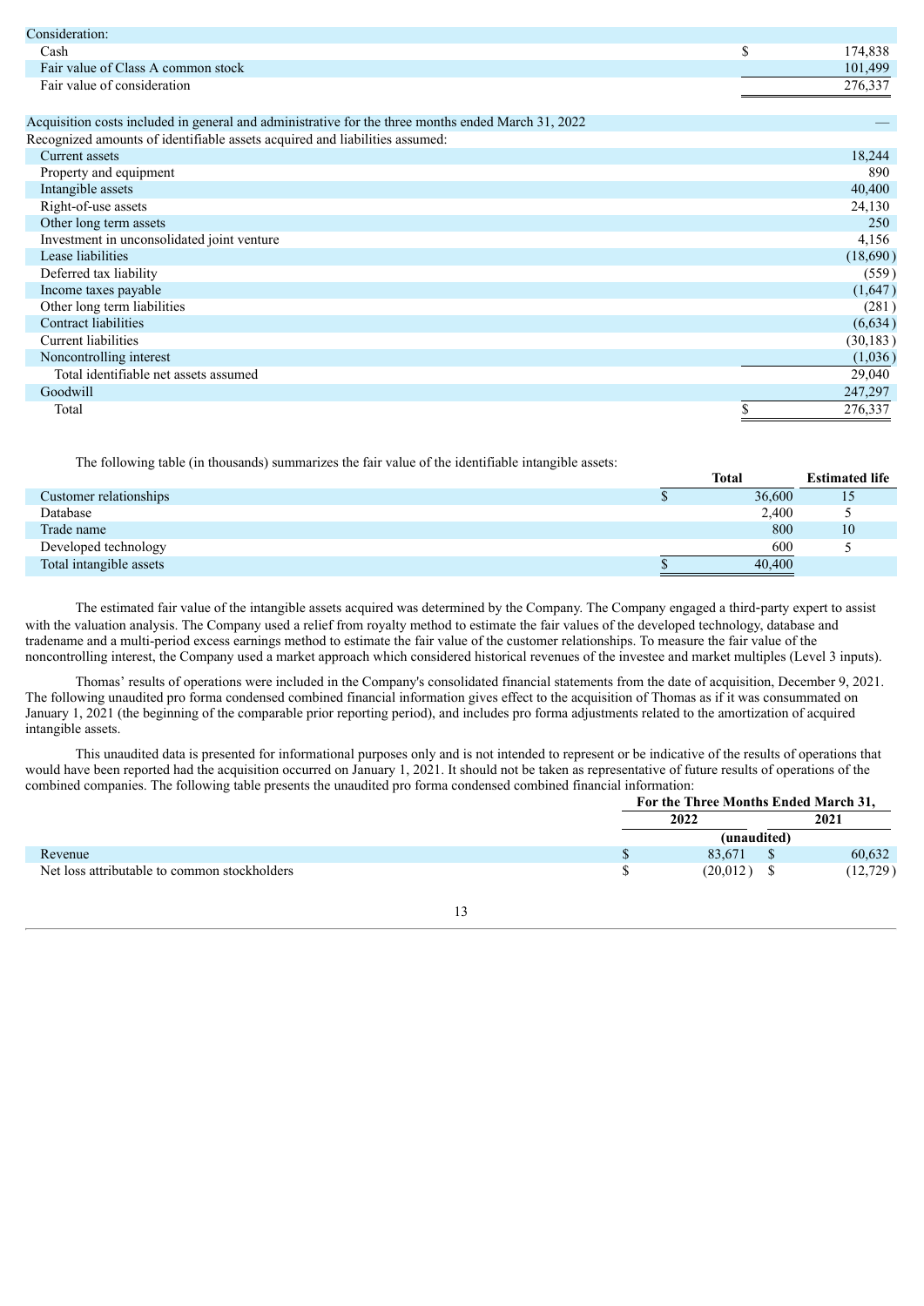| Consideration:                                                                                     |               |
|----------------------------------------------------------------------------------------------------|---------------|
| Cash                                                                                               | \$<br>174,838 |
| Fair value of Class A common stock                                                                 | 101,499       |
| Fair value of consideration                                                                        | 276,337       |
| Acquisition costs included in general and administrative for the three months ended March 31, 2022 |               |
| Recognized amounts of identifiable assets acquired and liabilities assumed:                        |               |
| Current assets                                                                                     | 18,244        |
| Property and equipment                                                                             | 890           |
| Intangible assets                                                                                  | 40,400        |
| Right-of-use assets                                                                                | 24,130        |
| Other long term assets                                                                             | 250           |
| Investment in unconsolidated joint venture                                                         | 4,156         |
| Lease liabilities                                                                                  | (18,690)      |
| Deferred tax liability                                                                             | (559)         |
| Income taxes payable                                                                               | (1,647)       |
| Other long term liabilities                                                                        | (281)         |
| Contract liabilities                                                                               | (6, 634)      |
| <b>Current liabilities</b>                                                                         | (30, 183)     |
| Noncontrolling interest                                                                            | (1,036)       |
| Total identifiable net assets assumed                                                              | 29,040        |
| Goodwill                                                                                           | 247,297       |
| Total                                                                                              | 276,337       |

The following table (in thousands) summarizes the fair value of the identifiable intangible assets:

|                         | <b>Total</b> |        | <b>Estimated life</b> |
|-------------------------|--------------|--------|-----------------------|
| Customer relationships  |              | 36,600 |                       |
| Database                |              | 2,400  |                       |
| Trade name              |              | 800    | 10                    |
| Developed technology    |              | 600    |                       |
| Total intangible assets |              | 40.400 |                       |
|                         |              |        |                       |

The estimated fair value of the intangible assets acquired was determined by the Company. The Company engaged a third-party expert to assist with the valuation analysis. The Company used a relief from royalty method to estimate the fair values of the developed technology, database and tradename and a multi-period excess earnings method to estimate the fair value of the customer relationships. To measure the fair value of the noncontrolling interest, the Company used a market approach which considered historical revenues of the investee and market multiples (Level 3 inputs).

Thomas' results of operations were included in the Company's consolidated financial statements from the date of acquisition, December 9, 2021. The following unaudited pro forma condensed combined financial information gives effect to the acquisition of Thomas as if it was consummated on January 1, 2021 (the beginning of the comparable prior reporting period), and includes pro forma adjustments related to the amortization of acquired intangible assets.

This unaudited data is presented for informational purposes only and is not intended to represent or be indicative of the results of operations that would have been reported had the acquisition occurred on January 1, 2021. It should not be taken as representative of future results of operations of the combined companies. The following table presents the unaudited pro forma condensed combined financial information:

|                                              |      | For the Three Months Ended March 31, |           |  |      |
|----------------------------------------------|------|--------------------------------------|-----------|--|------|
|                                              | 2022 |                                      |           |  | 2021 |
|                                              |      | (unaudited)                          |           |  |      |
| Revenue                                      |      | 83,671                               | 60,632    |  |      |
| Net loss attributable to common stockholders |      | (20,012)                             | (12, 729) |  |      |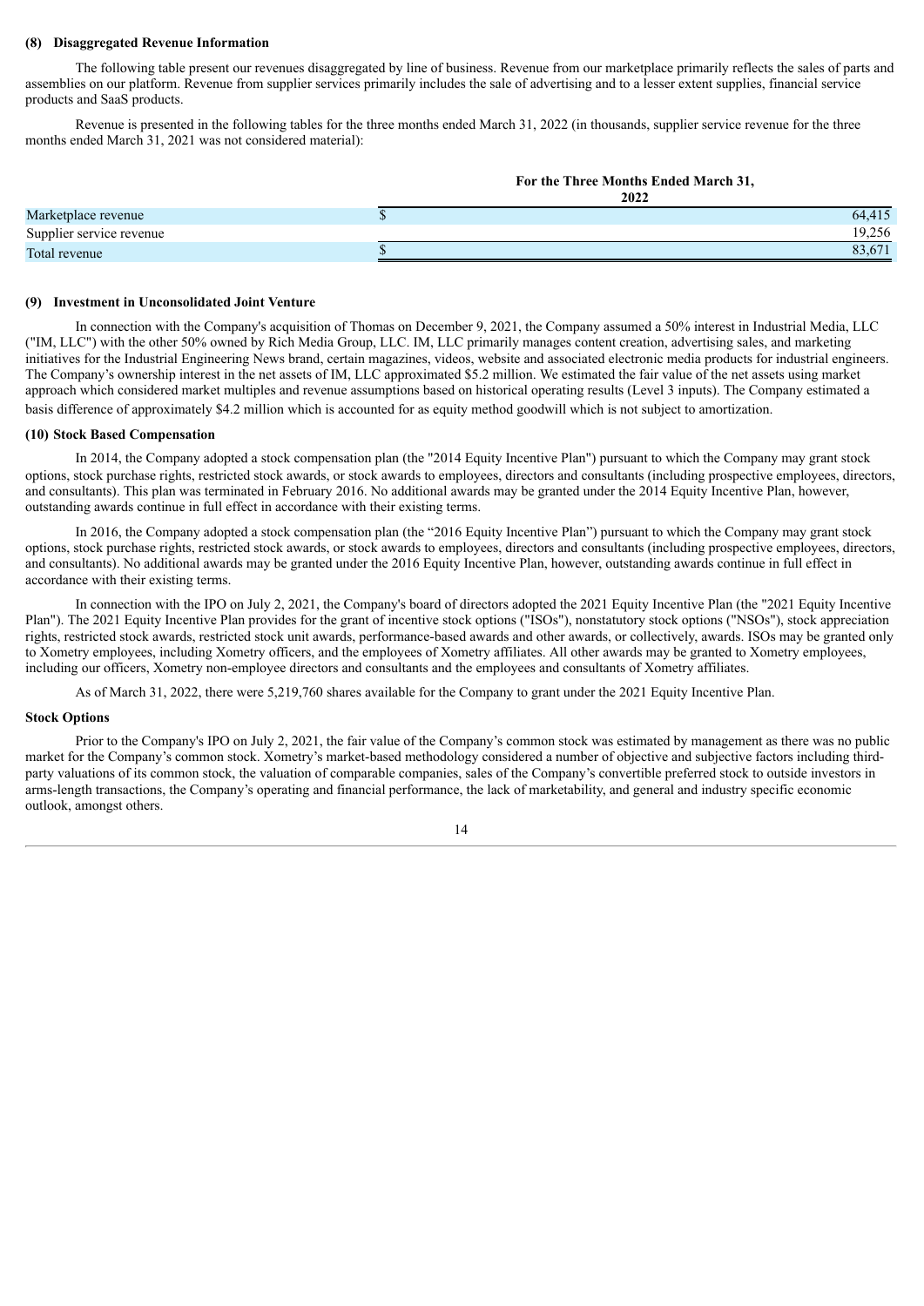#### **(8) Disaggregated Revenue Information**

The following table present our revenues disaggregated by line of business. Revenue from our marketplace primarily reflects the sales of parts and assemblies on our platform. Revenue from supplier services primarily includes the sale of advertising and to a lesser extent supplies, financial service products and SaaS products.

Revenue is presented in the following tables for the three months ended March 31, 2022 (in thousands, supplier service revenue for the three months ended March 31, 2021 was not considered material):

|                          | For the Three Months Ended March 31,<br>2022 |
|--------------------------|----------------------------------------------|
| Marketplace revenue      | 64.415                                       |
| Supplier service revenue | 19,256                                       |
| Total revenue            | 83,671                                       |

#### **(9) Investment in Unconsolidated Joint Venture**

In connection with the Company's acquisition of Thomas on December 9, 2021, the Company assumed a 50% interest in Industrial Media, LLC ("IM, LLC") with the other 50% owned by Rich Media Group, LLC. IM, LLC primarily manages content creation, advertising sales, and marketing initiatives for the Industrial Engineering News brand, certain magazines, videos, website and associated electronic media products for industrial engineers. The Company's ownership interest in the net assets of IM, LLC approximated \$5.2 million. We estimated the fair value of the net assets using market approach which considered market multiples and revenue assumptions based on historical operating results (Level 3 inputs). The Company estimated a basis difference of approximately \$4.2 million which is accounted for as equity method goodwill which is not subject to amortization.

## **(10) Stock Based Compensation**

In 2014, the Company adopted a stock compensation plan (the "2014 Equity Incentive Plan") pursuant to which the Company may grant stock options, stock purchase rights, restricted stock awards, or stock awards to employees, directors and consultants (including prospective employees, directors, and consultants). This plan was terminated in February 2016. No additional awards may be granted under the 2014 Equity Incentive Plan, however, outstanding awards continue in full effect in accordance with their existing terms.

In 2016, the Company adopted a stock compensation plan (the "2016 Equity Incentive Plan") pursuant to which the Company may grant stock options, stock purchase rights, restricted stock awards, or stock awards to employees, directors and consultants (including prospective employees, directors, and consultants). No additional awards may be granted under the 2016 Equity Incentive Plan, however, outstanding awards continue in full effect in accordance with their existing terms.

In connection with the IPO on July 2, 2021, the Company's board of directors adopted the 2021 Equity Incentive Plan (the "2021 Equity Incentive Plan"). The 2021 Equity Incentive Plan provides for the grant of incentive stock options ("ISOs"), nonstatutory stock options ("NSOs"), stock appreciation rights, restricted stock awards, restricted stock unit awards, performance-based awards and other awards, or collectively, awards. ISOs may be granted only to Xometry employees, including Xometry officers, and the employees of Xometry affiliates. All other awards may be granted to Xometry employees, including our officers, Xometry non-employee directors and consultants and the employees and consultants of Xometry affiliates.

As of March 31, 2022, there were 5,219,760 shares available for the Company to grant under the 2021 Equity Incentive Plan.

#### **Stock Options**

Prior to the Company's IPO on July 2, 2021, the fair value of the Company's common stock was estimated by management as there was no public market for the Company's common stock. Xometry's market-based methodology considered a number of objective and subjective factors including thirdparty valuations of its common stock, the valuation of comparable companies, sales of the Company's convertible preferred stock to outside investors in arms-length transactions, the Company's operating and financial performance, the lack of marketability, and general and industry specific economic outlook, amongst others.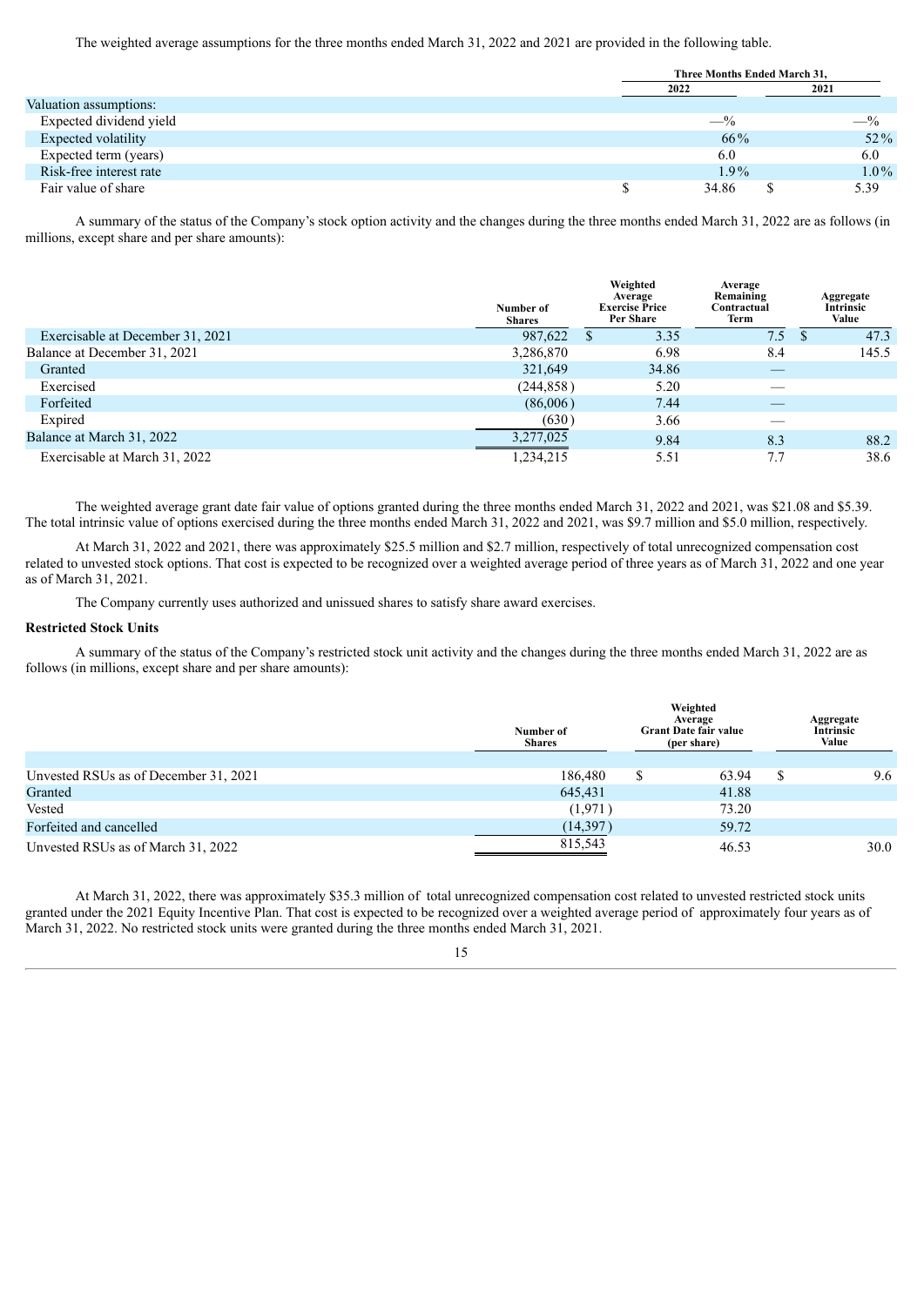The weighted average assumptions for the three months ended March 31, 2022 and 2021 are provided in the following table.

|                         |      | Three Months Ended March 31, |  |         |
|-------------------------|------|------------------------------|--|---------|
|                         | 2022 |                              |  | 2021    |
| Valuation assumptions:  |      |                              |  |         |
| Expected dividend yield |      | $-$ %                        |  | $-$ %   |
| Expected volatility     |      | $66\%$                       |  | $52\%$  |
| Expected term (years)   |      | 6.0                          |  | 6.0     |
| Risk-free interest rate |      | $1.9\%$                      |  | $1.0\%$ |
| Fair value of share     |      | 34.86                        |  | 5.39    |

A summary of the status of the Company's stock option activity and the changes during the three months ended March 31, 2022 are as follows (in millions, except share and per share amounts):

|                                  | Number of<br><b>Shares</b> | Weighted<br>Average<br><b>Exercise Price</b><br>Per Share | Average<br>Remaining<br>Contractual<br>Term | Aggregate<br><b>Intrinsic</b><br>Value |
|----------------------------------|----------------------------|-----------------------------------------------------------|---------------------------------------------|----------------------------------------|
| Exercisable at December 31, 2021 | 987,622                    | 3.35                                                      | 7.5                                         | 47.3                                   |
| Balance at December 31, 2021     | 3,286,870                  | 6.98                                                      | 8.4                                         | 145.5                                  |
| Granted                          | 321,649                    | 34.86                                                     |                                             |                                        |
| Exercised                        | (244, 858)                 | 5.20                                                      |                                             |                                        |
| Forfeited                        | (86,006)                   | 7.44                                                      |                                             |                                        |
| Expired                          | (630)                      | 3.66                                                      |                                             |                                        |
| Balance at March 31, 2022        | 3,277,025                  | 9.84                                                      | 8.3                                         | 88.2                                   |
| Exercisable at March 31, 2022    | 1,234,215                  | 5.51                                                      | 7.7                                         | 38.6                                   |

The weighted average grant date fair value of options granted during the three months ended March 31, 2022 and 2021, was \$21.08 and \$5.39. The total intrinsic value of options exercised during the three months ended March 31, 2022 and 2021, was \$9.7 million and \$5.0 million, respectively.

At March 31, 2022 and 2021, there was approximately \$25.5 million and \$2.7 million, respectively of total unrecognized compensation cost related to unvested stock options. That cost is expected to be recognized over a weighted average period of three years as of March 31, 2022 and one year as of March 31, 2021.

The Company currently uses authorized and unissued shares to satisfy share award exercises.

## **Restricted Stock Units**

A summary of the status of the Company's restricted stock unit activity and the changes during the three months ended March 31, 2022 are as follows (in millions, except share and per share amounts):

|                                       | Number of<br><b>Shares</b> | Weighted<br>Average<br><b>Grant Date fair value</b><br>(per share) | Aggregate<br><b>Intrinsic</b><br>Value |
|---------------------------------------|----------------------------|--------------------------------------------------------------------|----------------------------------------|
|                                       |                            |                                                                    |                                        |
| Unvested RSUs as of December 31, 2021 | 186,480                    | 63.94                                                              | 9.6                                    |
| Granted                               | 645,431                    | 41.88                                                              |                                        |
| Vested                                | (1,971)                    | 73.20                                                              |                                        |
| Forfeited and cancelled               | (14, 397)                  | 59.72                                                              |                                        |
| Unvested RSUs as of March 31, 2022    | 815,543                    | 46.53                                                              | 30.0                                   |

At March 31, 2022, there was approximately \$35.3 million of total unrecognized compensation cost related to unvested restricted stock units granted under the 2021 Equity Incentive Plan. That cost is expected to be recognized over a weighted average period of approximately four years as of March 31, 2022. No restricted stock units were granted during the three months ended March 31, 2021.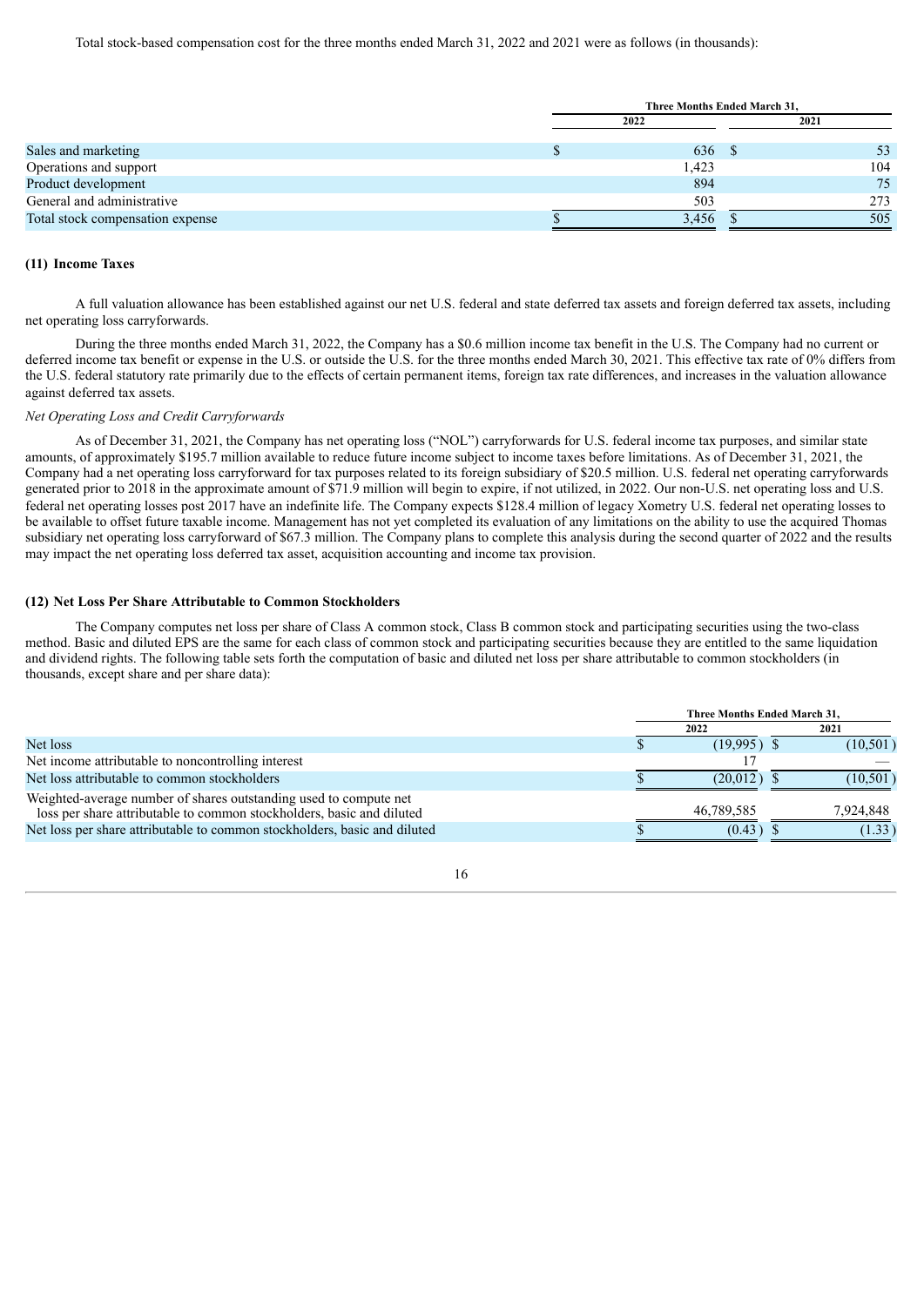Total stock-based compensation cost for the three months ended March 31, 2022 and 2021 were as follows (in thousands):

|                                  | Three Months Ended March 31, |       |  |      |
|----------------------------------|------------------------------|-------|--|------|
|                                  | 2022                         |       |  | 2021 |
|                                  |                              |       |  |      |
| Sales and marketing              |                              | 636   |  | 53   |
| Operations and support           |                              | 1,423 |  | 104  |
| Product development              |                              | 894   |  | 75   |
| General and administrative       |                              | 503   |  | 273  |
| Total stock compensation expense |                              | 3.456 |  | 505  |

#### **(11) Income Taxes**

A full valuation allowance has been established against our net U.S. federal and state deferred tax assets and foreign deferred tax assets, including net operating loss carryforwards.

During the three months ended March 31, 2022, the Company has a \$0.6 million income tax benefit in the U.S. The Company had no current or deferred income tax benefit or expense in the U.S. or outside the U.S. for the three months ended March 30, 2021. This effective tax rate of 0% differs from the U.S. federal statutory rate primarily due to the effects of certain permanent items, foreign tax rate differences, and increases in the valuation allowance against deferred tax assets.

#### *Net Operating Loss and Credit Carryforwards*

As of December 31, 2021, the Company has net operating loss ("NOL") carryforwards for U.S. federal income tax purposes, and similar state amounts, of approximately \$195.7 million available to reduce future income subject to income taxes before limitations. As of December 31, 2021, the Company had a net operating loss carryforward for tax purposes related to its foreign subsidiary of \$20.5 million. U.S. federal net operating carryforwards generated prior to 2018 in the approximate amount of \$71.9 million will begin to expire, if not utilized, in 2022. Our non-U.S. net operating loss and U.S. federal net operating losses post 2017 have an indefinite life. The Company expects \$128.4 million of legacy Xometry U.S. federal net operating losses to be available to offset future taxable income. Management has not yet completed its evaluation of any limitations on the ability to use the acquired Thomas subsidiary net operating loss carryforward of \$67.3 million. The Company plans to complete this analysis during the second quarter of 2022 and the results may impact the net operating loss deferred tax asset, acquisition accounting and income tax provision.

## **(12) Net Loss Per Share Attributable to Common Stockholders**

The Company computes net loss per share of Class A common stock, Class B common stock and participating securities using the two-class method. Basic and diluted EPS are the same for each class of common stock and participating securities because they are entitled to the same liquidation and dividend rights. The following table sets forth the computation of basic and diluted net loss per share attributable to common stockholders (in thousands, except share and per share data):

|                                                                                                                                            | Three Months Ended March 31, |               |           |
|--------------------------------------------------------------------------------------------------------------------------------------------|------------------------------|---------------|-----------|
|                                                                                                                                            |                              | 2022          | 2021      |
| Net loss                                                                                                                                   |                              | $(19.995)$ \$ | (10, 501) |
| Net income attributable to noncontrolling interest                                                                                         |                              |               |           |
| Net loss attributable to common stockholders                                                                                               |                              | (20,012)      | (10, 501) |
| Weighted-average number of shares outstanding used to compute net<br>loss per share attributable to common stockholders, basic and diluted |                              | 46,789,585    | 7,924,848 |
| Net loss per share attributable to common stockholders, basic and diluted                                                                  |                              | (0.43)        | (1.33)    |

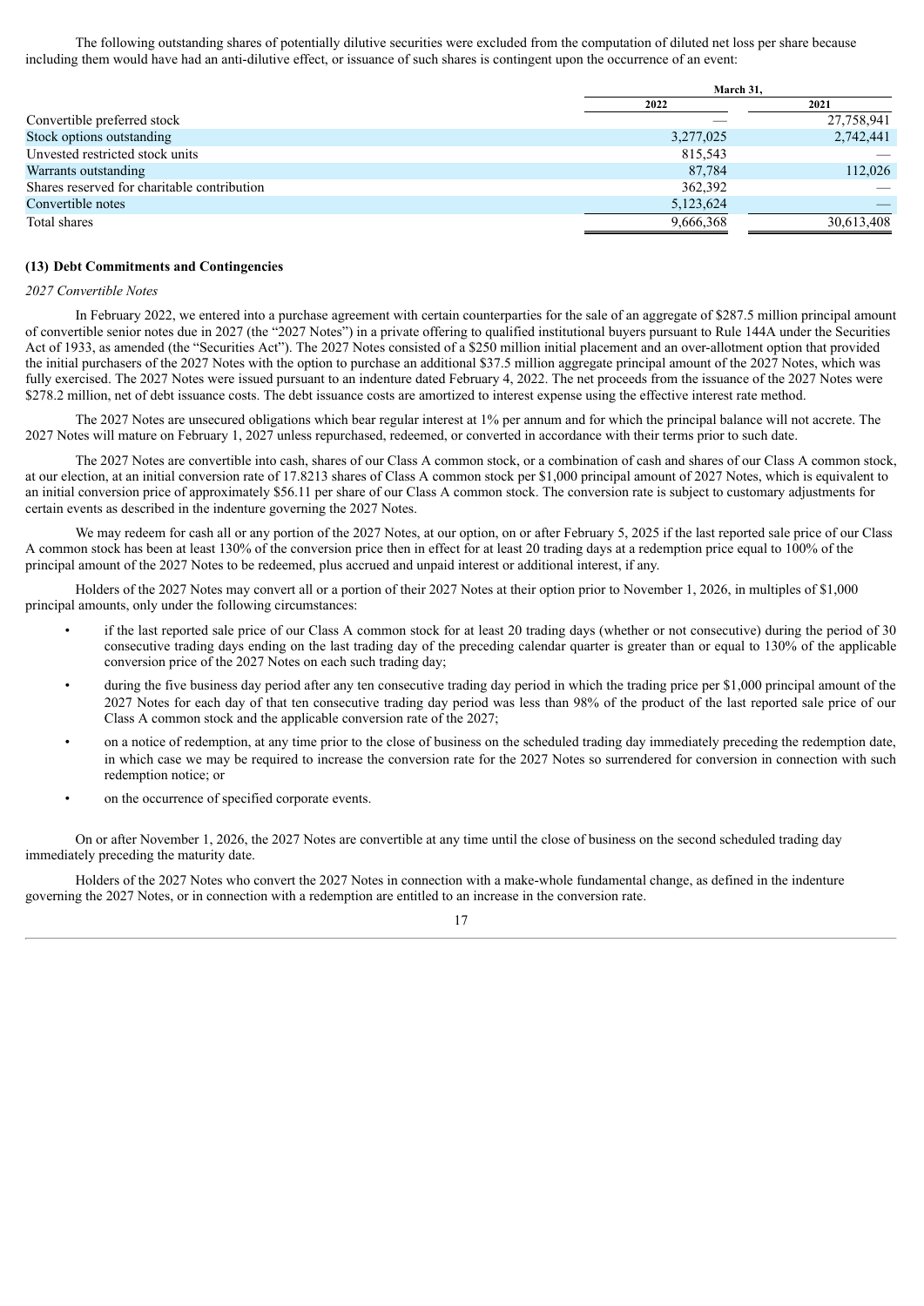The following outstanding shares of potentially dilutive securities were excluded from the computation of diluted net loss per share because including them would have had an anti-dilutive effect, or issuance of such shares is contingent upon the occurrence of an event:

| March 31. |            |  |
|-----------|------------|--|
| 2022      | 2021       |  |
|           | 27,758,941 |  |
| 3,277,025 | 2,742,441  |  |
| 815,543   |            |  |
| 87,784    | 112,026    |  |
| 362,392   |            |  |
| 5,123,624 |            |  |
| 9,666,368 | 30,613,408 |  |
|           |            |  |

## **(13) Debt Commitments and Contingencies**

#### *2027 Convertible Notes*

In February 2022, we entered into a purchase agreement with certain counterparties for the sale of an aggregate of \$287.5 million principal amount of convertible senior notes due in 2027 (the "2027 Notes") in a private offering to qualified institutional buyers pursuant to Rule 144A under the Securities Act of 1933, as amended (the "Securities Act"). The 2027 Notes consisted of a \$250 million initial placement and an over-allotment option that provided the initial purchasers of the 2027 Notes with the option to purchase an additional \$37.5 million aggregate principal amount of the 2027 Notes, which was fully exercised. The 2027 Notes were issued pursuant to an indenture dated February 4, 2022. The net proceeds from the issuance of the 2027 Notes were \$278.2 million, net of debt issuance costs. The debt issuance costs are amortized to interest expense using the effective interest rate method.

The 2027 Notes are unsecured obligations which bear regular interest at 1% per annum and for which the principal balance will not accrete. The 2027 Notes will mature on February 1, 2027 unless repurchased, redeemed, or converted in accordance with their terms prior to such date.

The 2027 Notes are convertible into cash, shares of our Class A common stock, or a combination of cash and shares of our Class A common stock, at our election, at an initial conversion rate of 17.8213 shares of Class A common stock per \$1,000 principal amount of 2027 Notes, which is equivalent to an initial conversion price of approximately \$56.11 per share of our Class A common stock. The conversion rate is subject to customary adjustments for certain events as described in the indenture governing the 2027 Notes.

We may redeem for cash all or any portion of the 2027 Notes, at our option, on or after February 5, 2025 if the last reported sale price of our Class A common stock has been at least 130% of the conversion price then in effect for at least 20 trading days at a redemption price equal to 100% of the principal amount of the 2027 Notes to be redeemed, plus accrued and unpaid interest or additional interest, if any.

Holders of the 2027 Notes may convert all or a portion of their 2027 Notes at their option prior to November 1, 2026, in multiples of \$1,000 principal amounts, only under the following circumstances:

- if the last reported sale price of our Class A common stock for at least 20 trading days (whether or not consecutive) during the period of 30 consecutive trading days ending on the last trading day of the preceding calendar quarter is greater than or equal to 130% of the applicable conversion price of the 2027 Notes on each such trading day;
- during the five business day period after any ten consecutive trading day period in which the trading price per \$1,000 principal amount of the 2027 Notes for each day of that ten consecutive trading day period was less than 98% of the product of the last reported sale price of our Class A common stock and the applicable conversion rate of the 2027;
- on a notice of redemption, at any time prior to the close of business on the scheduled trading day immediately preceding the redemption date, in which case we may be required to increase the conversion rate for the 2027 Notes so surrendered for conversion in connection with such redemption notice; or
- on the occurrence of specified corporate events.

On or after November 1, 2026, the 2027 Notes are convertible at any time until the close of business on the second scheduled trading day immediately preceding the maturity date.

Holders of the 2027 Notes who convert the 2027 Notes in connection with a make-whole fundamental change, as defined in the indenture governing the 2027 Notes, or in connection with a redemption are entitled to an increase in the conversion rate.

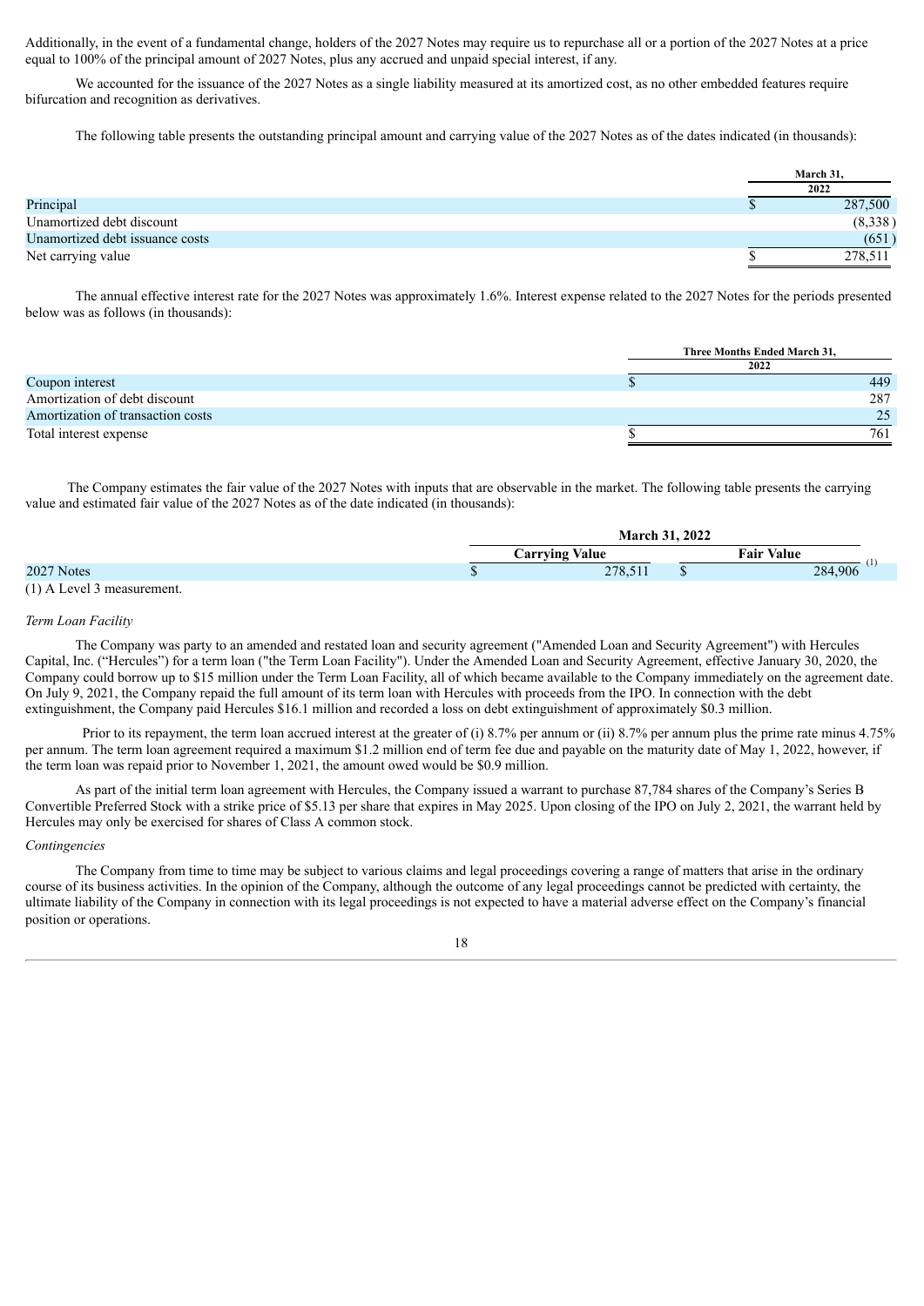Additionally, in the event of a fundamental change, holders of the 2027 Notes may require us to repurchase all or a portion of the 2027 Notes at a price equal to 100% of the principal amount of 2027 Notes, plus any accrued and unpaid special interest, if any.

We accounted for the issuance of the 2027 Notes as a single liability measured at its amortized cost, as no other embedded features require bifurcation and recognition as derivatives.

The following table presents the outstanding principal amount and carrying value of the 2027 Notes as of the dates indicated (in thousands):

|                                 | March 31, |
|---------------------------------|-----------|
|                                 | 2022      |
| Principal                       | 287,500   |
| Unamortized debt discount       | (8,338)   |
| Unamortized debt issuance costs | (651)     |
| Net carrying value              | 278,511   |

The annual effective interest rate for the 2027 Notes was approximately 1.6%. Interest expense related to the 2027 Notes for the periods presented below was as follows (in thousands):

|                                   | Three Months Ended March 31, |  |  |
|-----------------------------------|------------------------------|--|--|
|                                   | 2022                         |  |  |
| Coupon interest                   | 449                          |  |  |
| Amortization of debt discount     | 287                          |  |  |
| Amortization of transaction costs | 25                           |  |  |
| Total interest expense            | 761                          |  |  |
|                                   |                              |  |  |

The Company estimates the fair value of the 2027 Notes with inputs that are observable in the market. The following table presents the carrying value and estimated fair value of the 2027 Notes as of the date indicated (in thousands):

|                              |   | <b>March 31, 2022</b> |  |                   |  |
|------------------------------|---|-----------------------|--|-------------------|--|
|                              |   | Carrving Value        |  | <b>Fair Value</b> |  |
| 2027 Notes                   | w | 278.511               |  | 284,906           |  |
| $(1)$ A Level 3 measurement. |   |                       |  |                   |  |

#### *Term Loan Facility*

The Company was party to an amended and restated loan and security agreement ("Amended Loan and Security Agreement") with Hercules Capital, Inc. ("Hercules") for a term loan ("the Term Loan Facility"). Under the Amended Loan and Security Agreement, effective January 30, 2020, the Company could borrow up to \$15 million under the Term Loan Facility, all of which became available to the Company immediately on the agreement date. On July 9, 2021, the Company repaid the full amount of its term loan with Hercules with proceeds from the IPO. In connection with the debt extinguishment, the Company paid Hercules \$16.1 million and recorded a loss on debt extinguishment of approximately \$0.3 million.

Prior to its repayment, the term loan accrued interest at the greater of (i) 8.7% per annum or (ii) 8.7% per annum plus the prime rate minus 4.75% per annum. The term loan agreement required a maximum \$1.2 million end of term fee due and payable on the maturity date of May 1, 2022, however, if the term loan was repaid prior to November 1, 2021, the amount owed would be \$0.9 million.

As part of the initial term loan agreement with Hercules, the Company issued a warrant to purchase 87,784 shares of the Company's Series B Convertible Preferred Stock with a strike price of \$5.13 per share that expires in May 2025. Upon closing of the IPO on July 2, 2021, the warrant held by Hercules may only be exercised for shares of Class A common stock.

## *Contingencies*

The Company from time to time may be subject to various claims and legal proceedings covering a range of matters that arise in the ordinary course of its business activities. In the opinion of the Company, although the outcome of any legal proceedings cannot be predicted with certainty, the ultimate liability of the Company in connection with its legal proceedings is not expected to have a material adverse effect on the Company's financial position or operations.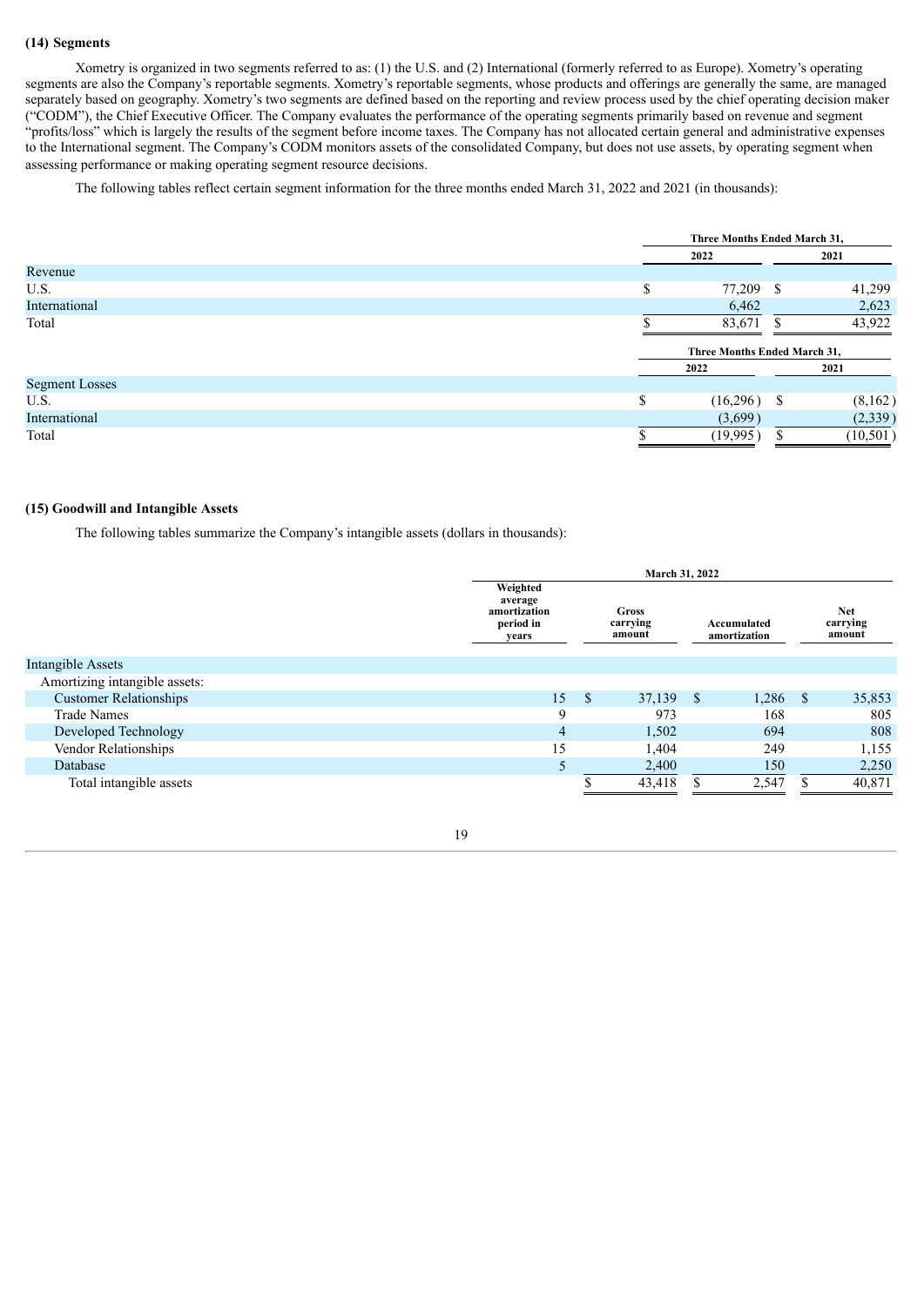## **(14) Segments**

Xometry is organized in two segments referred to as: (1) the U.S. and (2) International (formerly referred to as Europe). Xometry's operating segments are also the Company's reportable segments. Xometry's reportable segments, whose products and offerings are generally the same, are managed separately based on geography. Xometry's two segments are defined based on the reporting and review process used by the chief operating decision maker ("CODM"), the Chief Executive Officer. The Company evaluates the performance of the operating segments primarily based on revenue and segment "profits/loss" which is largely the results of the segment before income taxes. The Company has not allocated certain general and administrative expenses to the International segment. The Company's CODM monitors assets of the consolidated Company, but does not use assets, by operating segment when assessing performance or making operating segment resource decisions.

The following tables reflect certain segment information for the three months ended March 31, 2022 and 2021 (in thousands):

|                       | Three Months Ended March 31, |      |           |  |
|-----------------------|------------------------------|------|-----------|--|
|                       | 2022                         |      | 2021      |  |
| Revenue               |                              |      |           |  |
| U.S.                  | \$<br>77,209                 | - \$ | 41,299    |  |
| International         | 6,462                        |      | 2,623     |  |
| Total                 | 83,671                       |      | 43,922    |  |
|                       | Three Months Ended March 31, |      |           |  |
|                       | 2022                         |      | 2021      |  |
| <b>Segment Losses</b> |                              |      |           |  |
| U.S.                  | \$<br>(16,296)               | - \$ | (8,162)   |  |
| International         | (3,699)                      |      | (2, 339)  |  |
| Total                 | (19,995)                     |      | (10, 501) |  |

## **(15) Goodwill and Intangible Assets**

The following tables summarize the Company's intangible assets (dollars in thousands):

|                               | March 31, 2022                                            |    |                             |  |                             |  |                                  |
|-------------------------------|-----------------------------------------------------------|----|-----------------------------|--|-----------------------------|--|----------------------------------|
|                               | Weighted<br>average<br>amortization<br>period in<br>years |    | Gross<br>carrying<br>amount |  | Accumulated<br>amortization |  | <b>Net</b><br>carrying<br>amount |
| <b>Intangible Assets</b>      |                                                           |    |                             |  |                             |  |                                  |
| Amortizing intangible assets: |                                                           |    |                             |  |                             |  |                                  |
| <b>Customer Relationships</b> | 15                                                        | -S | $37,139$ \$                 |  | $1,286$ \$                  |  | 35,853                           |
| <b>Trade Names</b>            | 9                                                         |    | 973                         |  | 168                         |  | 805                              |
| Developed Technology          | 4                                                         |    | 1,502                       |  | 694                         |  | 808                              |
| Vendor Relationships          | 15                                                        |    | 1,404                       |  | 249                         |  | 1,155                            |
| Database                      | 5                                                         |    | 2,400                       |  | 150                         |  | 2,250                            |
| Total intangible assets       |                                                           |    | 43,418                      |  | 2,547                       |  | 40,871                           |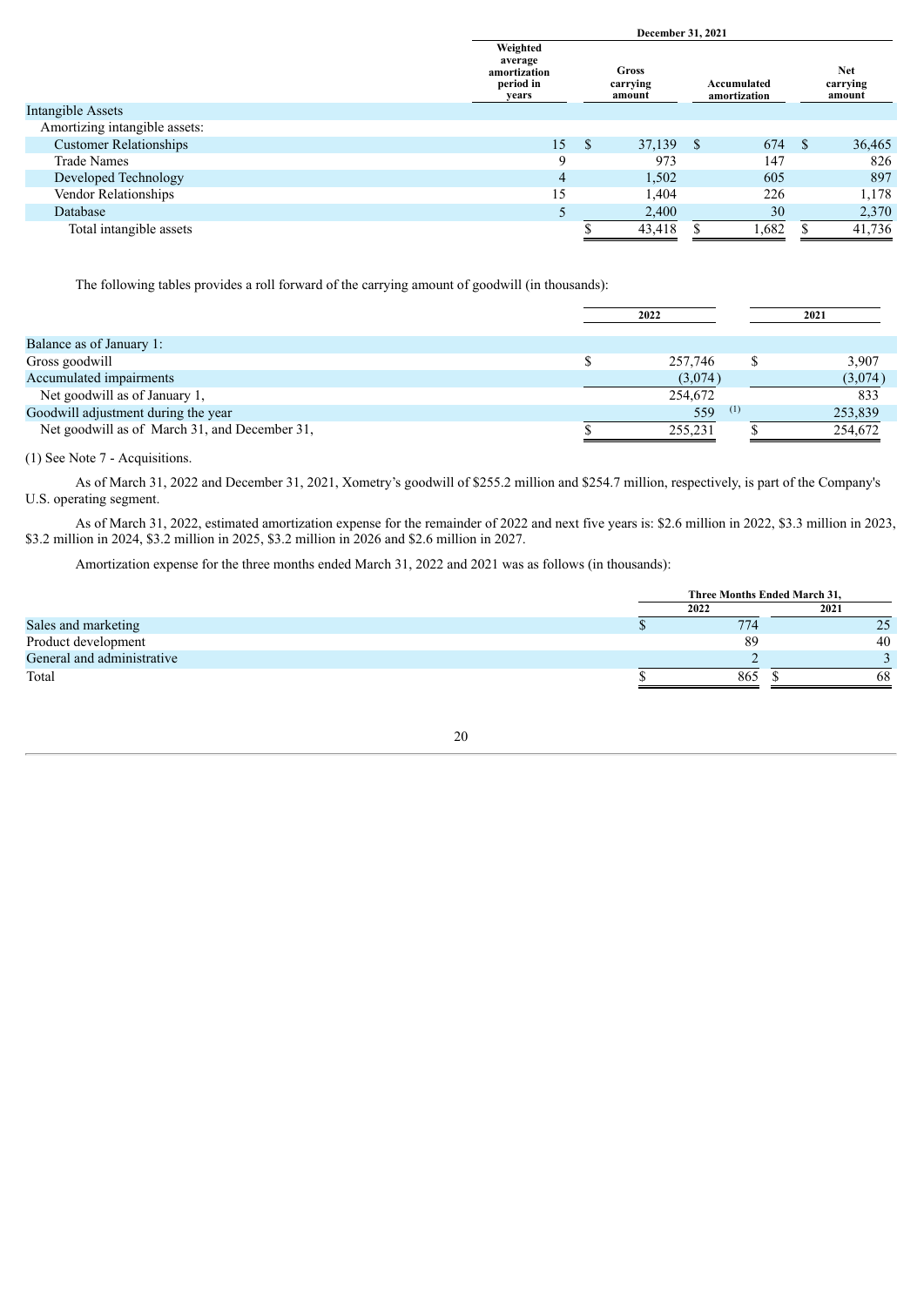|                               | <b>December 31, 2021</b>                                  |    |                                    |  |                             |              |                                  |
|-------------------------------|-----------------------------------------------------------|----|------------------------------------|--|-----------------------------|--------------|----------------------------------|
|                               | Weighted<br>average<br>amortization<br>period in<br>vears |    | <b>Gross</b><br>carrying<br>amount |  | Accumulated<br>amortization |              | <b>Net</b><br>carrying<br>amount |
| Intangible Assets             |                                                           |    |                                    |  |                             |              |                                  |
| Amortizing intangible assets: |                                                           |    |                                    |  |                             |              |                                  |
| <b>Customer Relationships</b> | 15                                                        | -S | $37,139$ \$                        |  | 674                         | <sup>S</sup> | 36,465                           |
| <b>Trade Names</b>            | 9                                                         |    | 973                                |  | 147                         |              | 826                              |
| Developed Technology          | 4                                                         |    | 1,502                              |  | 605                         |              | 897                              |
| Vendor Relationships          | 15                                                        |    | 1,404                              |  | 226                         |              | 1,178                            |
| Database                      | 5                                                         |    | 2,400                              |  | 30                          |              | 2,370                            |
| Total intangible assets       |                                                           |    | 43,418                             |  | ,682                        |              | 41,736                           |

The following tables provides a roll forward of the carrying amount of goodwill (in thousands):

|                                               | 2022       | 2021    |
|-----------------------------------------------|------------|---------|
| Balance as of January 1:                      |            |         |
| Gross goodwill                                | 257,746    | 3,907   |
| Accumulated impairments                       | (3,074)    | (3,074) |
| Net goodwill as of January 1,                 | 254,672    | 833     |
| Goodwill adjustment during the year           | (1)<br>559 | 253,839 |
| Net goodwill as of March 31, and December 31, | 255,231    | 254,672 |

(1) See Note 7 - Acquisitions.

As of March 31, 2022 and December 31, 2021, Xometry's goodwill of \$255.2 million and \$254.7 million, respectively, is part of the Company's U.S. operating segment.

As of March 31, 2022, estimated amortization expense for the remainder of 2022 and next five years is: \$2.6 million in 2022, \$3.3 million in 2023, \$3.2 million in 2024, \$3.2 million in 2025, \$3.2 million in 2026 and \$2.6 million in 2027.

Amortization expense for the three months ended March 31, 2022 and 2021 was as follows (in thousands):

|                            | Three Months Ended March 31, |      |  |  |
|----------------------------|------------------------------|------|--|--|
|                            | 2022                         | 2021 |  |  |
| Sales and marketing        | 774                          | 25   |  |  |
| Product development        | 89                           | 40   |  |  |
| General and administrative |                              |      |  |  |
| Total                      | 865                          | 68   |  |  |
|                            |                              |      |  |  |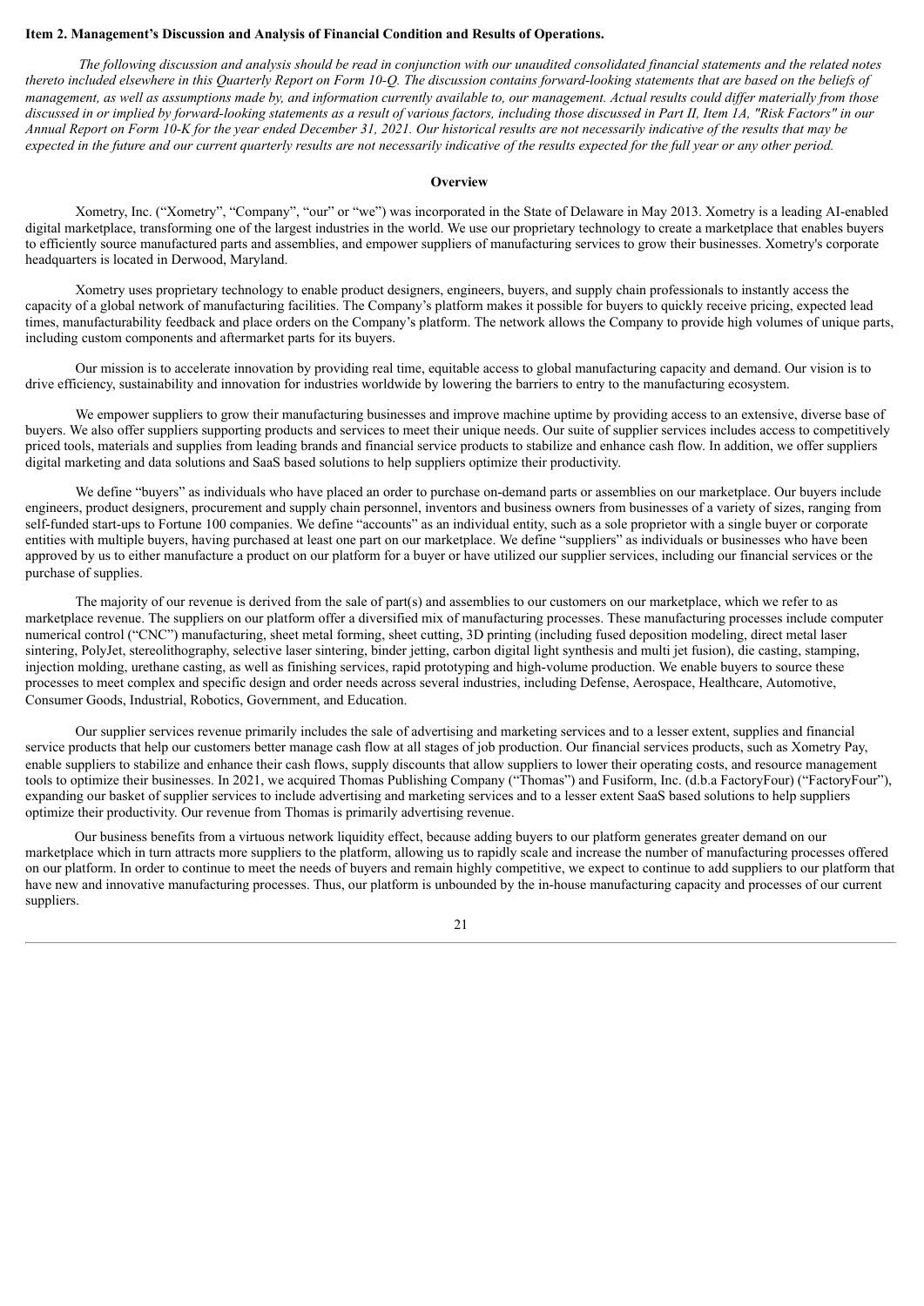#### <span id="page-23-0"></span>**Item 2. Management's Discussion and Analysis of Financial Condition and Results of Operations.**

The following discussion and analysis should be read in conjunction with our unaudited consolidated financial statements and the related notes thereto included elsewhere in this Quarterly Report on Form 10-Q. The discussion contains forward-looking statements that are based on the beliefs of management, as well as assumptions made by, and information currently available to, our management. Actual results could differ materially from those discussed in or implied by forward-looking statements as a result of various factors, including those discussed in Part II, Item 1A, "Risk Factors" in our Annual Report on Form 10-K for the year ended December 31, 2021. Our historical results are not necessarily indicative of the results that may be expected in the future and our current quarterly results are not necessarily indicative of the results expected for the full year or any other period.

#### **Overview**

Xometry, Inc. ("Xometry", "Company", "our" or "we") was incorporated in the State of Delaware in May 2013. Xometry is a leading AI-enabled digital marketplace, transforming one of the largest industries in the world. We use our proprietary technology to create a marketplace that enables buyers to efficiently source manufactured parts and assemblies, and empower suppliers of manufacturing services to grow their businesses. Xometry's corporate headquarters is located in Derwood, Maryland.

Xometry uses proprietary technology to enable product designers, engineers, buyers, and supply chain professionals to instantly access the capacity of a global network of manufacturing facilities. The Company's platform makes it possible for buyers to quickly receive pricing, expected lead times, manufacturability feedback and place orders on the Company's platform. The network allows the Company to provide high volumes of unique parts, including custom components and aftermarket parts for its buyers.

Our mission is to accelerate innovation by providing real time, equitable access to global manufacturing capacity and demand. Our vision is to drive efficiency, sustainability and innovation for industries worldwide by lowering the barriers to entry to the manufacturing ecosystem.

We empower suppliers to grow their manufacturing businesses and improve machine uptime by providing access to an extensive, diverse base of buyers. We also offer suppliers supporting products and services to meet their unique needs. Our suite of supplier services includes access to competitively priced tools, materials and supplies from leading brands and financial service products to stabilize and enhance cash flow. In addition, we offer suppliers digital marketing and data solutions and SaaS based solutions to help suppliers optimize their productivity.

We define "buyers" as individuals who have placed an order to purchase on-demand parts or assemblies on our marketplace. Our buyers include engineers, product designers, procurement and supply chain personnel, inventors and business owners from businesses of a variety of sizes, ranging from self-funded start-ups to Fortune 100 companies. We define "accounts" as an individual entity, such as a sole proprietor with a single buyer or corporate entities with multiple buyers, having purchased at least one part on our marketplace. We define "suppliers" as individuals or businesses who have been approved by us to either manufacture a product on our platform for a buyer or have utilized our supplier services, including our financial services or the purchase of supplies.

The majority of our revenue is derived from the sale of part(s) and assemblies to our customers on our marketplace, which we refer to as marketplace revenue. The suppliers on our platform offer a diversified mix of manufacturing processes. These manufacturing processes include computer numerical control ("CNC") manufacturing, sheet metal forming, sheet cutting, 3D printing (including fused deposition modeling, direct metal laser sintering, PolyJet, stereolithography, selective laser sintering, binder jetting, carbon digital light synthesis and multi jet fusion), die casting, stamping, injection molding, urethane casting, as well as finishing services, rapid prototyping and high-volume production. We enable buyers to source these processes to meet complex and specific design and order needs across several industries, including Defense, Aerospace, Healthcare, Automotive, Consumer Goods, Industrial, Robotics, Government, and Education.

Our supplier services revenue primarily includes the sale of advertising and marketing services and to a lesser extent, supplies and financial service products that help our customers better manage cash flow at all stages of job production. Our financial services products, such as Xometry Pay, enable suppliers to stabilize and enhance their cash flows, supply discounts that allow suppliers to lower their operating costs, and resource management tools to optimize their businesses. In 2021, we acquired Thomas Publishing Company ("Thomas") and Fusiform, Inc. (d.b.a FactoryFour) ("FactoryFour"), expanding our basket of supplier services to include advertising and marketing services and to a lesser extent SaaS based solutions to help suppliers optimize their productivity. Our revenue from Thomas is primarily advertising revenue.

Our business benefits from a virtuous network liquidity effect, because adding buyers to our platform generates greater demand on our marketplace which in turn attracts more suppliers to the platform, allowing us to rapidly scale and increase the number of manufacturing processes offered on our platform. In order to continue to meet the needs of buyers and remain highly competitive, we expect to continue to add suppliers to our platform that have new and innovative manufacturing processes. Thus, our platform is unbounded by the in-house manufacturing capacity and processes of our current suppliers.

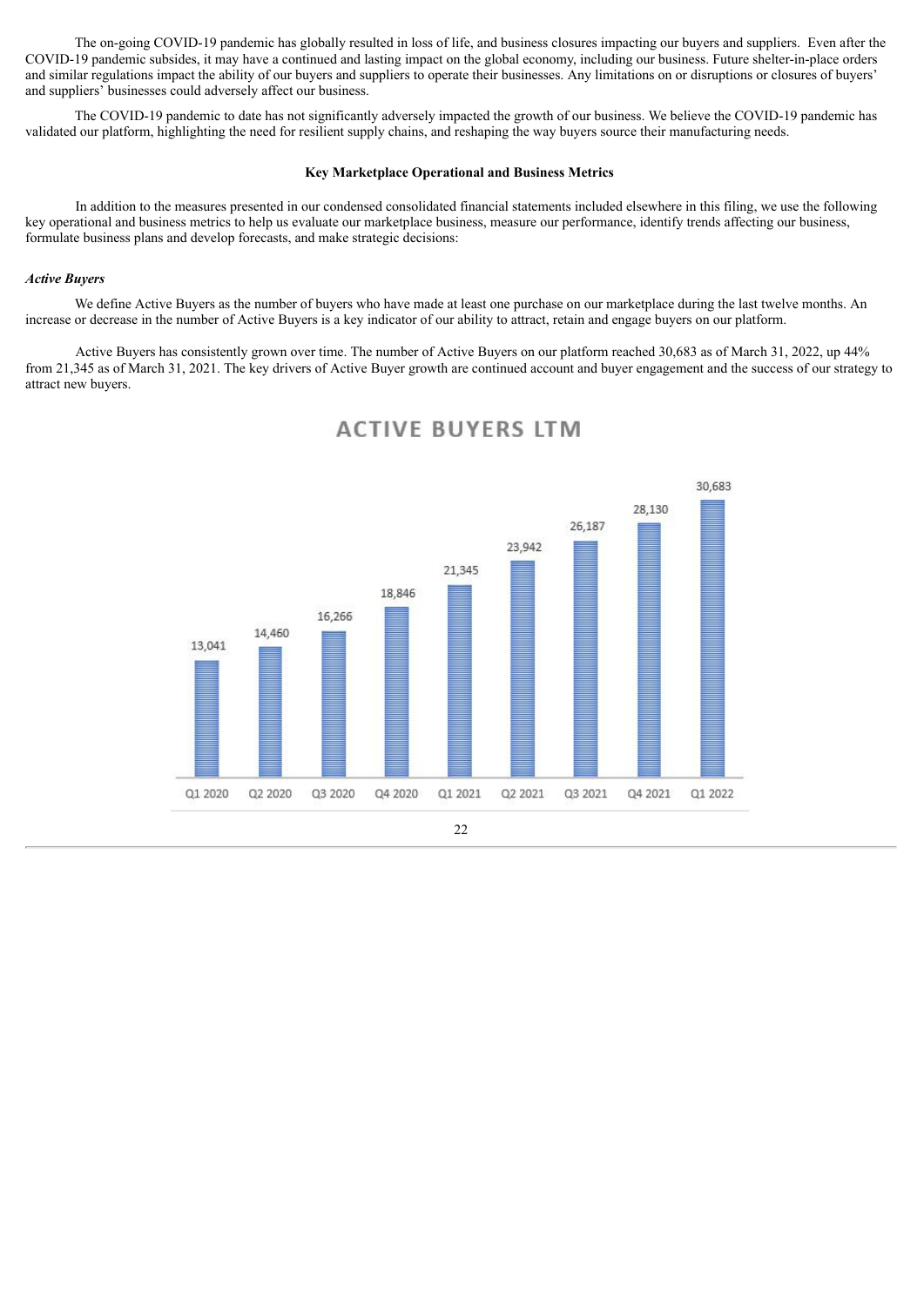The on-going COVID-19 pandemic has globally resulted in loss of life, and business closures impacting our buyers and suppliers. Even after the COVID-19 pandemic subsides, it may have a continued and lasting impact on the global economy, including our business. Future shelter-in-place orders and similar regulations impact the ability of our buyers and suppliers to operate their businesses. Any limitations on or disruptions or closures of buyers' and suppliers' businesses could adversely affect our business.

The COVID-19 pandemic to date has not significantly adversely impacted the growth of our business. We believe the COVID-19 pandemic has validated our platform, highlighting the need for resilient supply chains, and reshaping the way buyers source their manufacturing needs.

#### **Key Marketplace Operational and Business Metrics**

In addition to the measures presented in our condensed consolidated financial statements included elsewhere in this filing, we use the following key operational and business metrics to help us evaluate our marketplace business, measure our performance, identify trends affecting our business, formulate business plans and develop forecasts, and make strategic decisions:

#### *Active Buyers*

We define Active Buyers as the number of buyers who have made at least one purchase on our marketplace during the last twelve months. An increase or decrease in the number of Active Buyers is a key indicator of our ability to attract, retain and engage buyers on our platform.

Active Buyers has consistently grown over time. The number of Active Buyers on our platform reached 30,683 as of March 31, 2022, up 44% from 21,345 as of March 31, 2021. The key drivers of Active Buyer growth are continued account and buyer engagement and the success of our strategy to attract new buyers.



# **ACTIVE BUYERS LTM**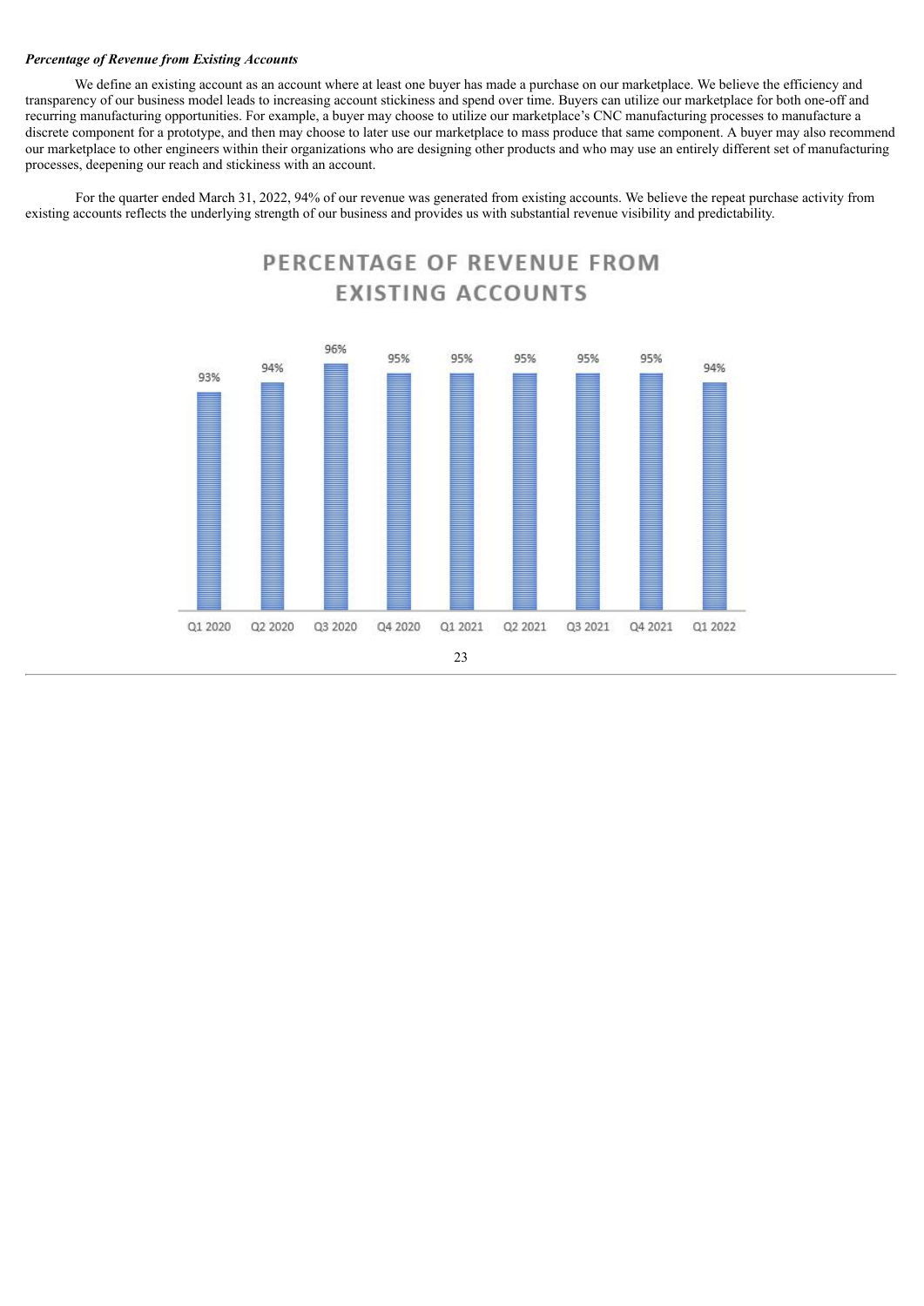## *Percentage of Revenue from Existing Accounts*

We define an existing account as an account where at least one buyer has made a purchase on our marketplace. We believe the efficiency and transparency of our business model leads to increasing account stickiness and spend over time. Buyers can utilize our marketplace for both one-off and recurring manufacturing opportunities. For example, a buyer may choose to utilize our marketplace's CNC manufacturing processes to manufacture a discrete component for a prototype, and then may choose to later use our marketplace to mass produce that same component. A buyer may also recommend our marketplace to other engineers within their organizations who are designing other products and who may use an entirely different set of manufacturing processes, deepening our reach and stickiness with an account.

For the quarter ended March 31, 2022, 94% of our revenue was generated from existing accounts. We believe the repeat purchase activity from existing accounts reflects the underlying strength of our business and provides us with substantial revenue visibility and predictability.

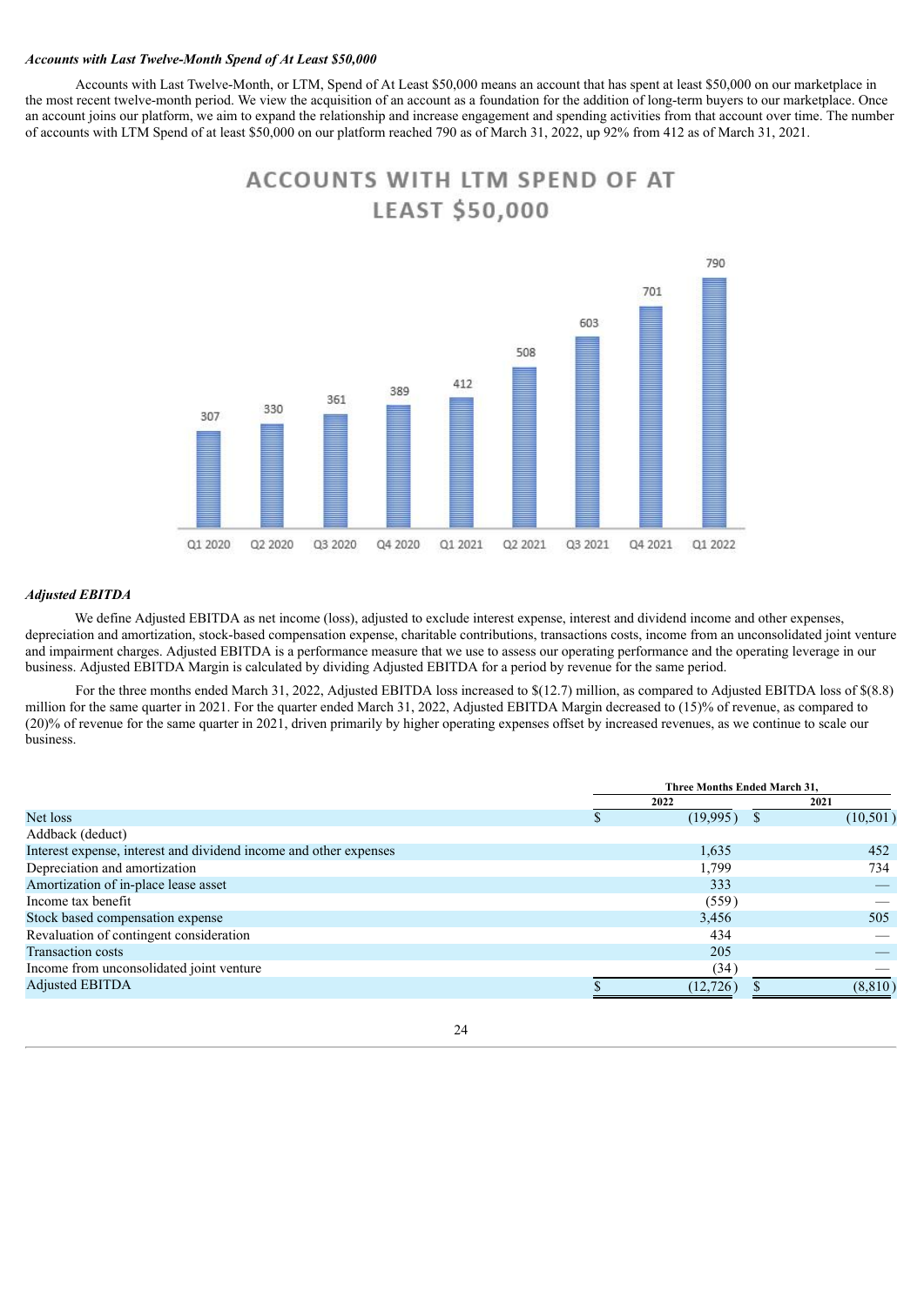#### *Accounts with Last Twelve-Month Spend of At Least \$50,000*

Accounts with Last Twelve-Month, or LTM, Spend of At Least \$50,000 means an account that has spent at least \$50,000 on our marketplace in the most recent twelve-month period. We view the acquisition of an account as a foundation for the addition of long-term buyers to our marketplace. Once an account joins our platform, we aim to expand the relationship and increase engagement and spending activities from that account over time. The number of accounts with LTM Spend of at least \$50,000 on our platform reached 790 as of March 31, 2022, up 92% from 412 as of March 31, 2021.





#### *Adjusted EBITDA*

We define Adjusted EBITDA as net income (loss), adjusted to exclude interest expense, interest and dividend income and other expenses, depreciation and amortization, stock-based compensation expense, charitable contributions, transactions costs, income from an unconsolidated joint venture and impairment charges. Adjusted EBITDA is a performance measure that we use to assess our operating performance and the operating leverage in our business. Adjusted EBITDA Margin is calculated by dividing Adjusted EBITDA for a period by revenue for the same period.

For the three months ended March 31, 2022, Adjusted EBITDA loss increased to \$(12.7) million, as compared to Adjusted EBITDA loss of \$(8.8) million for the same quarter in 2021. For the quarter ended March 31, 2022, Adjusted EBITDA Margin decreased to (15)% of revenue, as compared to (20)% of revenue for the same quarter in 2021, driven primarily by higher operating expenses offset by increased revenues, as we continue to scale our business.

|                                                                   | Three Months Ended March 31, |           |           |  |
|-------------------------------------------------------------------|------------------------------|-----------|-----------|--|
|                                                                   | 2022                         |           | 2021      |  |
| Net loss                                                          |                              | (19,995)  | (10, 501) |  |
| Addback (deduct)                                                  |                              |           |           |  |
| Interest expense, interest and dividend income and other expenses |                              | 1,635     | 452       |  |
| Depreciation and amortization                                     |                              | 1,799     | 734       |  |
| Amortization of in-place lease asset                              |                              | 333       |           |  |
| Income tax benefit                                                |                              | (559)     |           |  |
| Stock based compensation expense                                  |                              | 3.456     | 505       |  |
| Revaluation of contingent consideration                           |                              | 434       |           |  |
| <b>Transaction costs</b>                                          |                              | 205       |           |  |
| Income from unconsolidated joint venture                          |                              | (34)      |           |  |
| <b>Adjusted EBITDA</b>                                            |                              | (12, 726) | (8, 810)  |  |

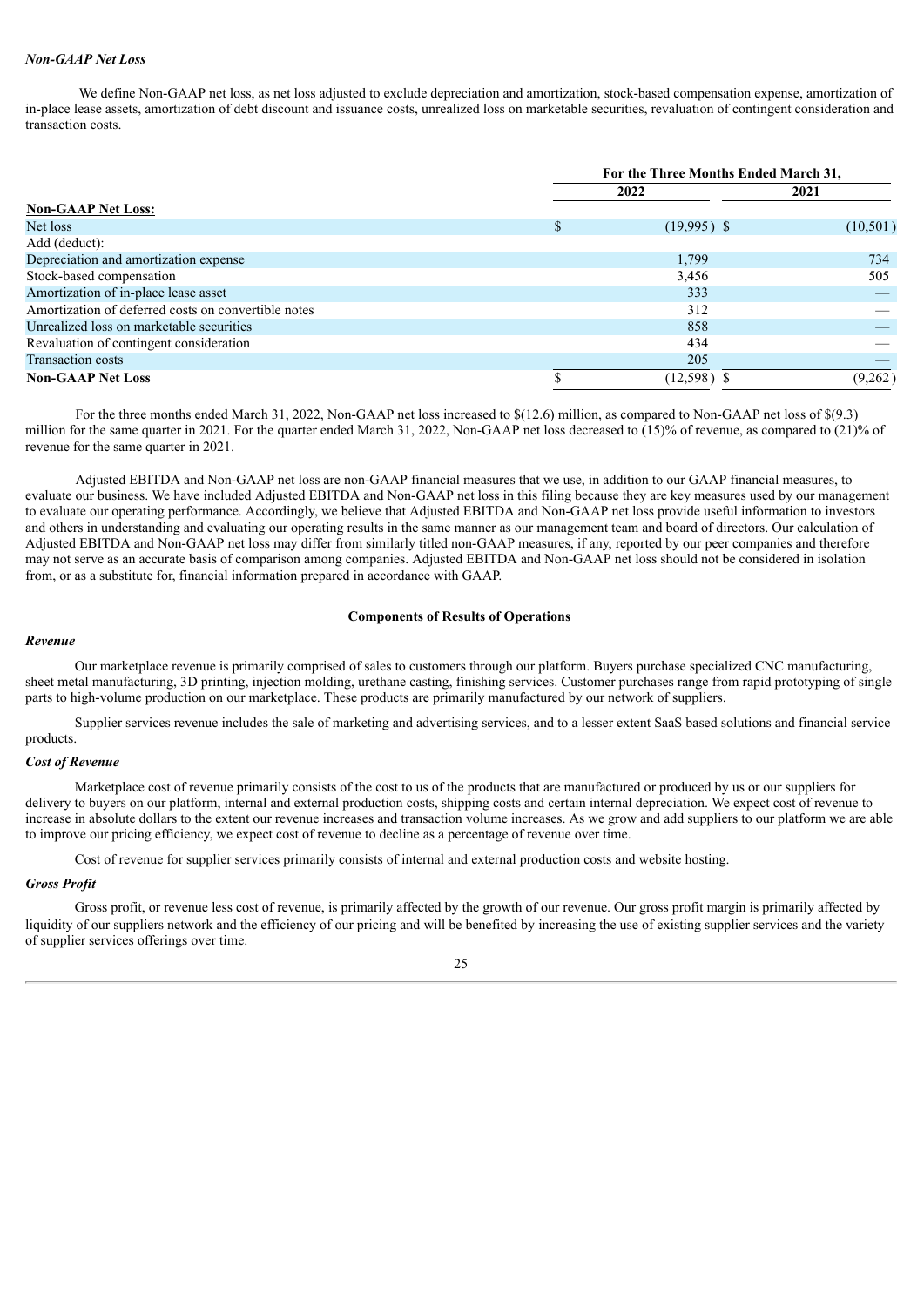# *Non-GAAP Net Loss*

We define Non-GAAP net loss, as net loss adjusted to exclude depreciation and amortization, stock-based compensation expense, amortization of in-place lease assets, amortization of debt discount and issuance costs, unrealized loss on marketable securities, revaluation of contingent consideration and transaction costs.

|                                                     | For the Three Months Ended March 31, |           |
|-----------------------------------------------------|--------------------------------------|-----------|
|                                                     | 2022                                 | 2021      |
| <b>Non-GAAP Net Loss:</b>                           |                                      |           |
| Net loss                                            | $(19,995)$ \$                        | (10, 501) |
| Add (deduct):                                       |                                      |           |
| Depreciation and amortization expense               | 1,799                                | 734       |
| Stock-based compensation                            | 3,456                                | 505       |
| Amortization of in-place lease asset                | 333                                  |           |
| Amortization of deferred costs on convertible notes | 312                                  |           |
| Unrealized loss on marketable securities            | 858                                  |           |
| Revaluation of contingent consideration             | 434                                  |           |
| <b>Transaction costs</b>                            | 205                                  |           |
| <b>Non-GAAP Net Loss</b>                            | (12,598)                             | (9,262)   |

For the three months ended March 31, 2022, Non-GAAP net loss increased to \$(12.6) million, as compared to Non-GAAP net loss of \$(9.3) million for the same quarter in 2021. For the quarter ended March 31, 2022, Non-GAAP net loss decreased to (15)% of revenue, as compared to (21)% of revenue for the same quarter in 2021.

Adjusted EBITDA and Non-GAAP net loss are non-GAAP financial measures that we use, in addition to our GAAP financial measures, to evaluate our business. We have included Adjusted EBITDA and Non-GAAP net loss in this filing because they are key measures used by our management to evaluate our operating performance. Accordingly, we believe that Adjusted EBITDA and Non-GAAP net loss provide useful information to investors and others in understanding and evaluating our operating results in the same manner as our management team and board of directors. Our calculation of Adjusted EBITDA and Non-GAAP net loss may differ from similarly titled non-GAAP measures, if any, reported by our peer companies and therefore may not serve as an accurate basis of comparison among companies. Adjusted EBITDA and Non-GAAP net loss should not be considered in isolation from, or as a substitute for, financial information prepared in accordance with GAAP.

#### **Components of Results of Operations**

## *Revenue*

Our marketplace revenue is primarily comprised of sales to customers through our platform. Buyers purchase specialized CNC manufacturing, sheet metal manufacturing, 3D printing, injection molding, urethane casting, finishing services. Customer purchases range from rapid prototyping of single parts to high-volume production on our marketplace. These products are primarily manufactured by our network of suppliers.

Supplier services revenue includes the sale of marketing and advertising services, and to a lesser extent SaaS based solutions and financial service products.

## *Cost of Revenue*

Marketplace cost of revenue primarily consists of the cost to us of the products that are manufactured or produced by us or our suppliers for delivery to buyers on our platform, internal and external production costs, shipping costs and certain internal depreciation. We expect cost of revenue to increase in absolute dollars to the extent our revenue increases and transaction volume increases. As we grow and add suppliers to our platform we are able to improve our pricing efficiency, we expect cost of revenue to decline as a percentage of revenue over time.

Cost of revenue for supplier services primarily consists of internal and external production costs and website hosting.

#### *Gross Profit*

Gross profit, or revenue less cost of revenue, is primarily affected by the growth of our revenue. Our gross profit margin is primarily affected by liquidity of our suppliers network and the efficiency of our pricing and will be benefited by increasing the use of existing supplier services and the variety of supplier services offerings over time.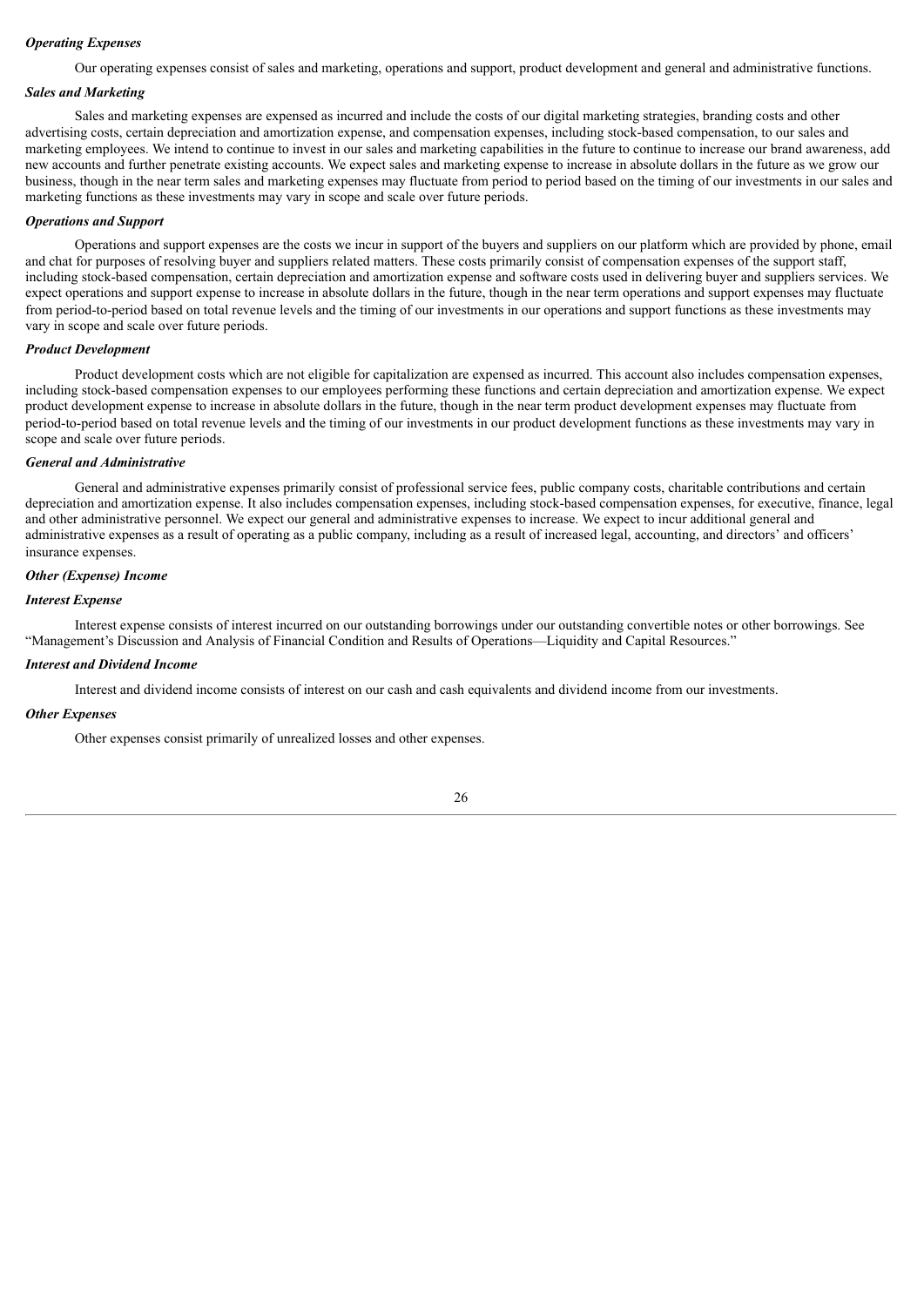## *Operating Expenses*

Our operating expenses consist of sales and marketing, operations and support, product development and general and administrative functions.

## *Sales and Marketing*

Sales and marketing expenses are expensed as incurred and include the costs of our digital marketing strategies, branding costs and other advertising costs, certain depreciation and amortization expense, and compensation expenses, including stock-based compensation, to our sales and marketing employees. We intend to continue to invest in our sales and marketing capabilities in the future to continue to increase our brand awareness, add new accounts and further penetrate existing accounts. We expect sales and marketing expense to increase in absolute dollars in the future as we grow our business, though in the near term sales and marketing expenses may fluctuate from period to period based on the timing of our investments in our sales and marketing functions as these investments may vary in scope and scale over future periods.

#### *Operations and Support*

Operations and support expenses are the costs we incur in support of the buyers and suppliers on our platform which are provided by phone, email and chat for purposes of resolving buyer and suppliers related matters. These costs primarily consist of compensation expenses of the support staff, including stock-based compensation, certain depreciation and amortization expense and software costs used in delivering buyer and suppliers services. We expect operations and support expense to increase in absolute dollars in the future, though in the near term operations and support expenses may fluctuate from period-to-period based on total revenue levels and the timing of our investments in our operations and support functions as these investments may vary in scope and scale over future periods.

## *Product Development*

Product development costs which are not eligible for capitalization are expensed as incurred. This account also includes compensation expenses, including stock-based compensation expenses to our employees performing these functions and certain depreciation and amortization expense. We expect product development expense to increase in absolute dollars in the future, though in the near term product development expenses may fluctuate from period-to-period based on total revenue levels and the timing of our investments in our product development functions as these investments may vary in scope and scale over future periods.

## *General and Administrative*

General and administrative expenses primarily consist of professional service fees, public company costs, charitable contributions and certain depreciation and amortization expense. It also includes compensation expenses, including stock-based compensation expenses, for executive, finance, legal and other administrative personnel. We expect our general and administrative expenses to increase. We expect to incur additional general and administrative expenses as a result of operating as a public company, including as a result of increased legal, accounting, and directors' and officers' insurance expenses.

## *Other (Expense) Income*

## *Interest Expense*

Interest expense consists of interest incurred on our outstanding borrowings under our outstanding convertible notes or other borrowings. See "Management's Discussion and Analysis of Financial Condition and Results of Operations—Liquidity and Capital Resources."

#### *Interest and Dividend Income*

Interest and dividend income consists of interest on our cash and cash equivalents and dividend income from our investments.

## *Other Expenses*

Other expenses consist primarily of unrealized losses and other expenses.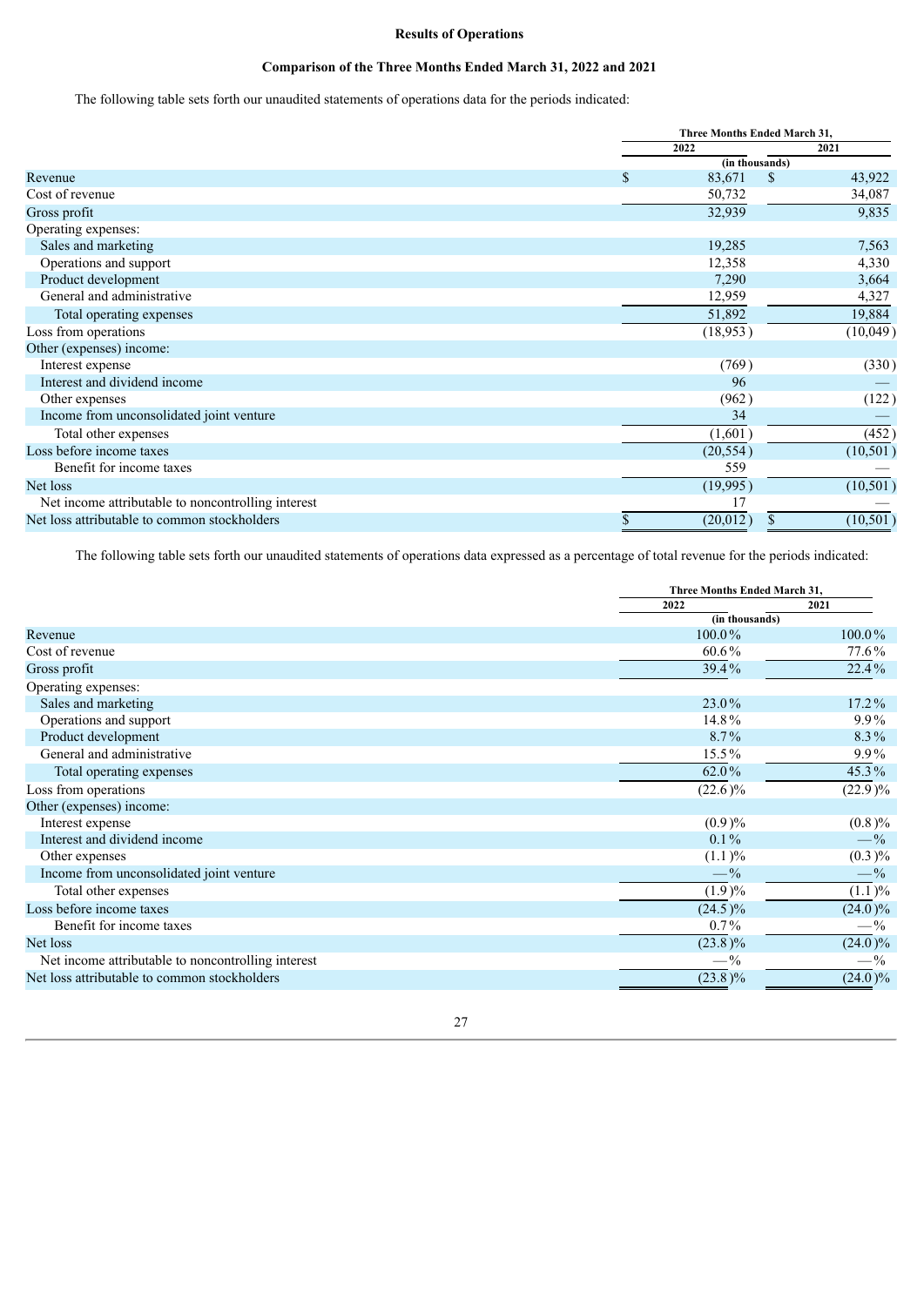## **Results of Operations**

# **Comparison of the Three Months Ended March 31, 2022 and 2021**

The following table sets forth our unaudited statements of operations data for the periods indicated:

|                                                    |      | <b>Three Months Ended March 31.</b> |           |  |  |
|----------------------------------------------------|------|-------------------------------------|-----------|--|--|
|                                                    | 2022 |                                     | 2021      |  |  |
|                                                    |      | (in thousands)                      |           |  |  |
| Revenue                                            | \$   | 83,671<br>S                         | 43,922    |  |  |
| Cost of revenue                                    |      | 50,732                              | 34,087    |  |  |
| Gross profit                                       |      | 32,939                              | 9,835     |  |  |
| Operating expenses:                                |      |                                     |           |  |  |
| Sales and marketing                                |      | 19,285                              | 7,563     |  |  |
| Operations and support                             |      | 12,358                              | 4,330     |  |  |
| Product development                                |      | 7,290                               | 3,664     |  |  |
| General and administrative                         |      | 12,959                              | 4,327     |  |  |
| Total operating expenses                           |      | 51,892                              | 19,884    |  |  |
| Loss from operations                               |      | (18,953)                            | (10,049)  |  |  |
| Other (expenses) income:                           |      |                                     |           |  |  |
| Interest expense                                   |      | (769)                               | (330)     |  |  |
| Interest and dividend income                       |      | 96                                  |           |  |  |
| Other expenses                                     |      | (962)                               | (122)     |  |  |
| Income from unconsolidated joint venture           |      | 34                                  |           |  |  |
| Total other expenses                               |      | (1,601)                             | (452)     |  |  |
| Loss before income taxes                           |      | (20, 554)                           | (10, 501) |  |  |
| Benefit for income taxes                           |      | 559                                 |           |  |  |
| Net loss                                           |      | (19,995)                            | (10, 501) |  |  |
| Net income attributable to noncontrolling interest |      | 17                                  |           |  |  |
| Net loss attributable to common stockholders       | \$   | \$<br>(20, 012)                     | (10, 501) |  |  |

The following table sets forth our unaudited statements of operations data expressed as a percentage of total revenue for the periods indicated:

|                                                    | <b>Three Months Ended March 31.</b> |                 |  |
|----------------------------------------------------|-------------------------------------|-----------------|--|
|                                                    | 2022                                | 2021            |  |
|                                                    | (in thousands)                      |                 |  |
| Revenue                                            | $100.0\%$                           | 100.0%          |  |
| Cost of revenue                                    | $60.6\%$                            | 77.6%           |  |
| Gross profit                                       | 39.4%                               | 22.4%           |  |
| Operating expenses:                                |                                     |                 |  |
| Sales and marketing                                | 23.0%                               | $17.2\%$        |  |
| Operations and support                             | 14.8%                               | $9.9\%$         |  |
| Product development                                | $8.7\%$                             | $8.3\%$         |  |
| General and administrative                         | 15.5%                               | $9.9\%$         |  |
| Total operating expenses                           | 62.0%                               | 45.3%           |  |
| Loss from operations                               | $(22.6)\%$                          | $(22.9)\%$      |  |
| Other (expenses) income:                           |                                     |                 |  |
| Interest expense                                   | (0.9)%                              | (0.8)%          |  |
| Interest and dividend income                       | $0.1\%$                             | $- \frac{9}{6}$ |  |
| Other expenses                                     | (1.1)%                              | (0.3)%          |  |
| Income from unconsolidated joint venture           | $-$ %                               | $-$ %           |  |
| Total other expenses                               | (1.9)%                              | (1.1)%          |  |
| Loss before income taxes                           | $(24.5)\%$                          | $(24.0)\%$      |  |
| Benefit for income taxes                           | $0.7\%$                             | $-$ %           |  |
| Net loss                                           | $(23.8)\%$                          | $(24.0)\%$      |  |
| Net income attributable to noncontrolling interest | $- \frac{9}{6}$                     | $-\%$           |  |
| Net loss attributable to common stockholders       | $(23.8)\%$                          | $(24.0)\%$      |  |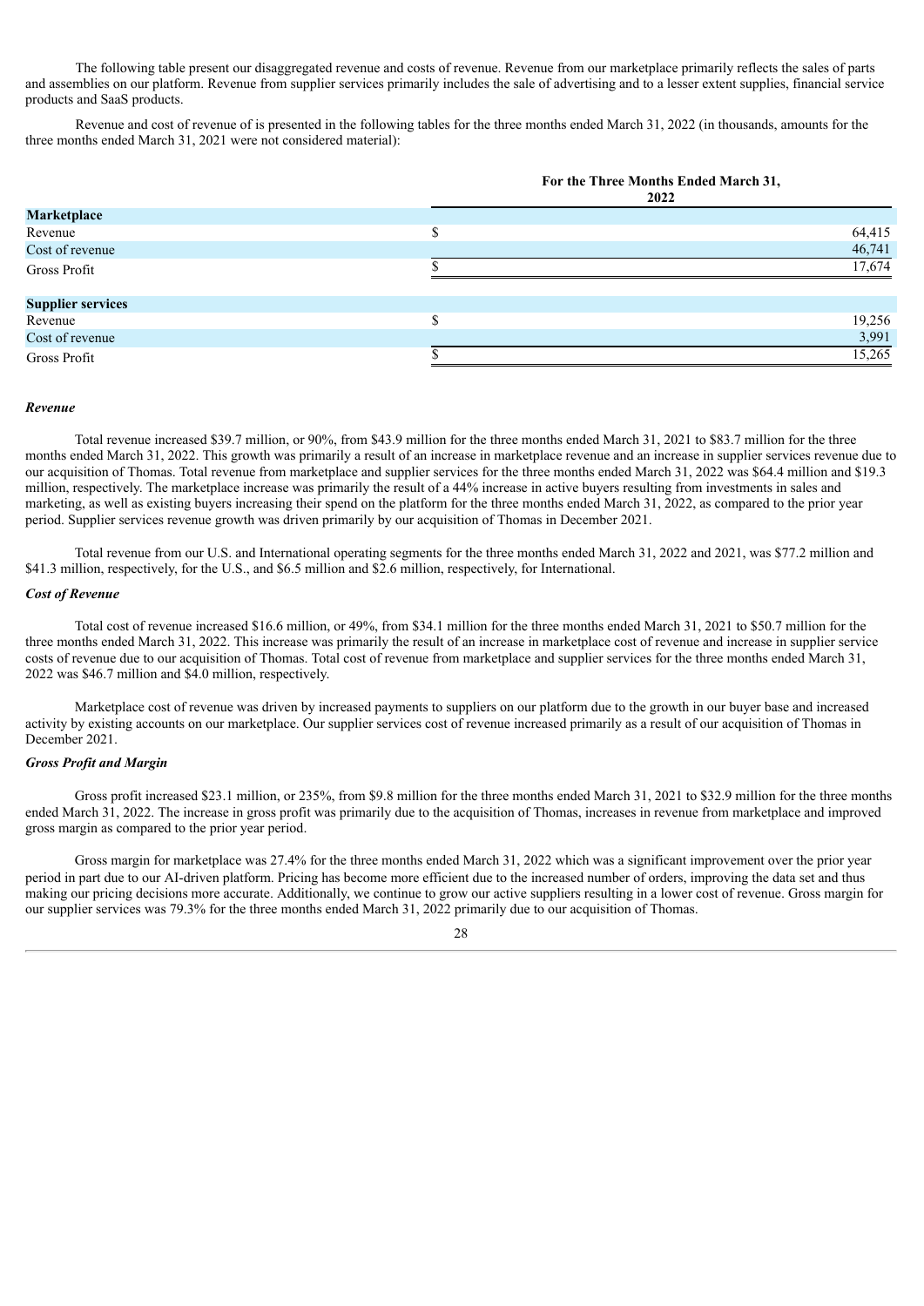The following table present our disaggregated revenue and costs of revenue. Revenue from our marketplace primarily reflects the sales of parts and assemblies on our platform. Revenue from supplier services primarily includes the sale of advertising and to a lesser extent supplies, financial service products and SaaS products.

Revenue and cost of revenue of is presented in the following tables for the three months ended March 31, 2022 (in thousands, amounts for the three months ended March 31, 2021 were not considered material):

# **For the Three Months Ended March 31,**

|                          |    | 2022   |
|--------------------------|----|--------|
| <b>Marketplace</b>       |    |        |
| Revenue                  | ٠D | 64,415 |
| Cost of revenue          |    | 46,741 |
| Gross Profit             |    | 17,674 |
|                          |    |        |
| <b>Supplier services</b> |    |        |
| Revenue                  |    | 19,256 |
| Cost of revenue          |    | 3,991  |
| Gross Profit             |    | 15,265 |
|                          |    |        |

#### *Revenue*

Total revenue increased \$39.7 million, or 90%, from \$43.9 million for the three months ended March 31, 2021 to \$83.7 million for the three months ended March 31, 2022. This growth was primarily a result of an increase in marketplace revenue and an increase in supplier services revenue due to our acquisition of Thomas. Total revenue from marketplace and supplier services for the three months ended March 31, 2022 was \$64.4 million and \$19.3 million, respectively. The marketplace increase was primarily the result of a 44% increase in active buyers resulting from investments in sales and marketing, as well as existing buyers increasing their spend on the platform for the three months ended March 31, 2022, as compared to the prior year period. Supplier services revenue growth was driven primarily by our acquisition of Thomas in December 2021.

Total revenue from our U.S. and International operating segments for the three months ended March 31, 2022 and 2021, was \$77.2 million and \$41.3 million, respectively, for the U.S., and \$6.5 million and \$2.6 million, respectively, for International.

### *Cost of Revenue*

Total cost of revenue increased \$16.6 million, or 49%, from \$34.1 million for the three months ended March 31, 2021 to \$50.7 million for the three months ended March 31, 2022. This increase was primarily the result of an increase in marketplace cost of revenue and increase in supplier service costs of revenue due to our acquisition of Thomas. Total cost of revenue from marketplace and supplier services for the three months ended March 31, 2022 was \$46.7 million and \$4.0 million, respectively.

Marketplace cost of revenue was driven by increased payments to suppliers on our platform due to the growth in our buyer base and increased activity by existing accounts on our marketplace. Our supplier services cost of revenue increased primarily as a result of our acquisition of Thomas in December 2021.

## *Gross Profit and Margin*

Gross profit increased \$23.1 million, or 235%, from \$9.8 million for the three months ended March 31, 2021 to \$32.9 million for the three months ended March 31, 2022. The increase in gross profit was primarily due to the acquisition of Thomas, increases in revenue from marketplace and improved gross margin as compared to the prior year period.

Gross margin for marketplace was 27.4% for the three months ended March 31, 2022 which was a significant improvement over the prior year period in part due to our AI-driven platform. Pricing has become more efficient due to the increased number of orders, improving the data set and thus making our pricing decisions more accurate. Additionally, we continue to grow our active suppliers resulting in a lower cost of revenue. Gross margin for our supplier services was 79.3% for the three months ended March 31, 2022 primarily due to our acquisition of Thomas.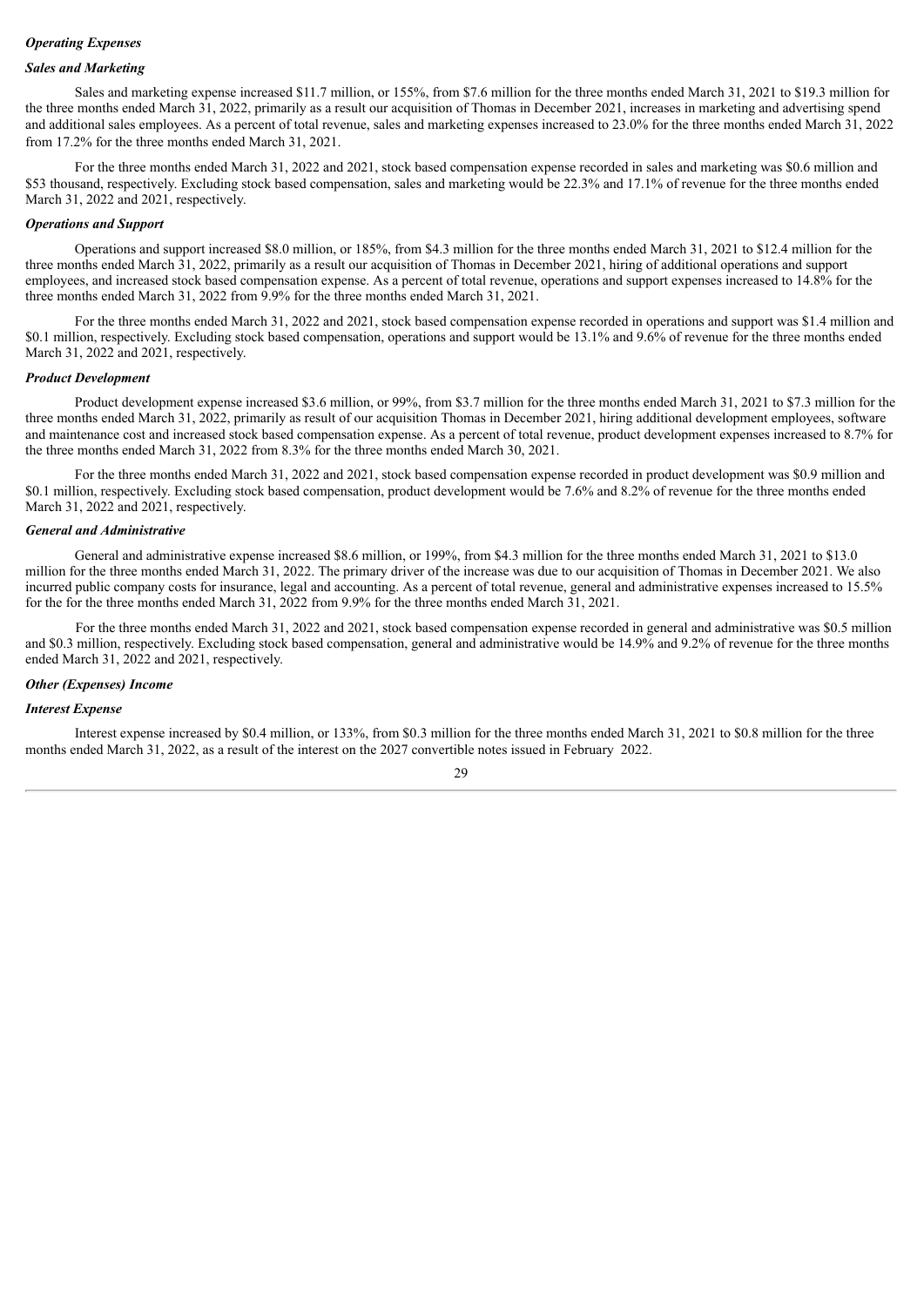## *Operating Expenses*

#### *Sales and Marketing*

Sales and marketing expense increased \$11.7 million, or 155%, from \$7.6 million for the three months ended March 31, 2021 to \$19.3 million for the three months ended March 31, 2022, primarily as a result our acquisition of Thomas in December 2021, increases in marketing and advertising spend and additional sales employees. As a percent of total revenue, sales and marketing expenses increased to 23.0% for the three months ended March 31, 2022 from 17.2% for the three months ended March 31, 2021.

For the three months ended March 31, 2022 and 2021, stock based compensation expense recorded in sales and marketing was \$0.6 million and \$53 thousand, respectively. Excluding stock based compensation, sales and marketing would be 22.3% and 17.1% of revenue for the three months ended March 31, 2022 and 2021, respectively.

#### *Operations and Support*

Operations and support increased \$8.0 million, or 185%, from \$4.3 million for the three months ended March 31, 2021 to \$12.4 million for the three months ended March 31, 2022, primarily as a result our acquisition of Thomas in December 2021, hiring of additional operations and support employees, and increased stock based compensation expense. As a percent of total revenue, operations and support expenses increased to 14.8% for the three months ended March 31, 2022 from 9.9% for the three months ended March 31, 2021.

For the three months ended March 31, 2022 and 2021, stock based compensation expense recorded in operations and support was \$1.4 million and \$0.1 million, respectively. Excluding stock based compensation, operations and support would be 13.1% and 9.6% of revenue for the three months ended March 31, 2022 and 2021, respectively.

#### *Product Development*

Product development expense increased \$3.6 million, or 99%, from \$3.7 million for the three months ended March 31, 2021 to \$7.3 million for the three months ended March 31, 2022, primarily as result of our acquisition Thomas in December 2021, hiring additional development employees, software and maintenance cost and increased stock based compensation expense. As a percent of total revenue, product development expenses increased to 8.7% for the three months ended March 31, 2022 from 8.3% for the three months ended March 30, 2021.

For the three months ended March 31, 2022 and 2021, stock based compensation expense recorded in product development was \$0.9 million and \$0.1 million, respectively. Excluding stock based compensation, product development would be 7.6% and 8.2% of revenue for the three months ended March 31, 2022 and 2021, respectively.

#### *General and Administrative*

General and administrative expense increased \$8.6 million, or 199%, from \$4.3 million for the three months ended March 31, 2021 to \$13.0 million for the three months ended March 31, 2022. The primary driver of the increase was due to our acquisition of Thomas in December 2021. We also incurred public company costs for insurance, legal and accounting. As a percent of total revenue, general and administrative expenses increased to 15.5% for the for the three months ended March 31, 2022 from 9.9% for the three months ended March 31, 2021.

For the three months ended March 31, 2022 and 2021, stock based compensation expense recorded in general and administrative was \$0.5 million and \$0.3 million, respectively. Excluding stock based compensation, general and administrative would be 14.9% and 9.2% of revenue for the three months ended March 31, 2022 and 2021, respectively.

## *Other (Expenses) Income*

#### *Interest Expense*

Interest expense increased by \$0.4 million, or 133%, from \$0.3 million for the three months ended March 31, 2021 to \$0.8 million for the three months ended March 31, 2022, as a result of the interest on the 2027 convertible notes issued in February 2022.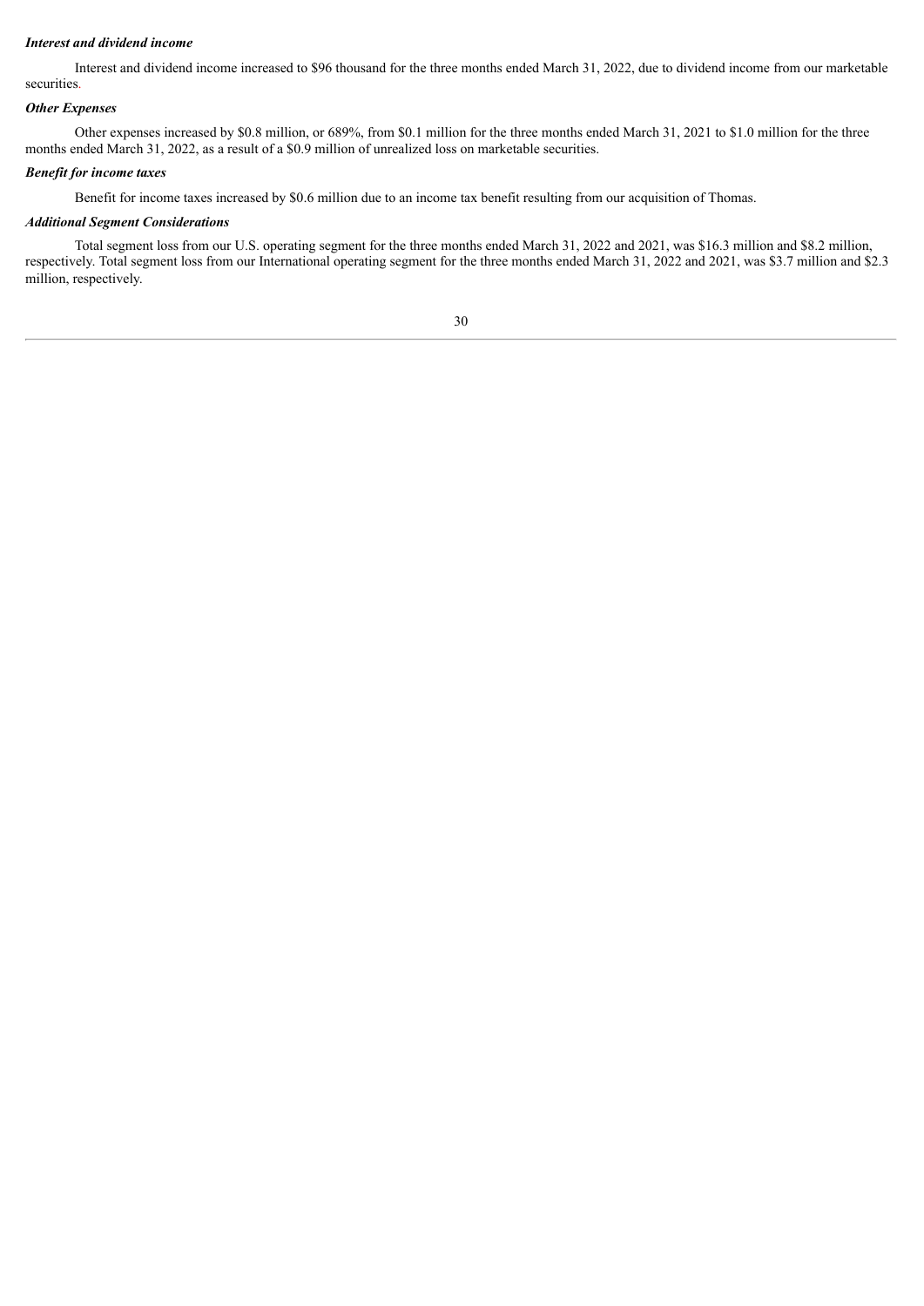## *Interest and dividend income*

Interest and dividend income increased to \$96 thousand for the three months ended March 31, 2022, due to dividend income from our marketable securities.

## *Other Expenses*

Other expenses increased by \$0.8 million, or 689%, from \$0.1 million for the three months ended March 31, 2021 to \$1.0 million for the three months ended March 31, 2022, as a result of a \$0.9 million of unrealized loss on marketable securities.

## *Benefit for income taxes*

Benefit for income taxes increased by \$0.6 million due to an income tax benefit resulting from our acquisition of Thomas.

## *Additional Segment Considerations*

Total segment loss from our U.S. operating segment for the three months ended March 31, 2022 and 2021, was \$16.3 million and \$8.2 million, respectively. Total segment loss from our International operating segment for the three months ended March 31, 2022 and 2021, was \$3.7 million and \$2.3 million, respectively.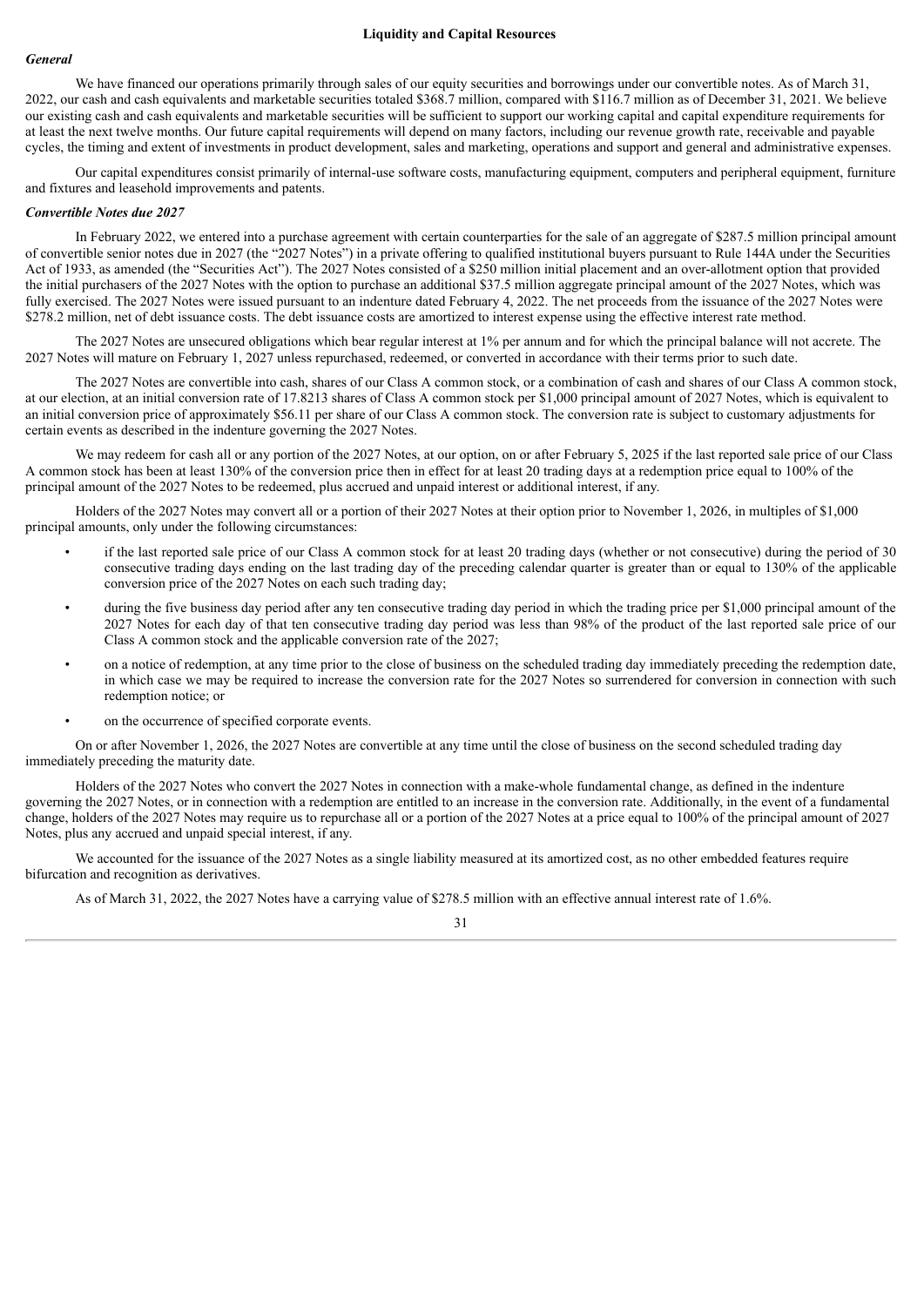## **Liquidity and Capital Resources**

#### *General*

We have financed our operations primarily through sales of our equity securities and borrowings under our convertible notes. As of March 31, 2022, our cash and cash equivalents and marketable securities totaled \$368.7 million, compared with \$116.7 million as of December 31, 2021. We believe our existing cash and cash equivalents and marketable securities will be sufficient to support our working capital and capital expenditure requirements for at least the next twelve months. Our future capital requirements will depend on many factors, including our revenue growth rate, receivable and payable cycles, the timing and extent of investments in product development, sales and marketing, operations and support and general and administrative expenses.

Our capital expenditures consist primarily of internal-use software costs, manufacturing equipment, computers and peripheral equipment, furniture and fixtures and leasehold improvements and patents.

#### *Convertible Notes due 2027*

In February 2022, we entered into a purchase agreement with certain counterparties for the sale of an aggregate of \$287.5 million principal amount of convertible senior notes due in 2027 (the "2027 Notes") in a private offering to qualified institutional buyers pursuant to Rule 144A under the Securities Act of 1933, as amended (the "Securities Act"). The 2027 Notes consisted of a \$250 million initial placement and an over-allotment option that provided the initial purchasers of the 2027 Notes with the option to purchase an additional \$37.5 million aggregate principal amount of the 2027 Notes, which was fully exercised. The 2027 Notes were issued pursuant to an indenture dated February 4, 2022. The net proceeds from the issuance of the 2027 Notes were \$278.2 million, net of debt issuance costs. The debt issuance costs are amortized to interest expense using the effective interest rate method.

The 2027 Notes are unsecured obligations which bear regular interest at 1% per annum and for which the principal balance will not accrete. The 2027 Notes will mature on February 1, 2027 unless repurchased, redeemed, or converted in accordance with their terms prior to such date.

The 2027 Notes are convertible into cash, shares of our Class A common stock, or a combination of cash and shares of our Class A common stock, at our election, at an initial conversion rate of 17.8213 shares of Class A common stock per \$1,000 principal amount of 2027 Notes, which is equivalent to an initial conversion price of approximately \$56.11 per share of our Class A common stock. The conversion rate is subject to customary adjustments for certain events as described in the indenture governing the 2027 Notes.

We may redeem for cash all or any portion of the 2027 Notes, at our option, on or after February 5, 2025 if the last reported sale price of our Class A common stock has been at least 130% of the conversion price then in effect for at least 20 trading days at a redemption price equal to 100% of the principal amount of the 2027 Notes to be redeemed, plus accrued and unpaid interest or additional interest, if any.

Holders of the 2027 Notes may convert all or a portion of their 2027 Notes at their option prior to November 1, 2026, in multiples of \$1,000 principal amounts, only under the following circumstances:

- if the last reported sale price of our Class A common stock for at least 20 trading days (whether or not consecutive) during the period of 30 consecutive trading days ending on the last trading day of the preceding calendar quarter is greater than or equal to 130% of the applicable conversion price of the 2027 Notes on each such trading day;
- during the five business day period after any ten consecutive trading day period in which the trading price per \$1,000 principal amount of the 2027 Notes for each day of that ten consecutive trading day period was less than 98% of the product of the last reported sale price of our Class A common stock and the applicable conversion rate of the 2027;
- on a notice of redemption, at any time prior to the close of business on the scheduled trading day immediately preceding the redemption date, in which case we may be required to increase the conversion rate for the 2027 Notes so surrendered for conversion in connection with such redemption notice; or
- on the occurrence of specified corporate events.

On or after November 1, 2026, the 2027 Notes are convertible at any time until the close of business on the second scheduled trading day immediately preceding the maturity date.

Holders of the 2027 Notes who convert the 2027 Notes in connection with a make-whole fundamental change, as defined in the indenture governing the 2027 Notes, or in connection with a redemption are entitled to an increase in the conversion rate. Additionally, in the event of a fundamental change, holders of the 2027 Notes may require us to repurchase all or a portion of the 2027 Notes at a price equal to 100% of the principal amount of 2027 Notes, plus any accrued and unpaid special interest, if any.

We accounted for the issuance of the 2027 Notes as a single liability measured at its amortized cost, as no other embedded features require bifurcation and recognition as derivatives.

As of March 31, 2022, the 2027 Notes have a carrying value of \$278.5 million with an effective annual interest rate of 1.6%.

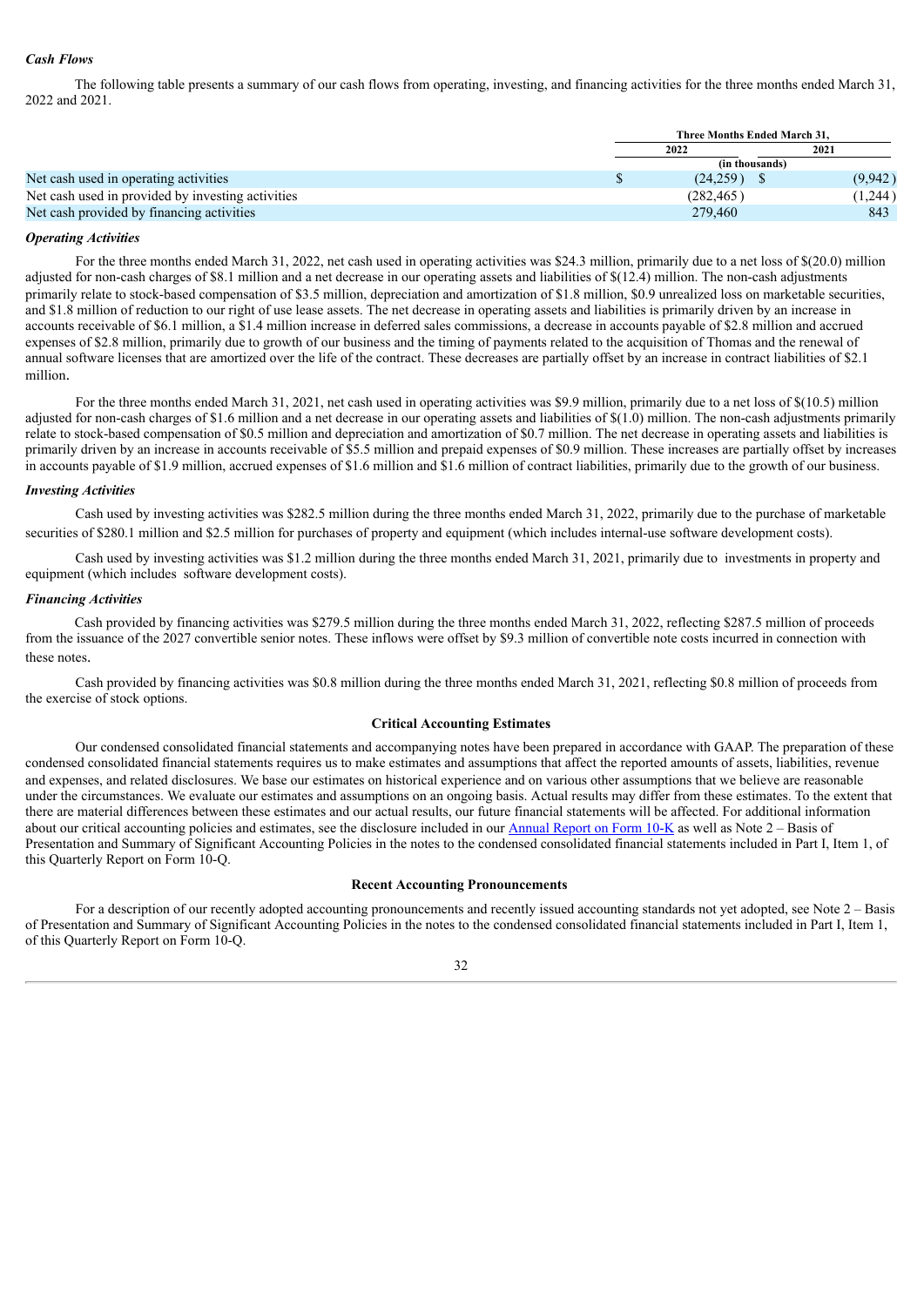# *Cash Flows*

The following table presents a summary of our cash flows from operating, investing, and financing activities for the three months ended March 31, 2022 and 2021.

|                                                   | Three Months Ended March 31. |  |         |  |
|---------------------------------------------------|------------------------------|--|---------|--|
|                                                   | 2022                         |  | 2021    |  |
|                                                   | (in thousands)               |  |         |  |
| Net cash used in operating activities             | (24,259)                     |  | (9,942) |  |
| Net cash used in provided by investing activities | (282, 465)                   |  | (1,244) |  |
| Net cash provided by financing activities         | 279,460                      |  | 843     |  |

#### *Operating Activities*

For the three months ended March 31, 2022, net cash used in operating activities was \$24.3 million, primarily due to a net loss of \$(20.0) million adjusted for non-cash charges of \$8.1 million and a net decrease in our operating assets and liabilities of \$(12.4) million. The non-cash adjustments primarily relate to stock-based compensation of \$3.5 million, depreciation and amortization of \$1.8 million, \$0.9 unrealized loss on marketable securities. and \$1.8 million of reduction to our right of use lease assets. The net decrease in operating assets and liabilities is primarily driven by an increase in accounts receivable of \$6.1 million, a \$1.4 million increase in deferred sales commissions, a decrease in accounts payable of \$2.8 million and accrued expenses of \$2.8 million, primarily due to growth of our business and the timing of payments related to the acquisition of Thomas and the renewal of annual software licenses that are amortized over the life of the contract. These decreases are partially offset by an increase in contract liabilities of \$2.1 million.

For the three months ended March 31, 2021, net cash used in operating activities was \$9.9 million, primarily due to a net loss of \$(10.5) million adjusted for non-cash charges of \$1.6 million and a net decrease in our operating assets and liabilities of \$(1.0) million. The non-cash adjustments primarily relate to stock-based compensation of \$0.5 million and depreciation and amortization of \$0.7 million. The net decrease in operating assets and liabilities is primarily driven by an increase in accounts receivable of \$5.5 million and prepaid expenses of \$0.9 million. These increases are partially offset by increases in accounts payable of \$1.9 million, accrued expenses of \$1.6 million and \$1.6 million of contract liabilities, primarily due to the growth of our business.

## *Investing Activities*

Cash used by investing activities was \$282.5 million during the three months ended March 31, 2022, primarily due to the purchase of marketable securities of \$280.1 million and \$2.5 million for purchases of property and equipment (which includes internal-use software development costs).

Cash used by investing activities was \$1.2 million during the three months ended March 31, 2021, primarily due to investments in property and equipment (which includes software development costs).

#### *Financing Activities*

Cash provided by financing activities was \$279.5 million during the three months ended March 31, 2022, reflecting \$287.5 million of proceeds from the issuance of the 2027 convertible senior notes. These inflows were offset by \$9.3 million of convertible note costs incurred in connection with these notes.

Cash provided by financing activities was \$0.8 million during the three months ended March 31, 2021, reflecting \$0.8 million of proceeds from the exercise of stock options.

## **Critical Accounting Estimates**

Our condensed consolidated financial statements and accompanying notes have been prepared in accordance with GAAP. The preparation of these condensed consolidated financial statements requires us to make estimates and assumptions that affect the reported amounts of assets, liabilities, revenue and expenses, and related disclosures. We base our estimates on historical experience and on various other assumptions that we believe are reasonable under the circumstances. We evaluate our estimates and assumptions on an ongoing basis. Actual results may differ from these estimates. To the extent that there are material differences between these estimates and our actual results, our future financial statements will be affected. For additional information about our critical accounting policies and estimates, see the disclosure included in our [Annual](https://www.sec.gov/ix?doc=/Archives/edgar/data/1657573/000095017022004158/xmtr-20211231.htm) Report on Form 10-K as well as Note 2 – Basis of Presentation and Summary of Significant Accounting Policies in the notes to the condensed consolidated financial statements included in Part I, Item 1, of this Quarterly Report on Form 10-Q.

#### **Recent Accounting Pronouncements**

For a description of our recently adopted accounting pronouncements and recently issued accounting standards not yet adopted, see Note 2 – Basis of Presentation and Summary of Significant Accounting Policies in the notes to the condensed consolidated financial statements included in Part I, Item 1, of this Quarterly Report on Form 10-Q.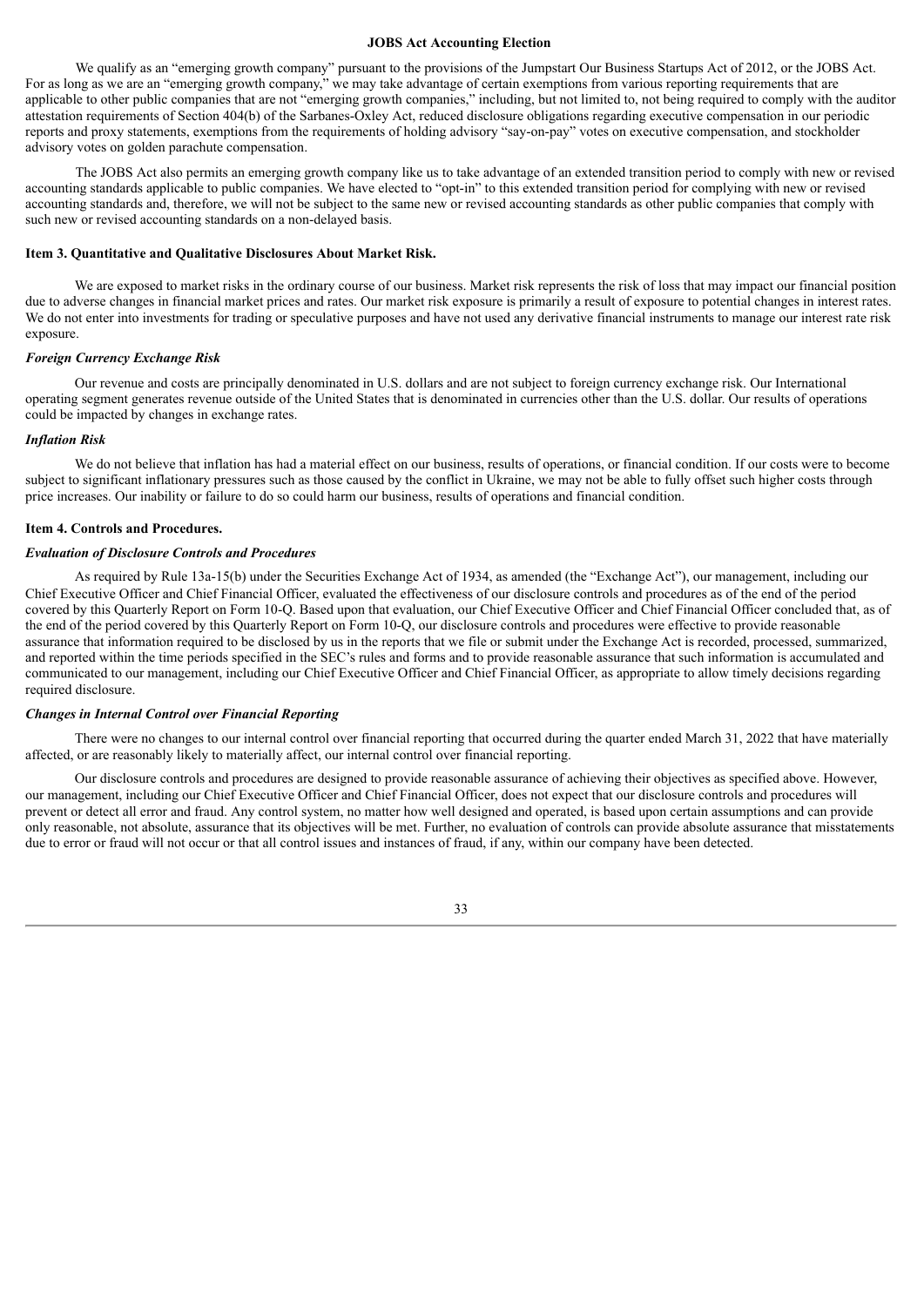#### **JOBS Act Accounting Election**

We qualify as an "emerging growth company" pursuant to the provisions of the Jumpstart Our Business Startups Act of 2012, or the JOBS Act. For as long as we are an "emerging growth company," we may take advantage of certain exemptions from various reporting requirements that are applicable to other public companies that are not "emerging growth companies," including, but not limited to, not being required to comply with the auditor attestation requirements of Section 404(b) of the Sarbanes-Oxley Act, reduced disclosure obligations regarding executive compensation in our periodic reports and proxy statements, exemptions from the requirements of holding advisory "say-on-pay" votes on executive compensation, and stockholder advisory votes on golden parachute compensation.

The JOBS Act also permits an emerging growth company like us to take advantage of an extended transition period to comply with new or revised accounting standards applicable to public companies. We have elected to "opt-in" to this extended transition period for complying with new or revised accounting standards and, therefore, we will not be subject to the same new or revised accounting standards as other public companies that comply with such new or revised accounting standards on a non-delayed basis.

## <span id="page-35-0"></span>**Item 3. Quantitative and Qualitative Disclosures About Market Risk.**

We are exposed to market risks in the ordinary course of our business. Market risk represents the risk of loss that may impact our financial position due to adverse changes in financial market prices and rates. Our market risk exposure is primarily a result of exposure to potential changes in interest rates. We do not enter into investments for trading or speculative purposes and have not used any derivative financial instruments to manage our interest rate risk exposure.

#### *Foreign Currency Exchange Risk*

Our revenue and costs are principally denominated in U.S. dollars and are not subject to foreign currency exchange risk. Our International operating segment generates revenue outside of the United States that is denominated in currencies other than the U.S. dollar. Our results of operations could be impacted by changes in exchange rates.

## *Inflation Risk*

We do not believe that inflation has had a material effect on our business, results of operations, or financial condition. If our costs were to become subject to significant inflationary pressures such as those caused by the conflict in Ukraine, we may not be able to fully offset such higher costs through price increases. Our inability or failure to do so could harm our business, results of operations and financial condition.

#### <span id="page-35-1"></span>**Item 4. Controls and Procedures.**

## *Evaluation of Disclosure Controls and Procedures*

As required by Rule 13a-15(b) under the Securities Exchange Act of 1934, as amended (the "Exchange Act"), our management, including our Chief Executive Officer and Chief Financial Officer, evaluated the effectiveness of our disclosure controls and procedures as of the end of the period covered by this Quarterly Report on Form 10-Q. Based upon that evaluation, our Chief Executive Officer and Chief Financial Officer concluded that, as of the end of the period covered by this Quarterly Report on Form 10-Q, our disclosure controls and procedures were effective to provide reasonable assurance that information required to be disclosed by us in the reports that we file or submit under the Exchange Act is recorded, processed, summarized, and reported within the time periods specified in the SEC's rules and forms and to provide reasonable assurance that such information is accumulated and communicated to our management, including our Chief Executive Officer and Chief Financial Officer, as appropriate to allow timely decisions regarding required disclosure.

## *Changes in Internal Control over Financial Reporting*

There were no changes to our internal control over financial reporting that occurred during the quarter ended March 31, 2022 that have materially affected, or are reasonably likely to materially affect, our internal control over financial reporting.

Our disclosure controls and procedures are designed to provide reasonable assurance of achieving their objectives as specified above. However, our management, including our Chief Executive Officer and Chief Financial Officer, does not expect that our disclosure controls and procedures will prevent or detect all error and fraud. Any control system, no matter how well designed and operated, is based upon certain assumptions and can provide only reasonable, not absolute, assurance that its objectives will be met. Further, no evaluation of controls can provide absolute assurance that misstatements due to error or fraud will not occur or that all control issues and instances of fraud, if any, within our company have been detected.

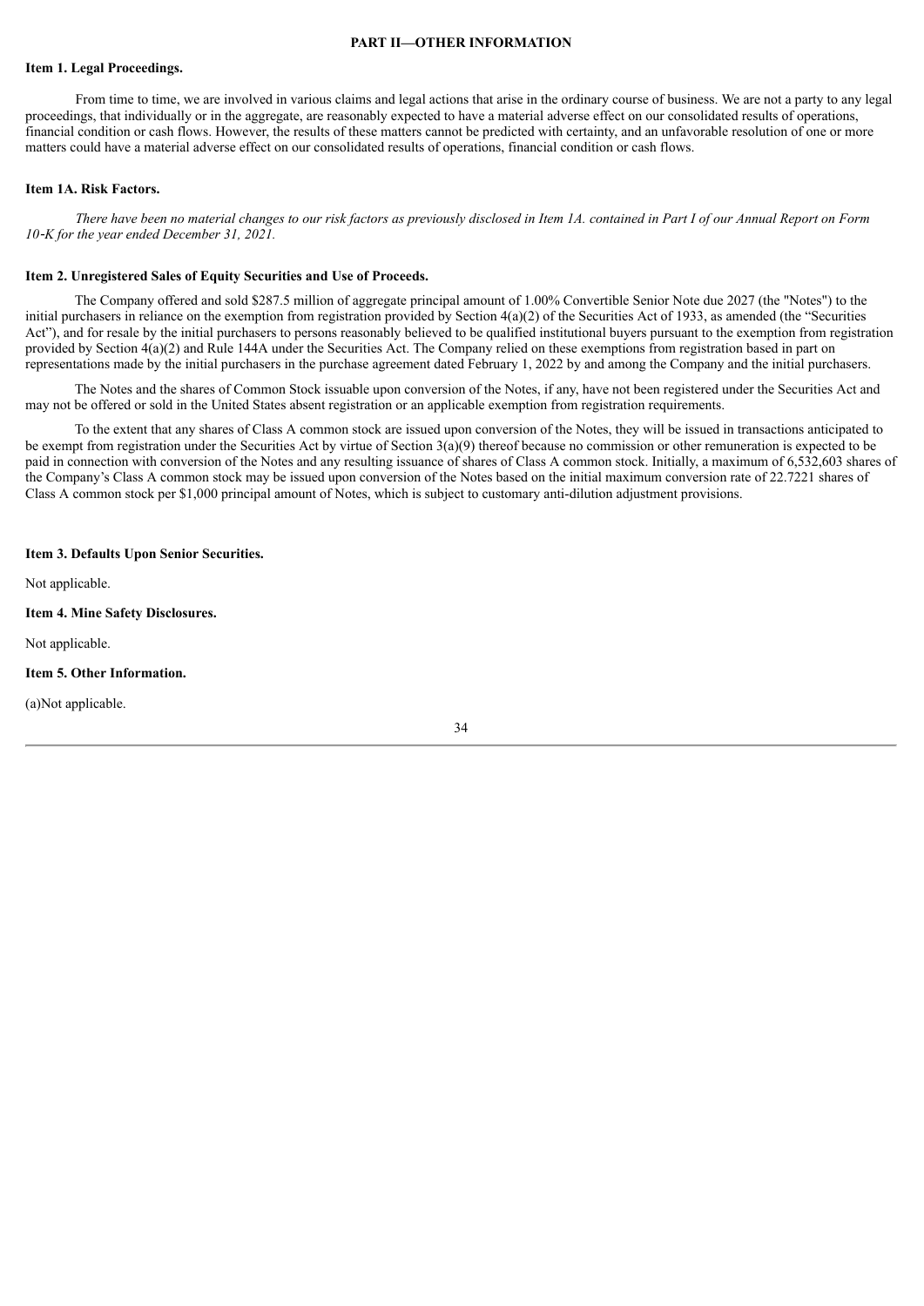#### **PART II—OTHER INFORMATION**

#### <span id="page-36-1"></span><span id="page-36-0"></span>**Item 1. Legal Proceedings.**

From time to time, we are involved in various claims and legal actions that arise in the ordinary course of business. We are not a party to any legal proceedings, that individually or in the aggregate, are reasonably expected to have a material adverse effect on our consolidated results of operations, financial condition or cash flows. However, the results of these matters cannot be predicted with certainty, and an unfavorable resolution of one or more matters could have a material adverse effect on our consolidated results of operations, financial condition or cash flows.

#### <span id="page-36-2"></span>**Item 1A. Risk Factors.**

There have been no material changes to our risk factors as previously disclosed in Item 1A, contained in Part I of our Annual Report on Form *10*‑*K for the year ended December 31, 2021.*

#### <span id="page-36-3"></span>**Item 2. Unregistered Sales of Equity Securities and Use of Proceeds.**

The Company offered and sold \$287.5 million of aggregate principal amount of 1.00% Convertible Senior Note due 2027 (the "Notes") to the initial purchasers in reliance on the exemption from registration provided by Section 4(a)(2) of the Securities Act of 1933, as amended (the "Securities Act"), and for resale by the initial purchasers to persons reasonably believed to be qualified institutional buyers pursuant to the exemption from registration provided by Section 4(a)(2) and Rule 144A under the Securities Act. The Company relied on these exemptions from registration based in part on representations made by the initial purchasers in the purchase agreement dated February 1, 2022 by and among the Company and the initial purchasers.

The Notes and the shares of Common Stock issuable upon conversion of the Notes, if any, have not been registered under the Securities Act and may not be offered or sold in the United States absent registration or an applicable exemption from registration requirements.

To the extent that any shares of Class A common stock are issued upon conversion of the Notes, they will be issued in transactions anticipated to be exempt from registration under the Securities Act by virtue of Section 3(a)(9) thereof because no commission or other remuneration is expected to be paid in connection with conversion of the Notes and any resulting issuance of shares of Class A common stock. Initially, a maximum of 6,532,603 shares of the Company's Class A common stock may be issued upon conversion of the Notes based on the initial maximum conversion rate of 22.7221 shares of Class A common stock per \$1,000 principal amount of Notes, which is subject to customary anti-dilution adjustment provisions.

## <span id="page-36-4"></span>**Item 3. Defaults Upon Senior Securities.**

Not applicable.

#### <span id="page-36-5"></span>**Item 4. Mine Safety Disclosures.**

Not applicable.

#### <span id="page-36-6"></span>**Item 5. Other Information.**

(a)Not applicable.

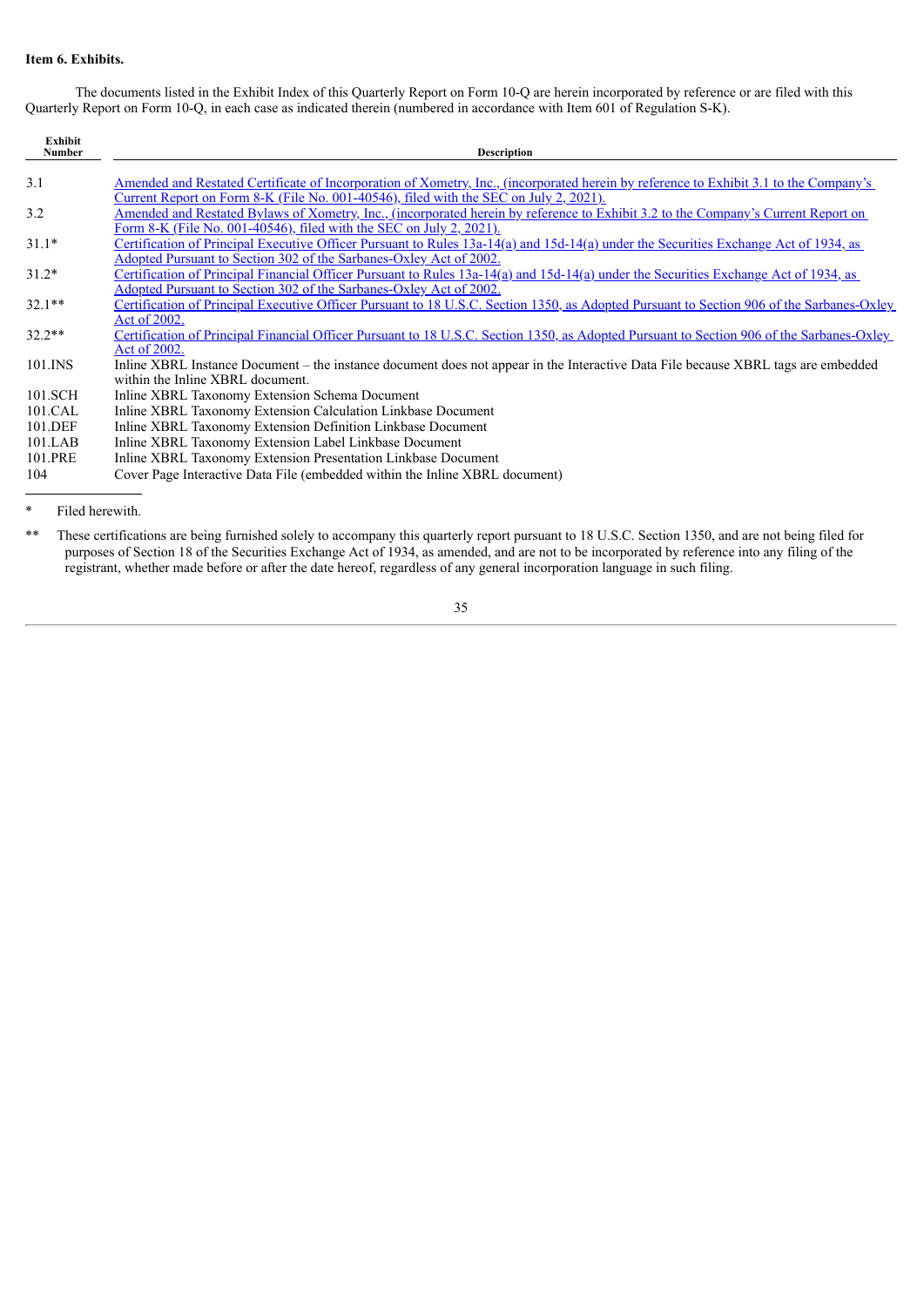# <span id="page-37-0"></span>**Item 6. Exhibits.**

The documents listed in the Exhibit Index of this Quarterly Report on Form 10-Q are herein incorporated by reference or are filed with this Quarterly Report on Form 10-Q, in each case as indicated therein (numbered in accordance with Item 601 of Regulation S-K).

| Exhibit<br>Number | <b>Description</b>                                                                                                                                                                                                             |
|-------------------|--------------------------------------------------------------------------------------------------------------------------------------------------------------------------------------------------------------------------------|
| 3.1               | Amended and Restated Certificate of Incorporation of Xometry, Inc., (incorporated herein by reference to Exhibit 3.1 to the Company's<br>Current Report on Form 8-K (File No. 001-40546), filed with the SEC on July 2, 2021). |
| 3.2               | Amended and Restated Bylaws of Xometry, Inc., (incorporated herein by reference to Exhibit 3.2 to the Company's Current Report on<br><u>Form 8-K (File No. 001-40546), filed with the SEC on July 2, 2021).</u>                |
| $31.1*$           | Certification of Principal Executive Officer Pursuant to Rules 13a-14(a) and 15d-14(a) under the Securities Exchange Act of 1934, as<br>Adopted Pursuant to Section 302 of the Sarbanes-Oxley Act of 2002.                     |
| $31.2*$           | Certification of Principal Financial Officer Pursuant to Rules 13a-14(a) and 15d-14(a) under the Securities Exchange Act of 1934, as<br>Adopted Pursuant to Section 302 of the Sarbanes-Oxley Act of 2002.                     |
| $32.1**$          | Certification of Principal Executive Officer Pursuant to 18 U.S.C. Section 1350, as Adopted Pursuant to Section 906 of the Sarbanes-Oxley<br>Act of 2002.                                                                      |
| $32.2**$          | Certification of Principal Financial Officer Pursuant to 18 U.S.C. Section 1350, as Adopted Pursuant to Section 906 of the Sarbanes-Oxley<br>Act of 2002.                                                                      |
| $101$ . INS       | Inline XBRL Instance Document – the instance document does not appear in the Interactive Data File because XBRL tags are embedded<br>within the Inline XBRL document.                                                          |
| 101.SCH           | Inline XBRL Taxonomy Extension Schema Document                                                                                                                                                                                 |
| 101.CAL           | Inline XBRL Taxonomy Extension Calculation Linkbase Document                                                                                                                                                                   |
| 101.DEF           | Inline XBRL Taxonomy Extension Definition Linkbase Document                                                                                                                                                                    |
| $101$ .LAB        | Inline XBRL Taxonomy Extension Label Linkbase Document                                                                                                                                                                         |
| 101.PRE           | Inline XBRL Taxonomy Extension Presentation Linkbase Document                                                                                                                                                                  |
| 104               | Cover Page Interactive Data File (embedded within the Inline XBRL document)                                                                                                                                                    |

Filed herewith.

\*\* These certifications are being furnished solely to accompany this quarterly report pursuant to 18 U.S.C. Section 1350, and are not being filed for purposes of Section 18 of the Securities Exchange Act of 1934, as amended, and are not to be incorporated by reference into any filing of the registrant, whether made before or after the date hereof, regardless of any general incorporation language in such filing.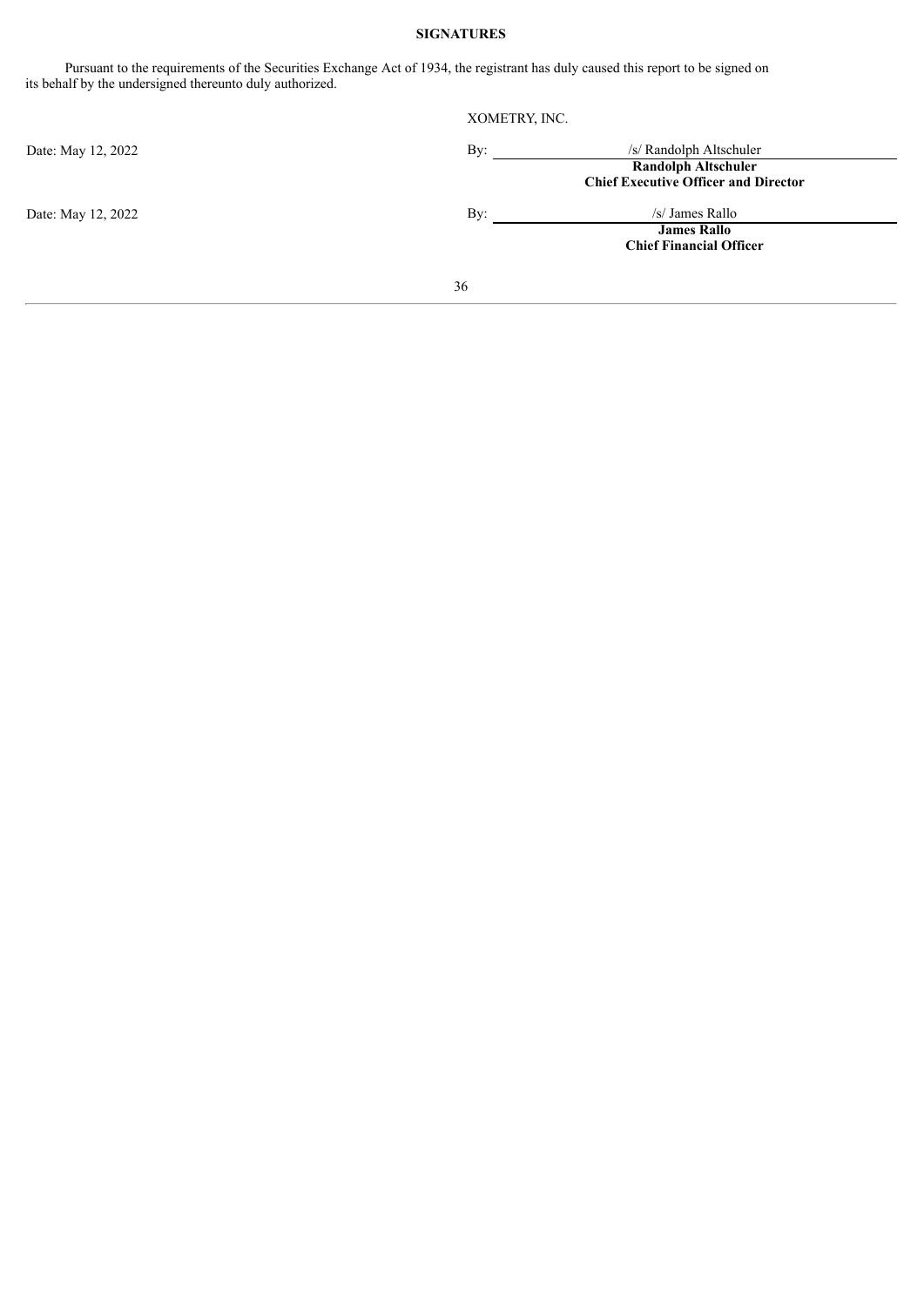# **SIGNATURES**

<span id="page-38-0"></span>Pursuant to the requirements of the Securities Exchange Act of 1934, the registrant has duly caused this report to be signed on its behalf by the undersigned thereunto duly authorized.

|                    |     | XOMETRY, INC.                                                                                        |  |
|--------------------|-----|------------------------------------------------------------------------------------------------------|--|
| Date: May 12, 2022 | By: | /s/ Randolph Altschuler<br><b>Randolph Altschuler</b><br><b>Chief Executive Officer and Director</b> |  |
| Date: May 12, 2022 | By: | /s/ James Rallo<br><b>James Rallo</b><br><b>Chief Financial Officer</b>                              |  |
|                    | 36  |                                                                                                      |  |
|                    |     |                                                                                                      |  |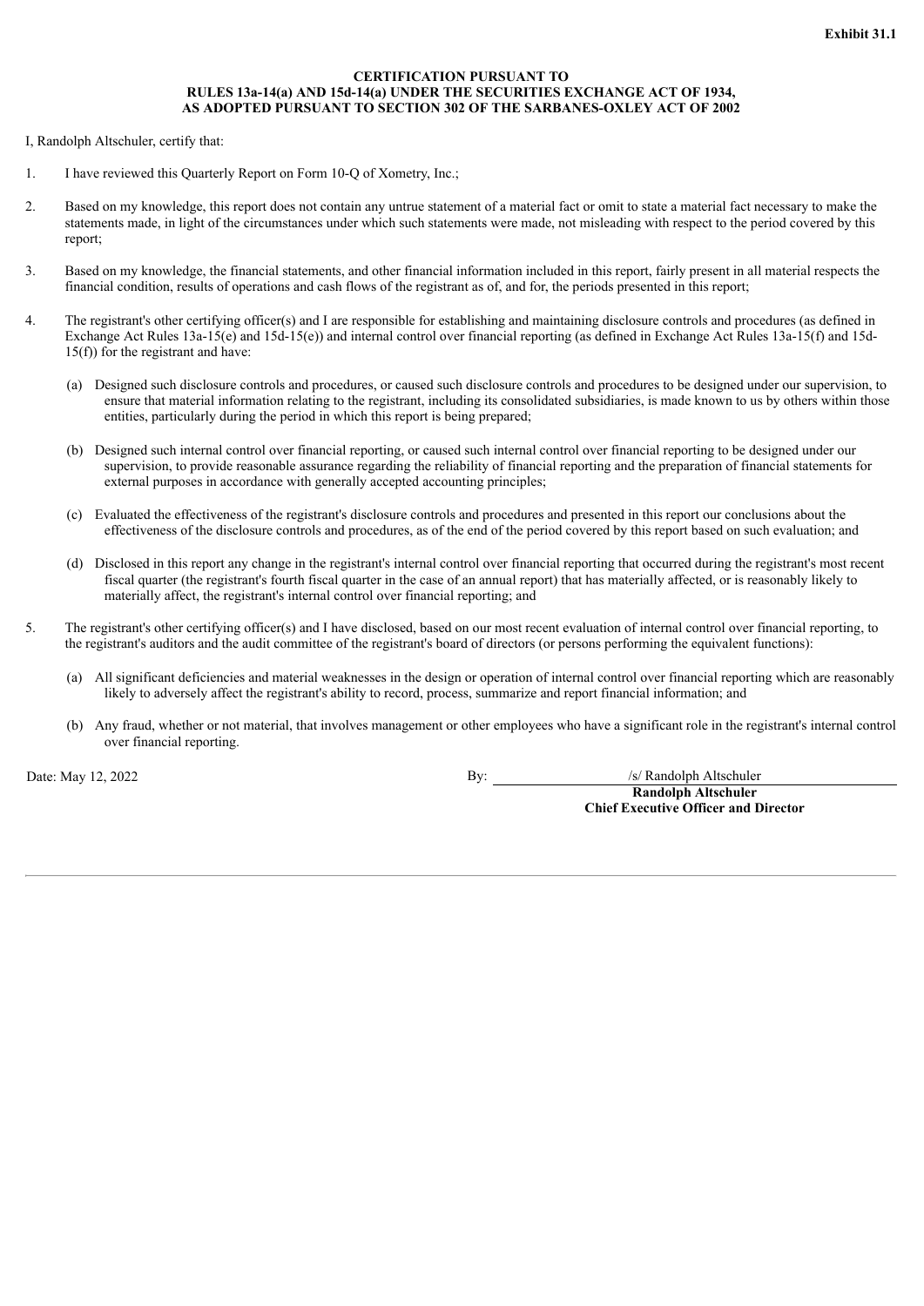## **CERTIFICATION PURSUANT TO RULES 13a-14(a) AND 15d-14(a) UNDER THE SECURITIES EXCHANGE ACT OF 1934, AS ADOPTED PURSUANT TO SECTION 302 OF THE SARBANES-OXLEY ACT OF 2002**

<span id="page-39-0"></span>I, Randolph Altschuler, certify that:

- 1. I have reviewed this Quarterly Report on Form 10-Q of Xometry, Inc.;
- 2. Based on my knowledge, this report does not contain any untrue statement of a material fact or omit to state a material fact necessary to make the statements made, in light of the circumstances under which such statements were made, not misleading with respect to the period covered by this report;
- 3. Based on my knowledge, the financial statements, and other financial information included in this report, fairly present in all material respects the financial condition, results of operations and cash flows of the registrant as of, and for, the periods presented in this report;
- 4. The registrant's other certifying officer(s) and I are responsible for establishing and maintaining disclosure controls and procedures (as defined in Exchange Act Rules 13a-15(e) and 15d-15(e)) and internal control over financial reporting (as defined in Exchange Act Rules 13a-15(f) and 15d-15(f)) for the registrant and have:
	- (a) Designed such disclosure controls and procedures, or caused such disclosure controls and procedures to be designed under our supervision, to ensure that material information relating to the registrant, including its consolidated subsidiaries, is made known to us by others within those entities, particularly during the period in which this report is being prepared;
	- (b) Designed such internal control over financial reporting, or caused such internal control over financial reporting to be designed under our supervision, to provide reasonable assurance regarding the reliability of financial reporting and the preparation of financial statements for external purposes in accordance with generally accepted accounting principles;
	- (c) Evaluated the effectiveness of the registrant's disclosure controls and procedures and presented in this report our conclusions about the effectiveness of the disclosure controls and procedures, as of the end of the period covered by this report based on such evaluation; and
	- (d) Disclosed in this report any change in the registrant's internal control over financial reporting that occurred during the registrant's most recent fiscal quarter (the registrant's fourth fiscal quarter in the case of an annual report) that has materially affected, or is reasonably likely to materially affect, the registrant's internal control over financial reporting; and
- 5. The registrant's other certifying officer(s) and I have disclosed, based on our most recent evaluation of internal control over financial reporting, to the registrant's auditors and the audit committee of the registrant's board of directors (or persons performing the equivalent functions):
	- (a) All significant deficiencies and material weaknesses in the design or operation of internal control over financial reporting which are reasonably likely to adversely affect the registrant's ability to record, process, summarize and report financial information; and
	- (b) Any fraud, whether or not material, that involves management or other employees who have a significant role in the registrant's internal control over financial reporting.

Date: May 12, 2022 By: /s/ Randolph Altschuler **Randolph Altschuler Chief Executive Officer and Director**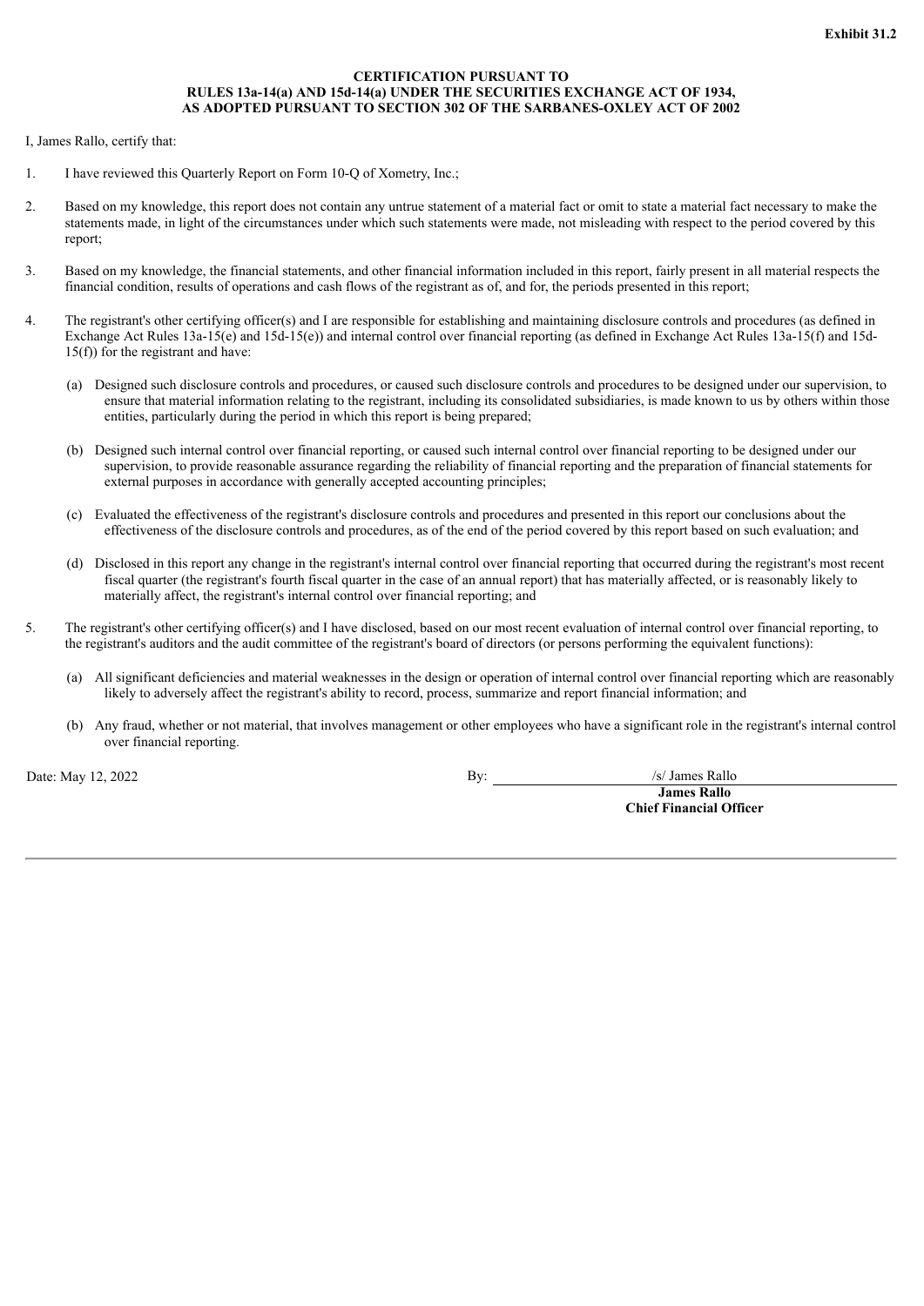## **CERTIFICATION PURSUANT TO RULES 13a-14(a) AND 15d-14(a) UNDER THE SECURITIES EXCHANGE ACT OF 1934, AS ADOPTED PURSUANT TO SECTION 302 OF THE SARBANES-OXLEY ACT OF 2002**

<span id="page-40-0"></span>I, James Rallo, certify that:

- 1. I have reviewed this Quarterly Report on Form 10-Q of Xometry, Inc.;
- 2. Based on my knowledge, this report does not contain any untrue statement of a material fact or omit to state a material fact necessary to make the statements made, in light of the circumstances under which such statements were made, not misleading with respect to the period covered by this report;
- 3. Based on my knowledge, the financial statements, and other financial information included in this report, fairly present in all material respects the financial condition, results of operations and cash flows of the registrant as of, and for, the periods presented in this report;
- 4. The registrant's other certifying officer(s) and I are responsible for establishing and maintaining disclosure controls and procedures (as defined in Exchange Act Rules 13a-15(e) and 15d-15(e)) and internal control over financial reporting (as defined in Exchange Act Rules 13a-15(f) and 15d-15(f)) for the registrant and have:
	- (a) Designed such disclosure controls and procedures, or caused such disclosure controls and procedures to be designed under our supervision, to ensure that material information relating to the registrant, including its consolidated subsidiaries, is made known to us by others within those entities, particularly during the period in which this report is being prepared;
	- (b) Designed such internal control over financial reporting, or caused such internal control over financial reporting to be designed under our supervision, to provide reasonable assurance regarding the reliability of financial reporting and the preparation of financial statements for external purposes in accordance with generally accepted accounting principles;
	- (c) Evaluated the effectiveness of the registrant's disclosure controls and procedures and presented in this report our conclusions about the effectiveness of the disclosure controls and procedures, as of the end of the period covered by this report based on such evaluation; and
	- (d) Disclosed in this report any change in the registrant's internal control over financial reporting that occurred during the registrant's most recent fiscal quarter (the registrant's fourth fiscal quarter in the case of an annual report) that has materially affected, or is reasonably likely to materially affect, the registrant's internal control over financial reporting; and
- 5. The registrant's other certifying officer(s) and I have disclosed, based on our most recent evaluation of internal control over financial reporting, to the registrant's auditors and the audit committee of the registrant's board of directors (or persons performing the equivalent functions):
	- (a) All significant deficiencies and material weaknesses in the design or operation of internal control over financial reporting which are reasonably likely to adversely affect the registrant's ability to record, process, summarize and report financial information; and
	- (b) Any fraud, whether or not material, that involves management or other employees who have a significant role in the registrant's internal control over financial reporting.

Date: May 12, 2022 By: /s/ James Rallo

**James Rallo Chief Financial Officer**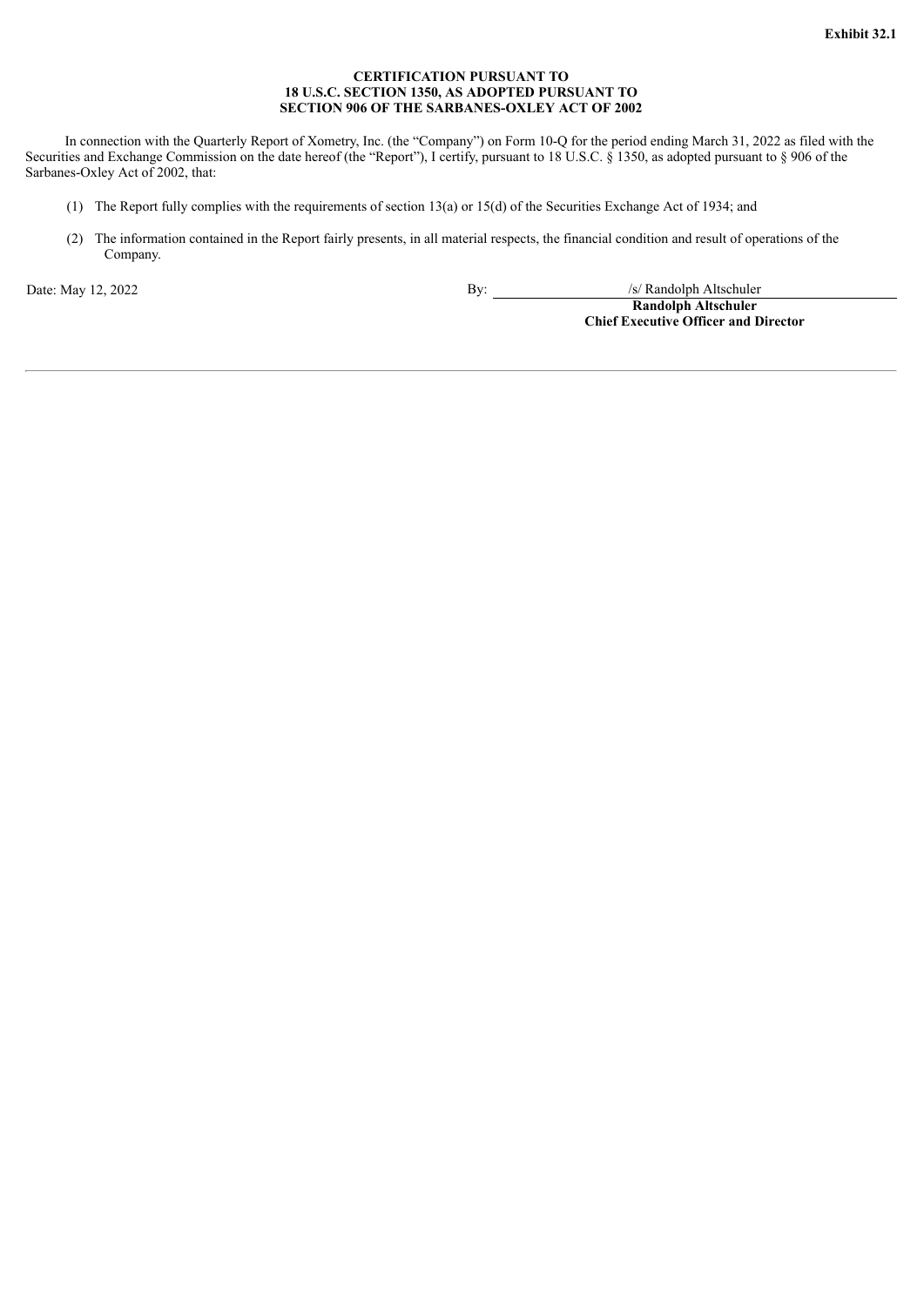## **CERTIFICATION PURSUANT TO 18 U.S.C. SECTION 1350, AS ADOPTED PURSUANT TO SECTION 906 OF THE SARBANES-OXLEY ACT OF 2002**

<span id="page-41-0"></span>In connection with the Quarterly Report of Xometry, Inc. (the "Company") on Form 10-Q for the period ending March 31, 2022 as filed with the Securities and Exchange Commission on the date hereof (the "Report"), I certify, pursuant to 18 U.S.C. § 1350, as adopted pursuant to § 906 of the Sarbanes-Oxley Act of 2002, that:

- (1) The Report fully complies with the requirements of section 13(a) or 15(d) of the Securities Exchange Act of 1934; and
- (2) The information contained in the Report fairly presents, in all material respects, the financial condition and result of operations of the Company.

Date: May 12, 2022 By: /s/ Randolph Altschuler **Randolph Altschuler**

**Chief Executive Officer and Director**